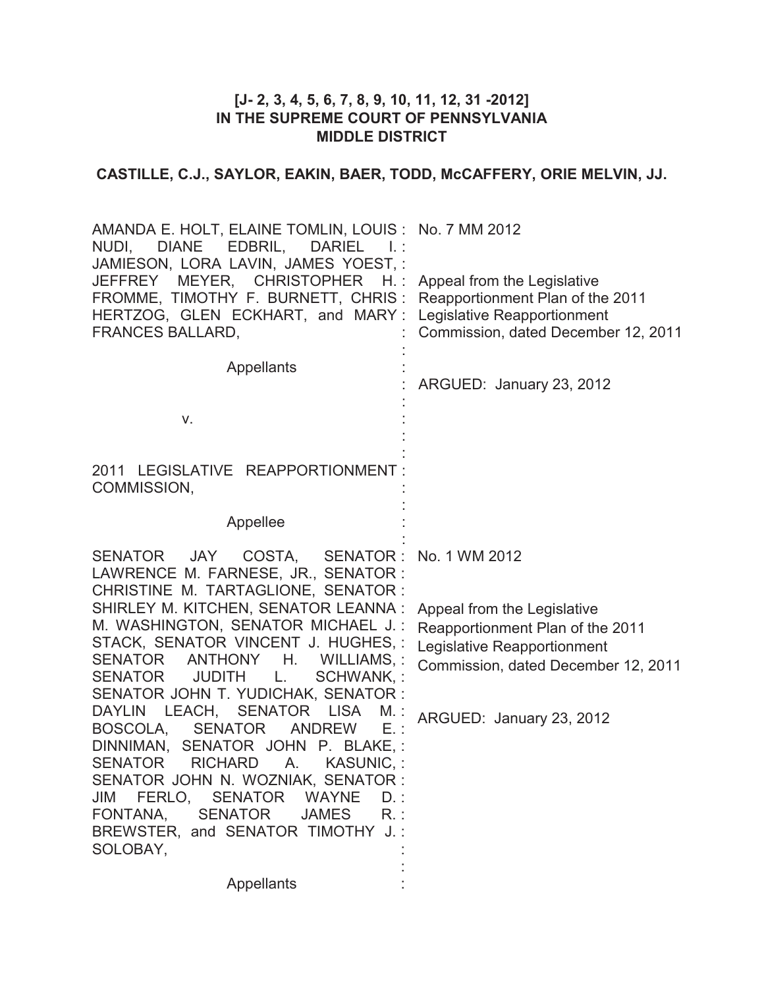# **[J- 2, 3, 4, 5, 6, 7, 8, 9, 10, 11, 12, 31 -2012] IN THE SUPREME COURT OF PENNSYLVANIA MIDDLE DISTRICT**

# **CASTILLE, C.J., SAYLOR, EAKIN, BAER, TODD, McCAFFERY, ORIE MELVIN, JJ.**

| AMANDA E. HOLT, ELAINE TOMLIN, LOUIS : No. 7 MM 2012<br>NUDI, DIANE EDBRIL,<br><b>DARIEL</b><br>- 1. :<br>JAMIESON, LORA LAVIN, JAMES YOEST, :<br>MEYER, CHRISTOPHER<br><b>JEFFREY</b><br>$H_{\rm eff}$<br>FROMME, TIMOTHY F. BURNETT, CHRIS:<br>HERTZOG, GLEN ECKHART, and MARY:<br><b>FRANCES BALLARD,</b>                                                                                                                                                                                                                                                                                                                                                                                                                                                                                      | Appeal from the Legislative<br>Reapportionment Plan of the 2011<br>Legislative Reapportionment<br>Commission, dated December 12, 2011                                              |
|---------------------------------------------------------------------------------------------------------------------------------------------------------------------------------------------------------------------------------------------------------------------------------------------------------------------------------------------------------------------------------------------------------------------------------------------------------------------------------------------------------------------------------------------------------------------------------------------------------------------------------------------------------------------------------------------------------------------------------------------------------------------------------------------------|------------------------------------------------------------------------------------------------------------------------------------------------------------------------------------|
| <b>Appellants</b><br>V.                                                                                                                                                                                                                                                                                                                                                                                                                                                                                                                                                                                                                                                                                                                                                                           | ARGUED: January 23, 2012                                                                                                                                                           |
| 2011 LEGISLATIVE REAPPORTIONMENT:<br>COMMISSION,                                                                                                                                                                                                                                                                                                                                                                                                                                                                                                                                                                                                                                                                                                                                                  |                                                                                                                                                                                    |
| Appellee                                                                                                                                                                                                                                                                                                                                                                                                                                                                                                                                                                                                                                                                                                                                                                                          |                                                                                                                                                                                    |
| SENATOR JAY<br>COSTA,<br>SENATOR:<br>LAWRENCE M. FARNESE, JR., SENATOR:<br>CHRISTINE M. TARTAGLIONE, SENATOR:<br>SHIRLEY M. KITCHEN, SENATOR LEANNA:<br>M. WASHINGTON, SENATOR MICHAEL J.:<br>STACK, SENATOR VINCENT J. HUGHES, :<br><b>SENATOR</b><br>ANTHONY<br>Η.<br>WILLIAMS.:<br><b>SENATOR</b><br><b>JUDITH</b><br>SCHWANK, :<br>L.<br>SENATOR JOHN T. YUDICHAK, SENATOR :<br>DAYLIN LEACH, SENATOR<br><b>LISA</b><br>$M_{\cdot}$ :<br>$E_{\cdot}$ :<br><b>SENATOR</b><br><b>ANDREW</b><br>BOSCOLA,<br>DINNIMAN, SENATOR JOHN P. BLAKE,:<br><b>RICHARD</b><br><b>KASUNIC,:</b><br>SENATOR<br>A.<br>SENATOR JOHN N. WOZNIAK, SENATOR :<br>FERLO, SENATOR WAYNE<br>JIM<br>$D.$ :<br>FONTANA, SENATOR<br>JAMES<br>$R_{\cdot}$ :<br>BREWSTER, and SENATOR TIMOTHY J.:<br>SOLOBAY,<br>Appellants | No. 1 WM 2012<br>Appeal from the Legislative<br>Reapportionment Plan of the 2011<br>Legislative Reapportionment<br>Commission, dated December 12, 2011<br>ARGUED: January 23, 2012 |
|                                                                                                                                                                                                                                                                                                                                                                                                                                                                                                                                                                                                                                                                                                                                                                                                   |                                                                                                                                                                                    |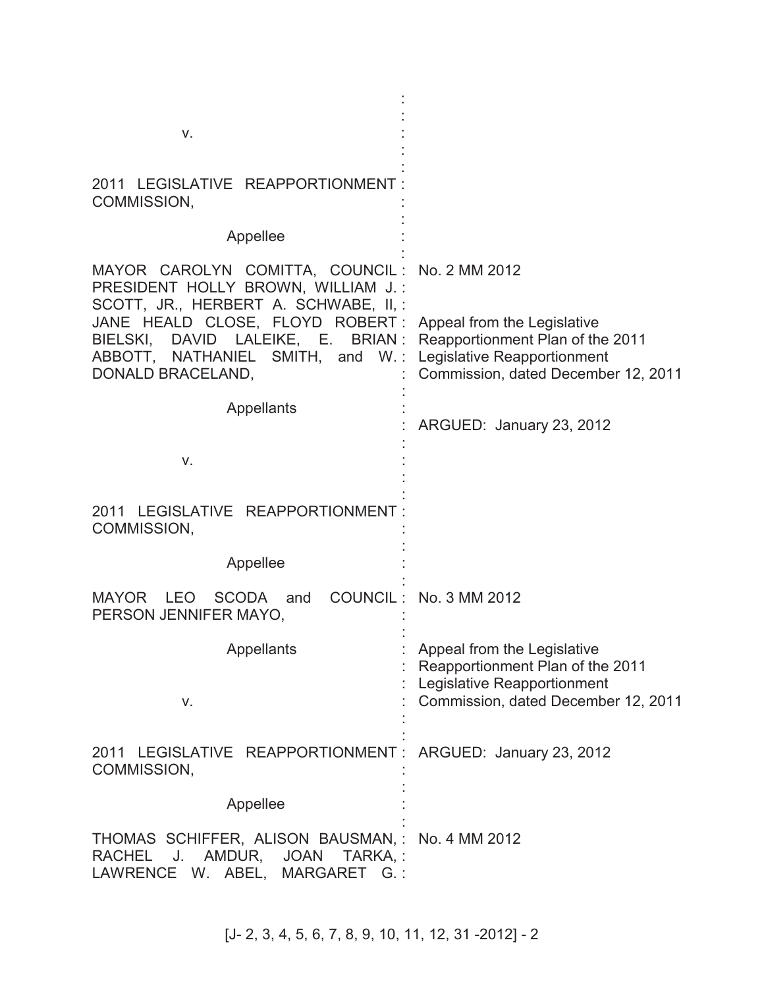| V.                                                                                                                                                                                                                     |                                                                                                                                       |
|------------------------------------------------------------------------------------------------------------------------------------------------------------------------------------------------------------------------|---------------------------------------------------------------------------------------------------------------------------------------|
| 2011 LEGISLATIVE REAPPORTIONMENT:<br>COMMISSION,                                                                                                                                                                       |                                                                                                                                       |
| Appellee                                                                                                                                                                                                               |                                                                                                                                       |
| MAYOR CAROLYN COMITTA, COUNCIL: No. 2 MM 2012<br>PRESIDENT HOLLY BROWN, WILLIAM J.:<br>SCOTT, JR., HERBERT A. SCHWABE, II,:                                                                                            |                                                                                                                                       |
| JANE HEALD CLOSE, FLOYD ROBERT: Appeal from the Legislative<br>BIELSKI, DAVID LALEIKE, E. BRIAN: Reapportionment Plan of the 2011<br>ABBOTT, NATHANIEL SMITH, and W.: Legislative Reapportionment<br>DONALD BRACELAND, | Commission, dated December 12, 2011                                                                                                   |
| <b>Appellants</b>                                                                                                                                                                                                      | ARGUED: January 23, 2012                                                                                                              |
| V.                                                                                                                                                                                                                     |                                                                                                                                       |
| 2011 LEGISLATIVE REAPPORTIONMENT:<br>COMMISSION,                                                                                                                                                                       |                                                                                                                                       |
| Appellee                                                                                                                                                                                                               |                                                                                                                                       |
| <b>SCODA</b><br>MAYOR LEO<br>and<br>PERSON JENNIFER MAYO.                                                                                                                                                              | COUNCIL: No. 3 MM 2012                                                                                                                |
| Appellants<br>V.                                                                                                                                                                                                       | Appeal from the Legislative<br>Reapportionment Plan of the 2011<br>Legislative Reapportionment<br>Commission, dated December 12, 2011 |
| 2011 LEGISLATIVE REAPPORTIONMENT: ARGUED: January 23, 2012<br>COMMISSION,                                                                                                                                              |                                                                                                                                       |
| Appellee                                                                                                                                                                                                               |                                                                                                                                       |
| THOMAS SCHIFFER, ALISON BAUSMAN, : No. 4 MM 2012<br>RACHEL J. AMDUR, JOAN TARKA,:<br>LAWRENCE W. ABEL,<br>MARGARET G.:                                                                                                 |                                                                                                                                       |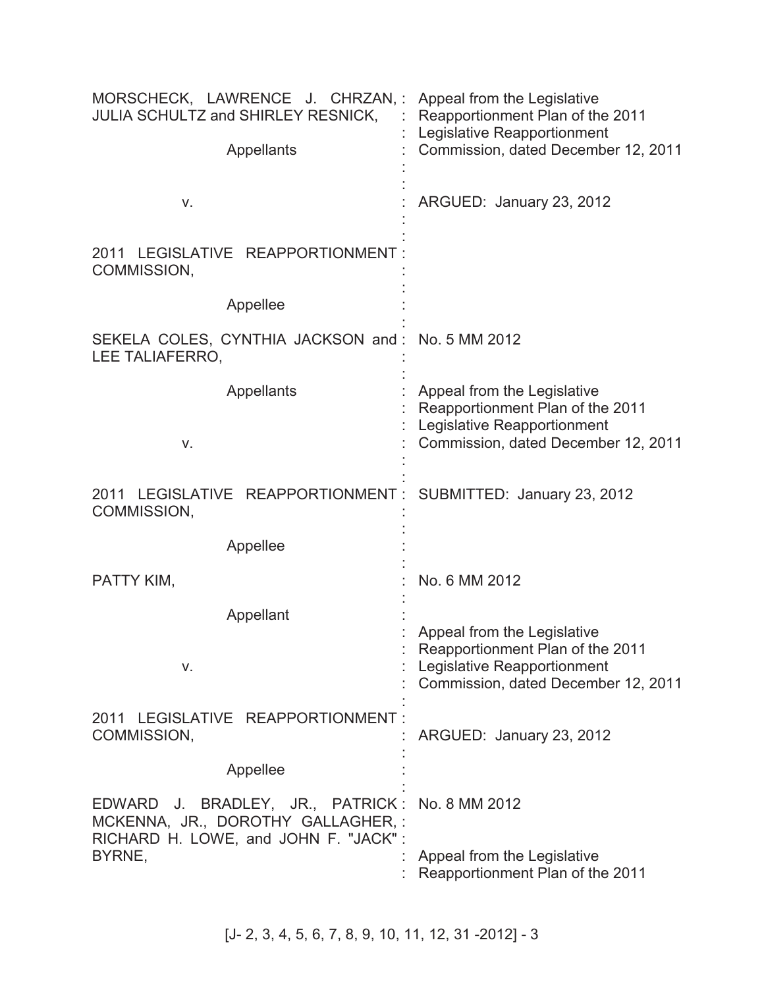| MORSCHECK, LAWRENCE J. CHRZAN,:<br>JULIA SCHULTZ and SHIRLEY RESNICK,<br>Appellants                                     | Appeal from the Legislative<br>Reapportionment Plan of the 2011<br>Legislative Reapportionment<br>Commission, dated December 12, 2011 |
|-------------------------------------------------------------------------------------------------------------------------|---------------------------------------------------------------------------------------------------------------------------------------|
| V.                                                                                                                      | ARGUED: January 23, 2012                                                                                                              |
| 2011 LEGISLATIVE REAPPORTIONMENT:<br>COMMISSION,                                                                        |                                                                                                                                       |
| Appellee                                                                                                                |                                                                                                                                       |
| SEKELA COLES, CYNTHIA JACKSON and: No. 5 MM 2012<br>LEE TALIAFERRO,                                                     |                                                                                                                                       |
| Appellants<br>V.                                                                                                        | Appeal from the Legislative<br>Reapportionment Plan of the 2011<br>Legislative Reapportionment<br>Commission, dated December 12, 2011 |
|                                                                                                                         |                                                                                                                                       |
| 2011 LEGISLATIVE REAPPORTIONMENT: SUBMITTED: January 23, 2012<br>COMMISSION,                                            |                                                                                                                                       |
| Appellee                                                                                                                |                                                                                                                                       |
| PATTY KIM,                                                                                                              | No. 6 MM 2012                                                                                                                         |
| Appellant                                                                                                               |                                                                                                                                       |
| ۷.                                                                                                                      | Appeal from the Legislative<br>Reapportionment Plan of the 2011<br>Legislative Reapportionment<br>Commission, dated December 12, 2011 |
| 2011 LEGISLATIVE REAPPORTIONMENT:<br>COMMISSION,                                                                        | ARGUED: January 23, 2012                                                                                                              |
| Appellee                                                                                                                |                                                                                                                                       |
| EDWARD J. BRADLEY, JR., PATRICK:<br>MCKENNA, JR., DOROTHY GALLAGHER,:<br>RICHARD H. LOWE, and JOHN F. "JACK":<br>BYRNE, | No. 8 MM 2012<br>Appeal from the Legislative                                                                                          |
|                                                                                                                         | Reapportionment Plan of the 2011                                                                                                      |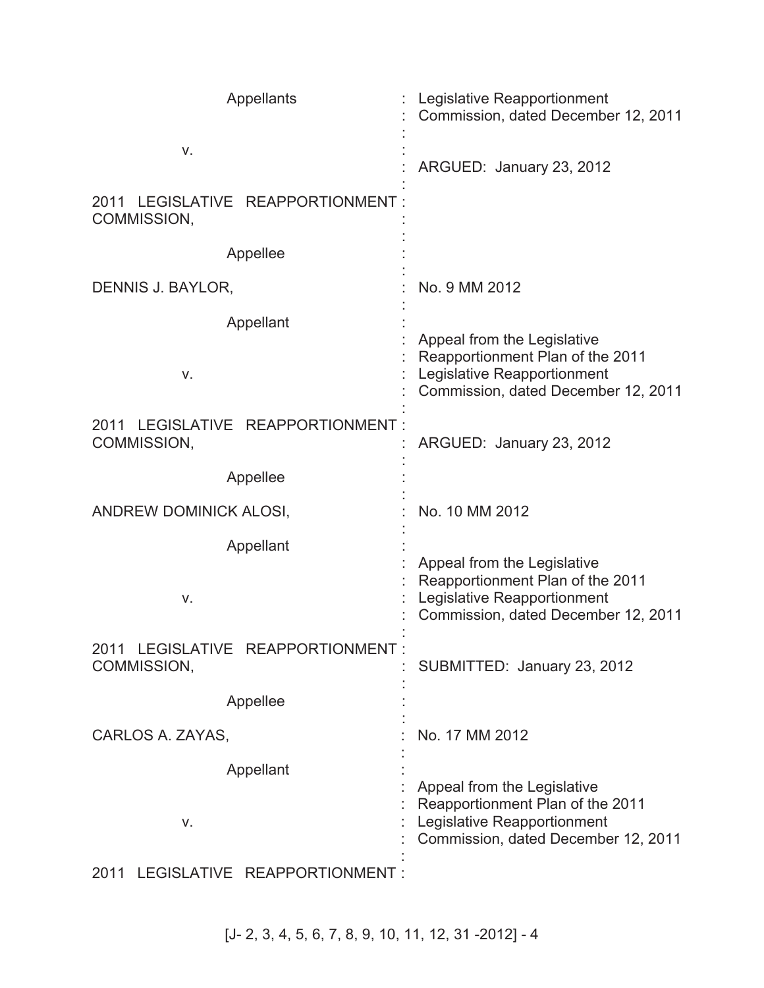| <b>Appellants</b>                                   | Legislative Reapportionment<br>Commission, dated December 12, 2011                                                                    |
|-----------------------------------------------------|---------------------------------------------------------------------------------------------------------------------------------------|
| V.                                                  | ARGUED: January 23, 2012                                                                                                              |
| LEGISLATIVE REAPPORTIONMENT<br>2011<br>COMMISSION,  |                                                                                                                                       |
| Appellee                                            |                                                                                                                                       |
| DENNIS J. BAYLOR,                                   | No. 9 MM 2012                                                                                                                         |
| Appellant<br>V.                                     | Appeal from the Legislative<br>Reapportionment Plan of the 2011<br>Legislative Reapportionment<br>Commission, dated December 12, 2011 |
| LEGISLATIVE REAPPORTIONMENT:<br>2011<br>COMMISSION, | ARGUED: January 23, 2012                                                                                                              |
| Appellee                                            |                                                                                                                                       |
| ANDREW DOMINICK ALOSI,                              | No. 10 MM 2012                                                                                                                        |
| Appellant<br>V.                                     | Appeal from the Legislative<br>Reapportionment Plan of the 2011<br>Legislative Reapportionment<br>Commission, dated December 12, 2011 |
| 2011 LEGISLATIVE REAPPORTIONMENT :<br>COMMISSION,   | SUBMITTED: January 23, 2012                                                                                                           |
| Appellee                                            |                                                                                                                                       |
| CARLOS A. ZAYAS,                                    | No. 17 MM 2012                                                                                                                        |
| Appellant<br>V.<br>2011 LECISLATIVE DEADDODTIONMENT | Appeal from the Legislative<br>Reapportionment Plan of the 2011<br>Legislative Reapportionment<br>Commission, dated December 12, 2011 |

2011 LEGISLATIVE REAPPORTIONMENT :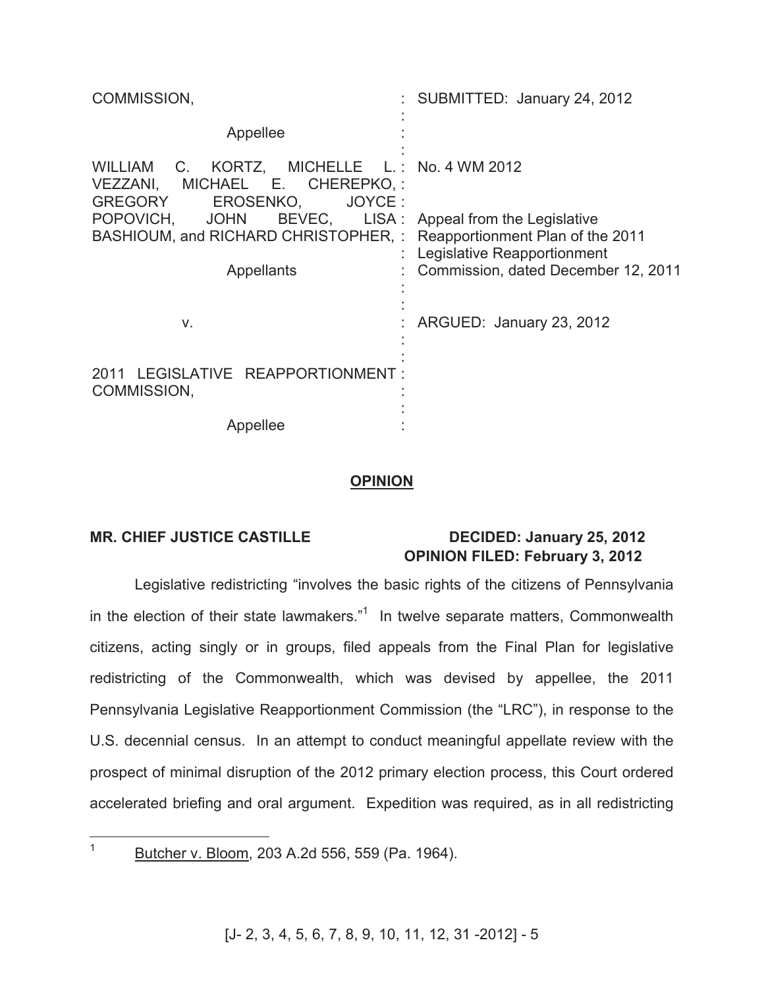| COMMISSION,                                                                                                                                                                                                               | : SUBMITTED: January 24, 2012                                                                                    |
|---------------------------------------------------------------------------------------------------------------------------------------------------------------------------------------------------------------------------|------------------------------------------------------------------------------------------------------------------|
| Appellee                                                                                                                                                                                                                  |                                                                                                                  |
| WILLIAM C. KORTZ, MICHELLE L.: No. 4 WM 2012<br>VEZZANI, MICHAEL E. CHEREPKO,:<br>GREGORY<br>JOYCE:<br>EROSENKO,<br>POPOVICH, JOHN<br>BASHIOUM, and RICHARD CHRISTOPHER, : Reapportionment Plan of the 2011<br>Appellants | BEVEC, LISA: Appeal from the Legislative<br>Legislative Reapportionment<br>: Commission, dated December 12, 2011 |
| V.                                                                                                                                                                                                                        | ARGUED: January 23, 2012                                                                                         |
| 2011 LEGISLATIVE REAPPORTIONMENT:<br>COMMISSION,                                                                                                                                                                          |                                                                                                                  |
| Appellee                                                                                                                                                                                                                  |                                                                                                                  |

#### **OPINION**

### **MR. CHIEF JUSTICE CASTILLE DECIDED: January 25, 2012 OPINION FILED: February 3, 2012**

Legislative redistricting "involves the basic rights of the citizens of Pennsylvania in the election of their state lawmakers."<sup>1</sup> In twelve separate matters, Commonwealth citizens, acting singly or in groups, filed appeals from the Final Plan for legislative redistricting of the Commonwealth, which was devised by appellee, the 2011 Pennsylvania Legislative Reapportionment Commission (the "LRC"), in response to the U.S. decennial census. In an attempt to conduct meaningful appellate review with the prospect of minimal disruption of the 2012 primary election process, this Court ordered accelerated briefing and oral argument. Expedition was required, as in all redistricting

 $\mathbf{1}$ Butcher v. Bloom, 203 A.2d 556, 559 (Pa. 1964).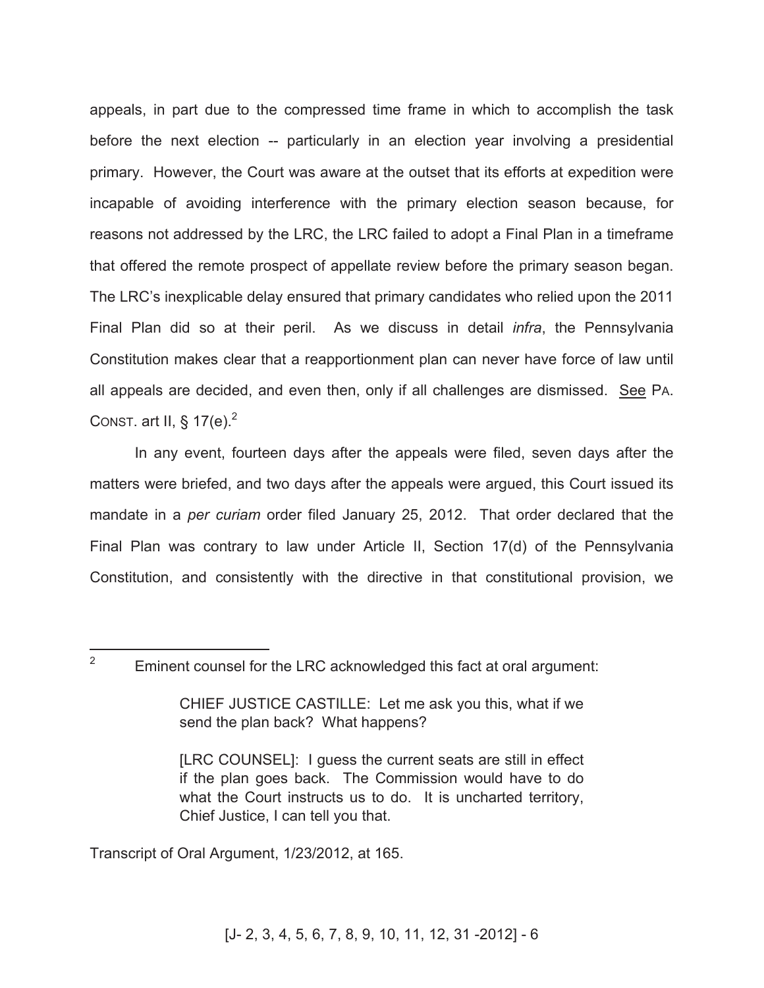appeals, in part due to the compressed time frame in which to accomplish the task before the next election -- particularly in an election year involving a presidential primary. However, the Court was aware at the outset that its efforts at expedition were incapable of avoiding interference with the primary election season because, for reasons not addressed by the LRC, the LRC failed to adopt a Final Plan in a timeframe that offered the remote prospect of appellate review before the primary season began. The LRC's inexplicable delay ensured that primary candidates who relied upon the 2011 Final Plan did so at their peril. As we discuss in detail *infra*, the Pennsylvania Constitution makes clear that a reapportionment plan can never have force of law until all appeals are decided, and even then, only if all challenges are dismissed. See PA. CONST. art II, §  $17(e)^2$ 

In any event, fourteen days after the appeals were filed, seven days after the matters were briefed, and two days after the appeals were argued, this Court issued its mandate in a *per curiam* order filed January 25, 2012. That order declared that the Final Plan was contrary to law under Article II, Section 17(d) of the Pennsylvania Constitution, and consistently with the directive in that constitutional provision, we

Transcript of Oral Argument, 1/23/2012, at 165.

 $\mathcal{P}$ Eminent counsel for the LRC acknowledged this fact at oral argument:

CHIEF JUSTICE CASTILLE: Let me ask you this, what if we send the plan back? What happens?

<sup>[</sup>LRC COUNSEL]: I guess the current seats are still in effect if the plan goes back. The Commission would have to do what the Court instructs us to do. It is uncharted territory, Chief Justice, I can tell you that.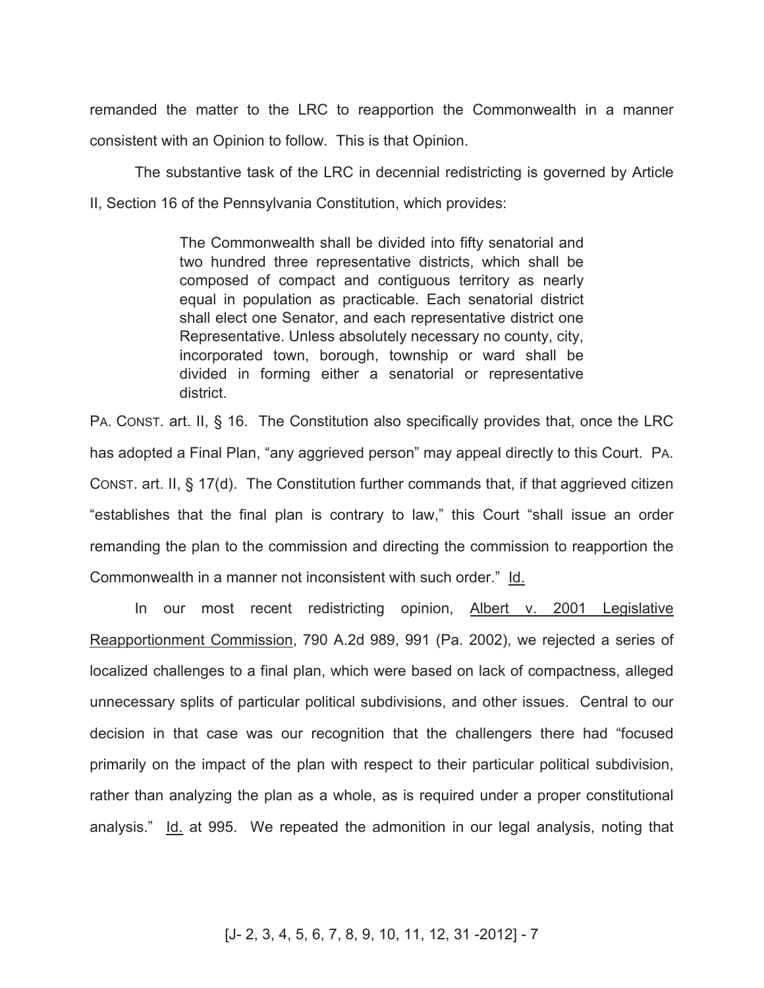remanded the matter to the LRC to reapportion the Commonwealth in a manner consistent with an Opinion to follow. This is that Opinion.

The substantive task of the LRC in decennial redistricting is governed by Article II, Section 16 of the Pennsylvania Constitution, which provides:

> The Commonwealth shall be divided into fifty senatorial and two hundred three representative districts, which shall be composed of compact and contiguous territory as nearly equal in population as practicable. Each senatorial district shall elect one Senator, and each representative district one Representative. Unless absolutely necessary no county, city, incorporated town, borough, township or ward shall be divided in forming either a senatorial or representative district.

PA. CONST. art. II, § 16. The Constitution also specifically provides that, once the LRC has adopted a Final Plan, "any aggrieved person" may appeal directly to this Court. PA. CONST. art. II, § 17(d). The Constitution further commands that, if that aggrieved citizen "establishes that the final plan is contrary to law," this Court "shall issue an order remanding the plan to the commission and directing the commission to reapportion the Commonwealth in a manner not inconsistent with such order." Id.

In our most recent redistricting opinion, Albert v. 2001 Legislative Reapportionment Commission, 790 A.2d 989, 991 (Pa. 2002), we rejected a series of localized challenges to a final plan, which were based on lack of compactness, alleged unnecessary splits of particular political subdivisions, and other issues. Central to our decision in that case was our recognition that the challengers there had "focused primarily on the impact of the plan with respect to their particular political subdivision, rather than analyzing the plan as a whole, as is required under a proper constitutional analysis." Id. at 995. We repeated the admonition in our legal analysis, noting that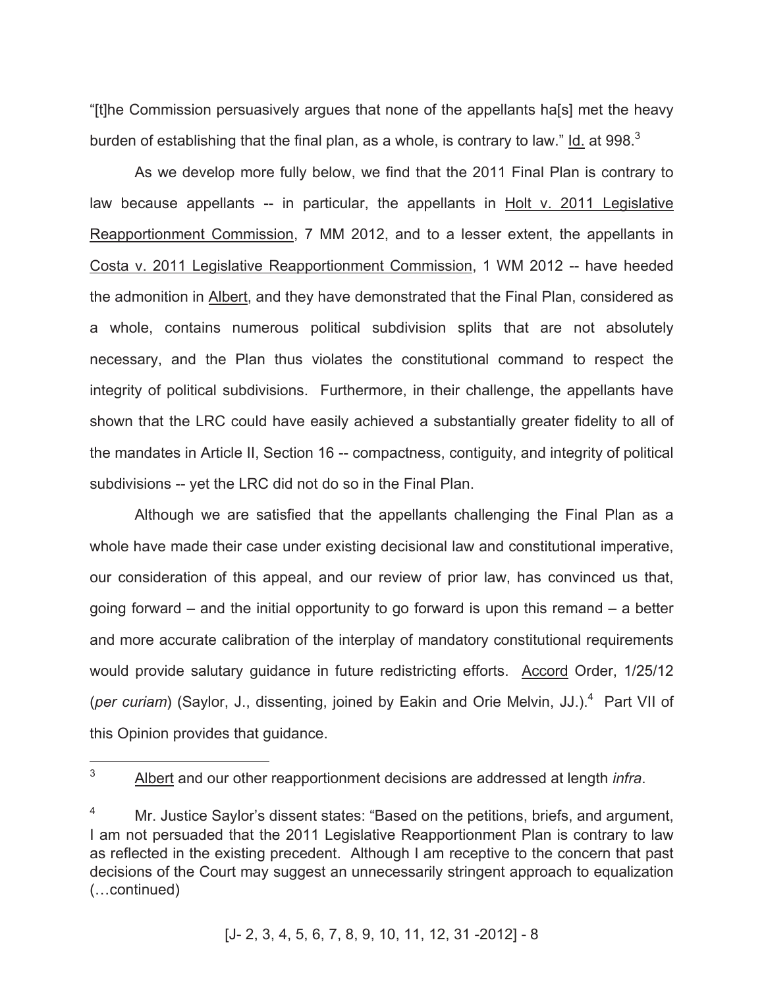"[t]he Commission persuasively argues that none of the appellants ha[s] met the heavy burden of establishing that the final plan, as a whole, is contrary to law." Id. at 998. $^3$ 

As we develop more fully below, we find that the 2011 Final Plan is contrary to law because appellants -- in particular, the appellants in Holt v. 2011 Legislative Reapportionment Commission, 7 MM 2012, and to a lesser extent, the appellants in Costa v. 2011 Legislative Reapportionment Commission, 1 WM 2012 -- have heeded the admonition in Albert, and they have demonstrated that the Final Plan, considered as a whole, contains numerous political subdivision splits that are not absolutely necessary, and the Plan thus violates the constitutional command to respect the integrity of political subdivisions. Furthermore, in their challenge, the appellants have shown that the LRC could have easily achieved a substantially greater fidelity to all of the mandates in Article II, Section 16 -- compactness, contiguity, and integrity of political subdivisions -- yet the LRC did not do so in the Final Plan.

Although we are satisfied that the appellants challenging the Final Plan as a whole have made their case under existing decisional law and constitutional imperative, our consideration of this appeal, and our review of prior law, has convinced us that, going forward – and the initial opportunity to go forward is upon this remand – a better and more accurate calibration of the interplay of mandatory constitutional requirements would provide salutary guidance in future redistricting efforts. Accord Order, 1/25/12 (per curiam) (Saylor, J., dissenting, joined by Eakin and Orie Melvin, JJ.).<sup>4</sup> Part VII of this Opinion provides that guidance.

 $\mathcal{E}$ <sup>3</sup> Albert and our other reapportionment decisions are addressed at length *infra*.

Mr. Justice Saylor's dissent states: "Based on the petitions, briefs, and argument, I am not persuaded that the 2011 Legislative Reapportionment Plan is contrary to law as reflected in the existing precedent. Although I am receptive to the concern that past decisions of the Court may suggest an unnecessarily stringent approach to equalization (…continued)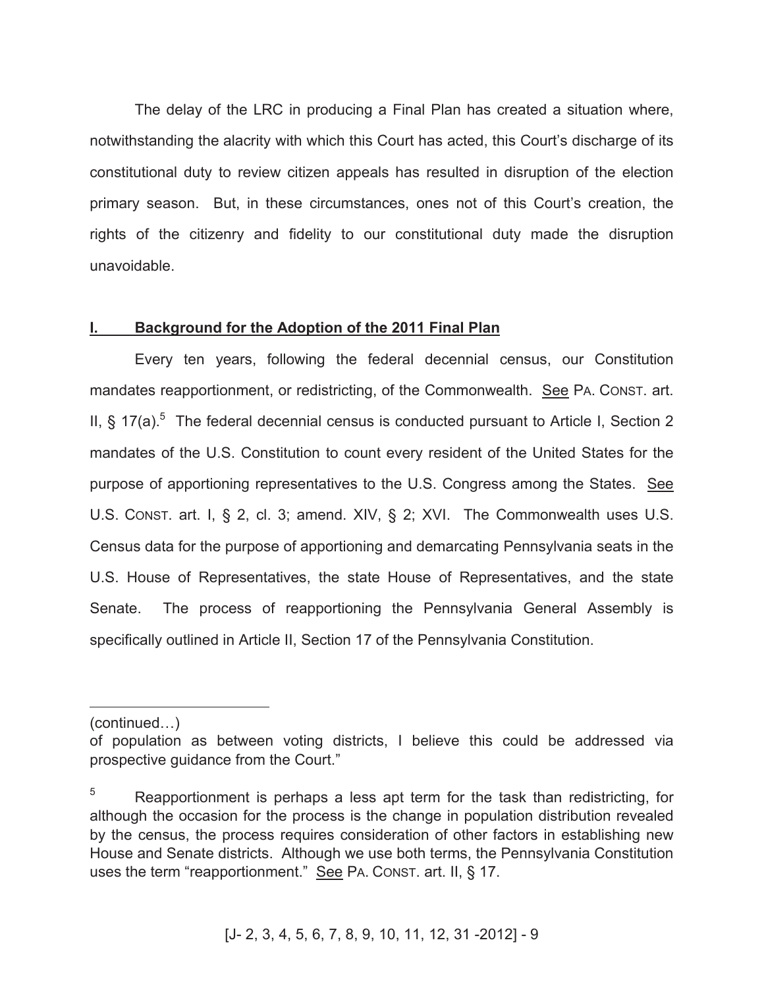The delay of the LRC in producing a Final Plan has created a situation where, notwithstanding the alacrity with which this Court has acted, this Court's discharge of its constitutional duty to review citizen appeals has resulted in disruption of the election primary season. But, in these circumstances, ones not of this Court's creation, the rights of the citizenry and fidelity to our constitutional duty made the disruption unavoidable.

#### **I. Background for the Adoption of the 2011 Final Plan**

Every ten years, following the federal decennial census, our Constitution mandates reapportionment, or redistricting, of the Commonwealth. See PA. CONST. art. II, § 17(a).<sup>5</sup> The federal decennial census is conducted pursuant to Article I, Section 2 mandates of the U.S. Constitution to count every resident of the United States for the purpose of apportioning representatives to the U.S. Congress among the States. See U.S. CONST. art. I, § 2, cl. 3; amend. XIV, § 2; XVI. The Commonwealth uses U.S. Census data for the purpose of apportioning and demarcating Pennsylvania seats in the U.S. House of Representatives, the state House of Representatives, and the state Senate. The process of reapportioning the Pennsylvania General Assembly is specifically outlined in Article II, Section 17 of the Pennsylvania Constitution.

(continued…)

 $\overline{a}$ 

of population as between voting districts, I believe this could be addressed via prospective guidance from the Court."

 $5$  Reapportionment is perhaps a less apt term for the task than redistricting, for although the occasion for the process is the change in population distribution revealed by the census, the process requires consideration of other factors in establishing new House and Senate districts. Although we use both terms, the Pennsylvania Constitution uses the term "reapportionment." See PA. CONST. art. II, § 17.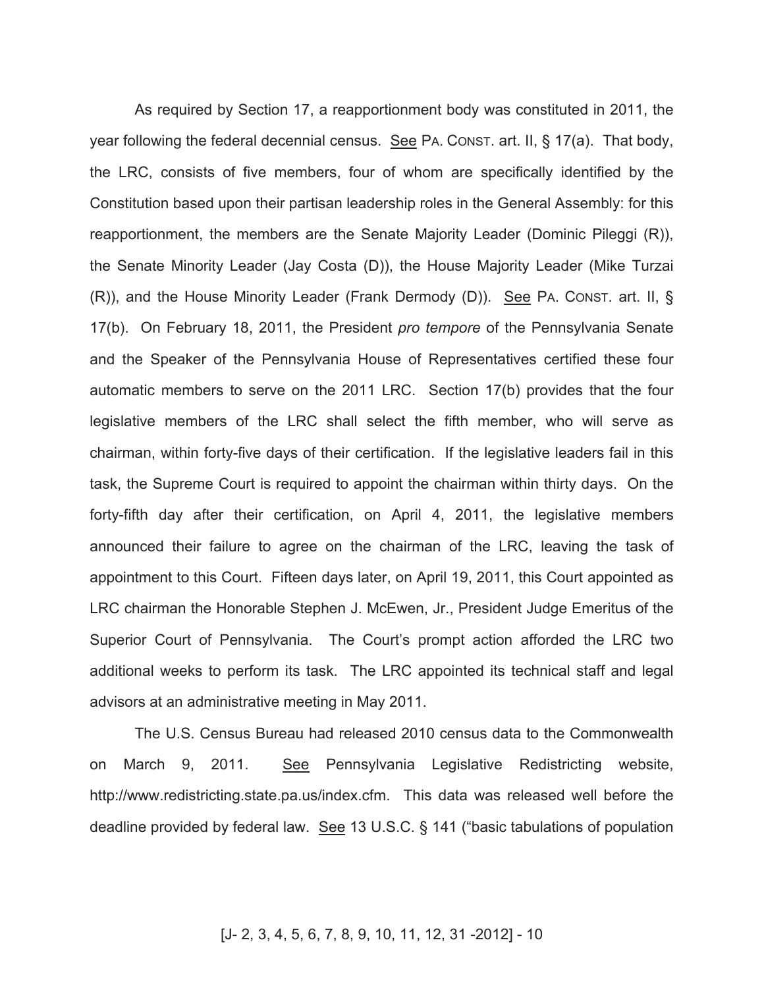As required by Section 17, a reapportionment body was constituted in 2011, the year following the federal decennial census. See PA. CONST. art. II, § 17(a). That body, the LRC, consists of five members, four of whom are specifically identified by the Constitution based upon their partisan leadership roles in the General Assembly: for this reapportionment, the members are the Senate Majority Leader (Dominic Pileggi (R)), the Senate Minority Leader (Jay Costa (D)), the House Majority Leader (Mike Turzai (R)), and the House Minority Leader (Frank Dermody (D)). See PA. CONST. art. II, § 17(b). On February 18, 2011, the President *pro tempore* of the Pennsylvania Senate and the Speaker of the Pennsylvania House of Representatives certified these four automatic members to serve on the 2011 LRC. Section 17(b) provides that the four legislative members of the LRC shall select the fifth member, who will serve as chairman, within forty-five days of their certification. If the legislative leaders fail in this task, the Supreme Court is required to appoint the chairman within thirty days. On the forty-fifth day after their certification, on April 4, 2011, the legislative members announced their failure to agree on the chairman of the LRC, leaving the task of appointment to this Court. Fifteen days later, on April 19, 2011, this Court appointed as LRC chairman the Honorable Stephen J. McEwen, Jr., President Judge Emeritus of the Superior Court of Pennsylvania. The Court's prompt action afforded the LRC two additional weeks to perform its task. The LRC appointed its technical staff and legal advisors at an administrative meeting in May 2011.

The U.S. Census Bureau had released 2010 census data to the Commonwealth on March 9, 2011. See Pennsylvania Legislative Redistricting website, http://www.redistricting.state.pa.us/index.cfm. This data was released well before the deadline provided by federal law. See 13 U.S.C. § 141 ("basic tabulations of population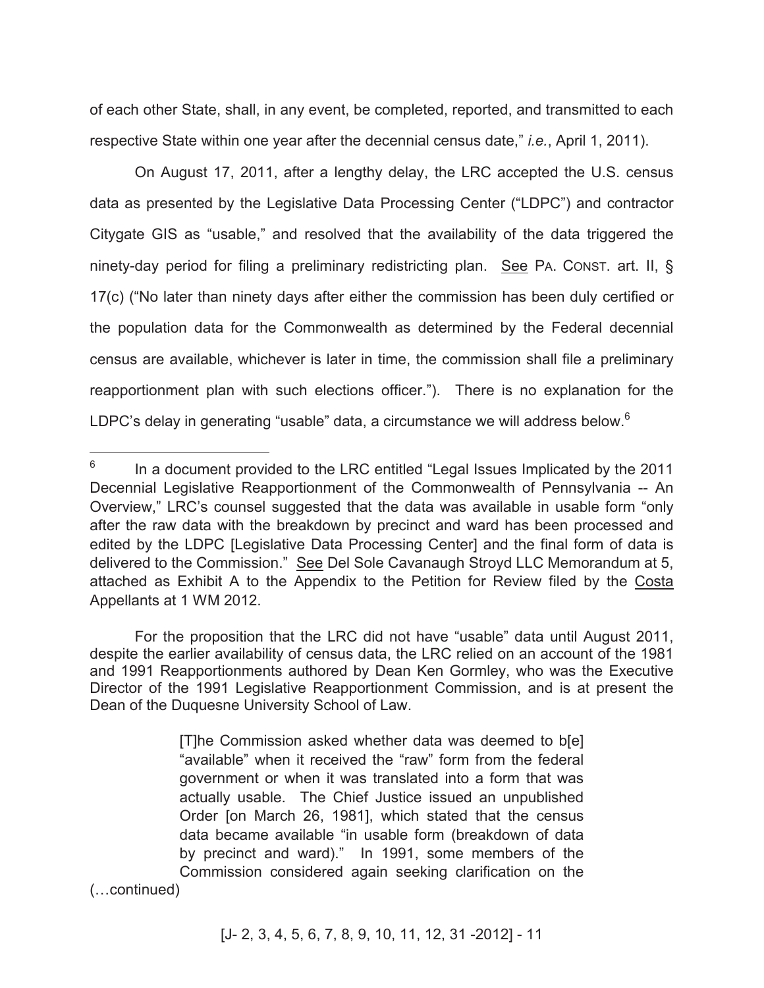of each other State, shall, in any event, be completed, reported, and transmitted to each respective State within one year after the decennial census date," *i.e.*, April 1, 2011).

On August 17, 2011, after a lengthy delay, the LRC accepted the U.S. census data as presented by the Legislative Data Processing Center ("LDPC") and contractor Citygate GIS as "usable," and resolved that the availability of the data triggered the ninety-day period for filing a preliminary redistricting plan. See PA. CONST. art. II, § 17(c) ("No later than ninety days after either the commission has been duly certified or the population data for the Commonwealth as determined by the Federal decennial census are available, whichever is later in time, the commission shall file a preliminary reapportionment plan with such elections officer."). There is no explanation for the LDPC's delay in generating "usable" data, a circumstance we will address below.<sup>6</sup>

 $\overline{a}$ 

[T]he Commission asked whether data was deemed to b[e] "available" when it received the "raw" form from the federal government or when it was translated into a form that was actually usable. The Chief Justice issued an unpublished Order [on March 26, 1981], which stated that the census data became available "in usable form (breakdown of data by precinct and ward)." In 1991, some members of the Commission considered again seeking clarification on the (…continued)

<sup>6</sup> In a document provided to the LRC entitled "Legal Issues Implicated by the 2011 Decennial Legislative Reapportionment of the Commonwealth of Pennsylvania -- An Overview," LRC's counsel suggested that the data was available in usable form "only after the raw data with the breakdown by precinct and ward has been processed and edited by the LDPC [Legislative Data Processing Center] and the final form of data is delivered to the Commission." See Del Sole Cavanaugh Stroyd LLC Memorandum at 5, attached as Exhibit A to the Appendix to the Petition for Review filed by the Costa Appellants at 1 WM 2012.

For the proposition that the LRC did not have "usable" data until August 2011, despite the earlier availability of census data, the LRC relied on an account of the 1981 and 1991 Reapportionments authored by Dean Ken Gormley, who was the Executive Director of the 1991 Legislative Reapportionment Commission, and is at present the Dean of the Duquesne University School of Law.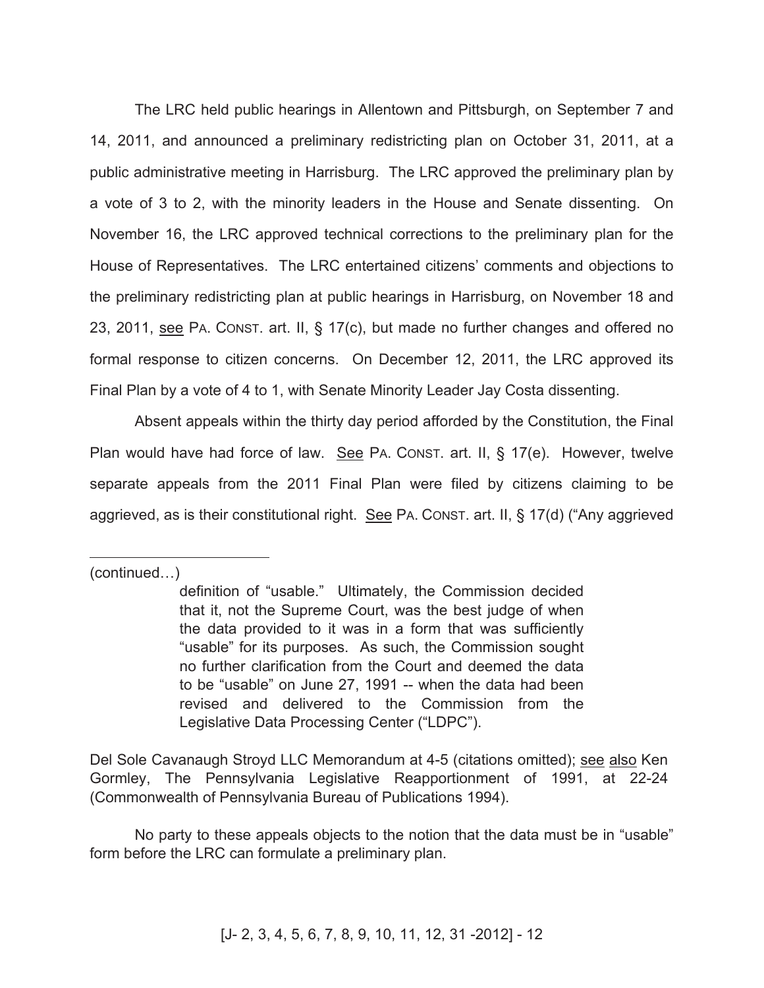The LRC held public hearings in Allentown and Pittsburgh, on September 7 and 14, 2011, and announced a preliminary redistricting plan on October 31, 2011, at a public administrative meeting in Harrisburg. The LRC approved the preliminary plan by a vote of 3 to 2, with the minority leaders in the House and Senate dissenting. On November 16, the LRC approved technical corrections to the preliminary plan for the House of Representatives. The LRC entertained citizens' comments and objections to the preliminary redistricting plan at public hearings in Harrisburg, on November 18 and 23, 2011, see PA. CONST. art. II, § 17(c), but made no further changes and offered no formal response to citizen concerns. On December 12, 2011, the LRC approved its Final Plan by a vote of 4 to 1, with Senate Minority Leader Jay Costa dissenting.

Absent appeals within the thirty day period afforded by the Constitution, the Final Plan would have had force of law. See PA. CONST. art. II, § 17(e). However, twelve separate appeals from the 2011 Final Plan were filed by citizens claiming to be aggrieved, as is their constitutional right. See PA. CONST. art. II, § 17(d) ("Any aggrieved

(continued…)

 $\overline{a}$ 

definition of "usable." Ultimately, the Commission decided that it, not the Supreme Court, was the best judge of when the data provided to it was in a form that was sufficiently "usable" for its purposes. As such, the Commission sought no further clarification from the Court and deemed the data to be "usable" on June 27, 1991 -- when the data had been revised and delivered to the Commission from the Legislative Data Processing Center ("LDPC").

Del Sole Cavanaugh Stroyd LLC Memorandum at 4-5 (citations omitted); see also Ken Gormley, The Pennsylvania Legislative Reapportionment of 1991, at 22-24 (Commonwealth of Pennsylvania Bureau of Publications 1994).

No party to these appeals objects to the notion that the data must be in "usable" form before the LRC can formulate a preliminary plan.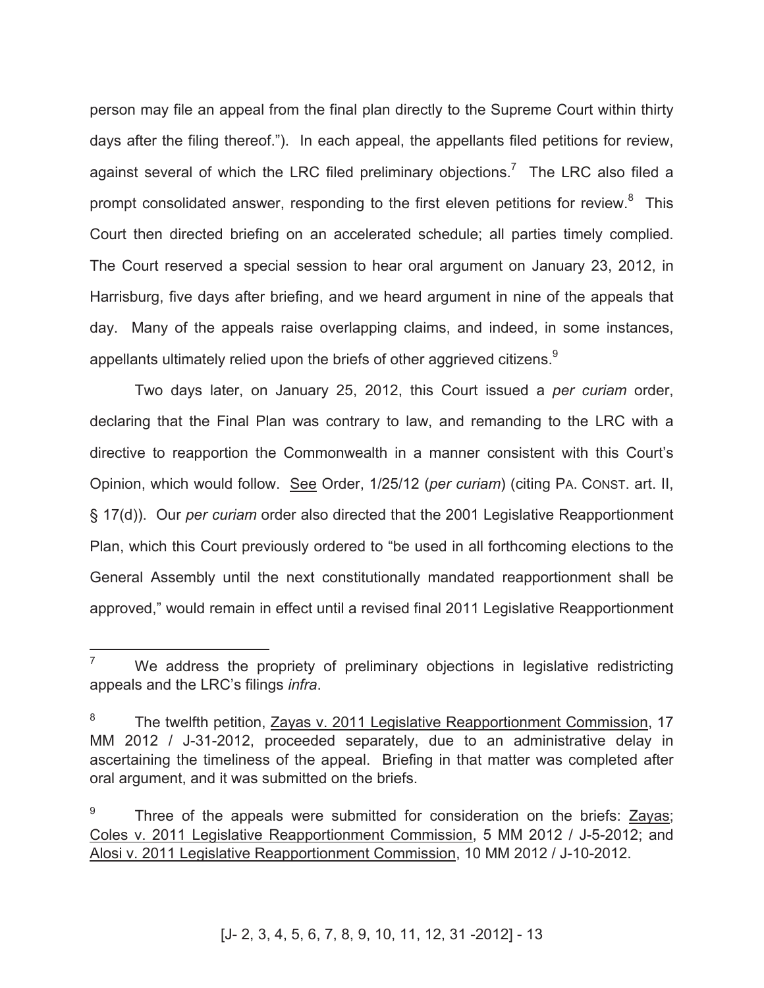person may file an appeal from the final plan directly to the Supreme Court within thirty days after the filing thereof."). In each appeal, the appellants filed petitions for review, against several of which the LRC filed preliminary objections.<sup>7</sup> The LRC also filed a prompt consolidated answer, responding to the first eleven petitions for review.<sup>8</sup> This Court then directed briefing on an accelerated schedule; all parties timely complied. The Court reserved a special session to hear oral argument on January 23, 2012, in Harrisburg, five days after briefing, and we heard argument in nine of the appeals that day. Many of the appeals raise overlapping claims, and indeed, in some instances, appellants ultimately relied upon the briefs of other aggrieved citizens. $^9$ 

Two days later, on January 25, 2012, this Court issued a *per curiam* order, declaring that the Final Plan was contrary to law, and remanding to the LRC with a directive to reapportion the Commonwealth in a manner consistent with this Court's Opinion, which would follow. See Order, 1/25/12 (*per curiam*) (citing PA. CONST. art. II, § 17(d)). Our *per curiam* order also directed that the 2001 Legislative Reapportionment Plan, which this Court previously ordered to "be used in all forthcoming elections to the General Assembly until the next constitutionally mandated reapportionment shall be approved," would remain in effect until a revised final 2011 Legislative Reapportionment

 $\overline{a}$ 

 $7$  We address the propriety of preliminary objections in legislative redistricting appeals and the LRC's filings *infra*.

<sup>8</sup> The twelfth petition, Zayas v. 2011 Legislative Reapportionment Commission, 17 MM 2012 / J-31-2012, proceeded separately, due to an administrative delay in ascertaining the timeliness of the appeal. Briefing in that matter was completed after oral argument, and it was submitted on the briefs.

<sup>9</sup> Three of the appeals were submitted for consideration on the briefs: Zayas; Coles v. 2011 Legislative Reapportionment Commission, 5 MM 2012 / J-5-2012; and Alosi v. 2011 Legislative Reapportionment Commission, 10 MM 2012 / J-10-2012.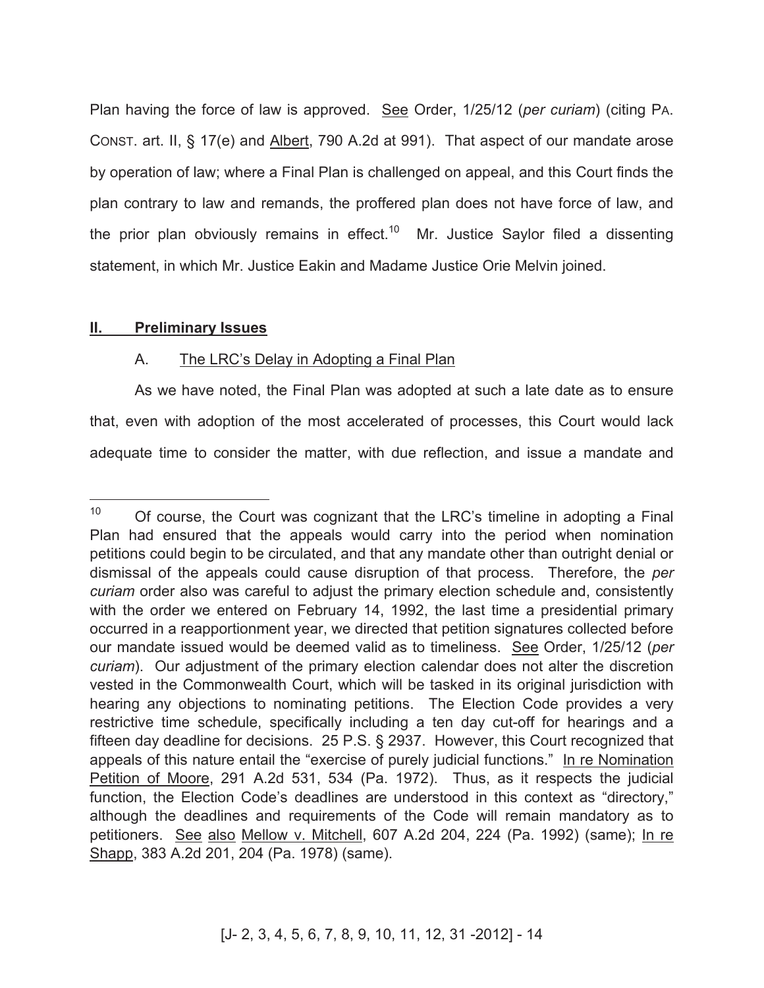Plan having the force of law is approved. See Order, 1/25/12 (*per curiam*) (citing PA. CONST. art. II, § 17(e) and Albert, 790 A.2d at 991). That aspect of our mandate arose by operation of law; where a Final Plan is challenged on appeal, and this Court finds the plan contrary to law and remands, the proffered plan does not have force of law, and the prior plan obviously remains in effect.<sup>10</sup> Mr. Justice Saylor filed a dissenting statement, in which Mr. Justice Eakin and Madame Justice Orie Melvin joined.

### **II. Preliminary Issues**

## A. The LRC's Delay in Adopting a Final Plan

As we have noted, the Final Plan was adopted at such a late date as to ensure that, even with adoption of the most accelerated of processes, this Court would lack adequate time to consider the matter, with due reflection, and issue a mandate and

 $10<sup>1</sup>$ <sup>10</sup> Of course, the Court was cognizant that the LRC's timeline in adopting a Final Plan had ensured that the appeals would carry into the period when nomination petitions could begin to be circulated, and that any mandate other than outright denial or dismissal of the appeals could cause disruption of that process. Therefore, the *per curiam* order also was careful to adjust the primary election schedule and, consistently with the order we entered on February 14, 1992, the last time a presidential primary occurred in a reapportionment year, we directed that petition signatures collected before our mandate issued would be deemed valid as to timeliness. See Order, 1/25/12 (*per curiam*). Our adjustment of the primary election calendar does not alter the discretion vested in the Commonwealth Court, which will be tasked in its original jurisdiction with hearing any objections to nominating petitions. The Election Code provides a very restrictive time schedule, specifically including a ten day cut-off for hearings and a fifteen day deadline for decisions. 25 P.S. § 2937. However, this Court recognized that appeals of this nature entail the "exercise of purely judicial functions." In re Nomination Petition of Moore, 291 A.2d 531, 534 (Pa. 1972). Thus, as it respects the judicial function, the Election Code's deadlines are understood in this context as "directory," although the deadlines and requirements of the Code will remain mandatory as to petitioners. See also Mellow v. Mitchell, 607 A.2d 204, 224 (Pa. 1992) (same); In re Shapp, 383 A.2d 201, 204 (Pa. 1978) (same).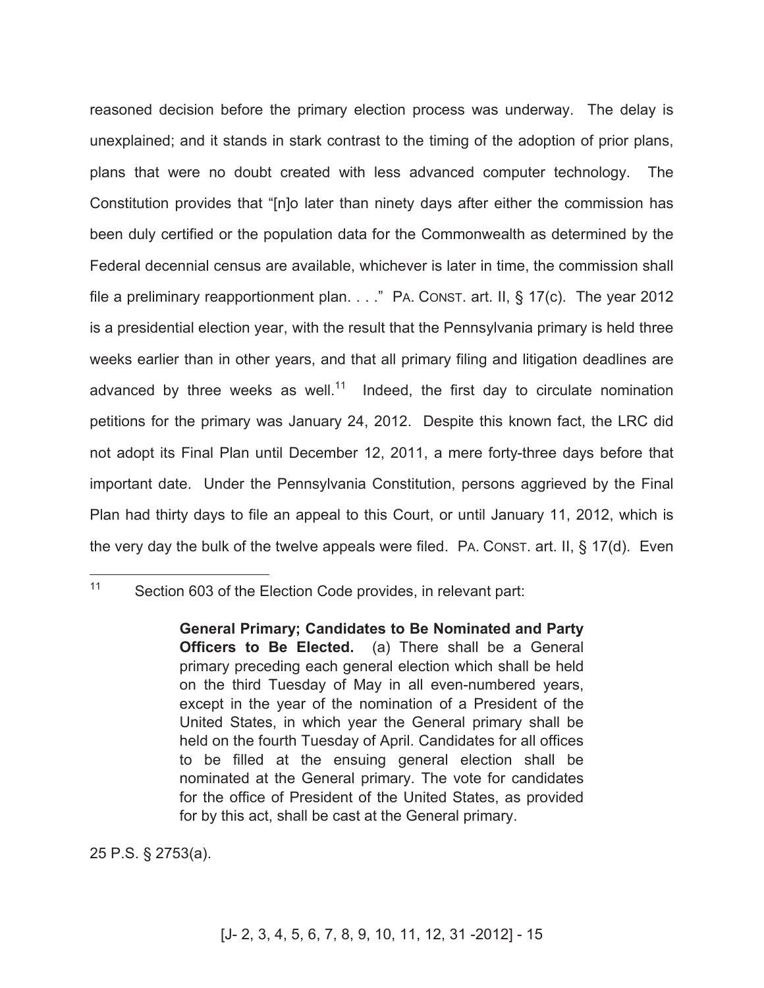reasoned decision before the primary election process was underway. The delay is unexplained; and it stands in stark contrast to the timing of the adoption of prior plans, plans that were no doubt created with less advanced computer technology. The Constitution provides that "[n]o later than ninety days after either the commission has been duly certified or the population data for the Commonwealth as determined by the Federal decennial census are available, whichever is later in time, the commission shall file a preliminary reapportionment plan. . . ." PA. CONST. art. II, § 17(c). The year 2012 is a presidential election year, with the result that the Pennsylvania primary is held three weeks earlier than in other years, and that all primary filing and litigation deadlines are advanced by three weeks as well. $11$  Indeed, the first day to circulate nomination petitions for the primary was January 24, 2012. Despite this known fact, the LRC did not adopt its Final Plan until December 12, 2011, a mere forty-three days before that important date. Under the Pennsylvania Constitution, persons aggrieved by the Final Plan had thirty days to file an appeal to this Court, or until January 11, 2012, which is the very day the bulk of the twelve appeals were filed. PA. CONST. art. II, § 17(d). Even

#### $11$ Section 603 of the Election Code provides, in relevant part:

**General Primary; Candidates to Be Nominated and Party Officers to Be Elected.** (a) There shall be a General primary preceding each general election which shall be held on the third Tuesday of May in all even-numbered years, except in the year of the nomination of a President of the United States, in which year the General primary shall be held on the fourth Tuesday of April. Candidates for all offices to be filled at the ensuing general election shall be nominated at the General primary. The vote for candidates for the office of President of the United States, as provided for by this act, shall be cast at the General primary.

25 P.S. § 2753(a).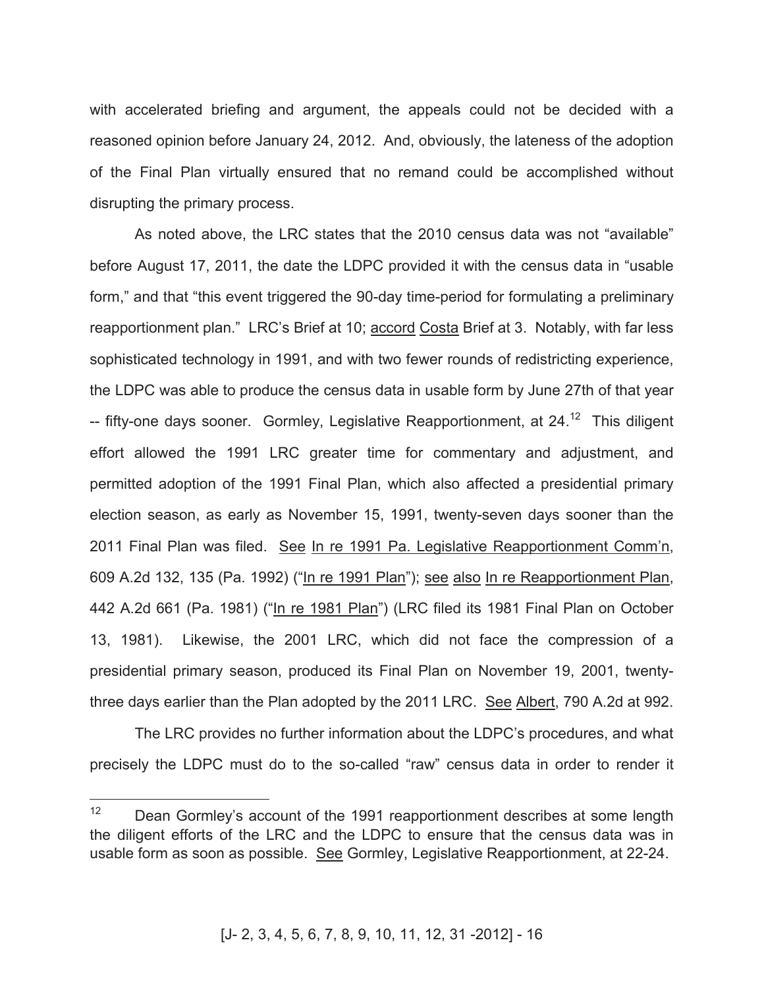with accelerated briefing and argument, the appeals could not be decided with a reasoned opinion before January 24, 2012. And, obviously, the lateness of the adoption of the Final Plan virtually ensured that no remand could be accomplished without disrupting the primary process.

As noted above, the LRC states that the 2010 census data was not "available" before August 17, 2011, the date the LDPC provided it with the census data in "usable form," and that "this event triggered the 90-day time-period for formulating a preliminary reapportionment plan." LRC's Brief at 10; accord Costa Brief at 3. Notably, with far less sophisticated technology in 1991, and with two fewer rounds of redistricting experience, the LDPC was able to produce the census data in usable form by June 27th of that year -- fifty-one days sooner. Gormley, Legislative Reapportionment, at 24.<sup>12</sup> This diligent effort allowed the 1991 LRC greater time for commentary and adjustment, and permitted adoption of the 1991 Final Plan, which also affected a presidential primary election season, as early as November 15, 1991, twenty-seven days sooner than the 2011 Final Plan was filed. See In re 1991 Pa. Legislative Reapportionment Comm'n, 609 A.2d 132, 135 (Pa. 1992) ("In re 1991 Plan"); see also In re Reapportionment Plan, 442 A.2d 661 (Pa. 1981) ("In re 1981 Plan") (LRC filed its 1981 Final Plan on October 13, 1981). Likewise, the 2001 LRC, which did not face the compression of a presidential primary season, produced its Final Plan on November 19, 2001, twentythree days earlier than the Plan adopted by the 2011 LRC. See Albert, 790 A.2d at 992.

The LRC provides no further information about the LDPC's procedures, and what precisely the LDPC must do to the so-called "raw" census data in order to render it

 $12<sup>°</sup>$ Dean Gormley's account of the 1991 reapportionment describes at some length the diligent efforts of the LRC and the LDPC to ensure that the census data was in usable form as soon as possible. See Gormley, Legislative Reapportionment, at 22-24.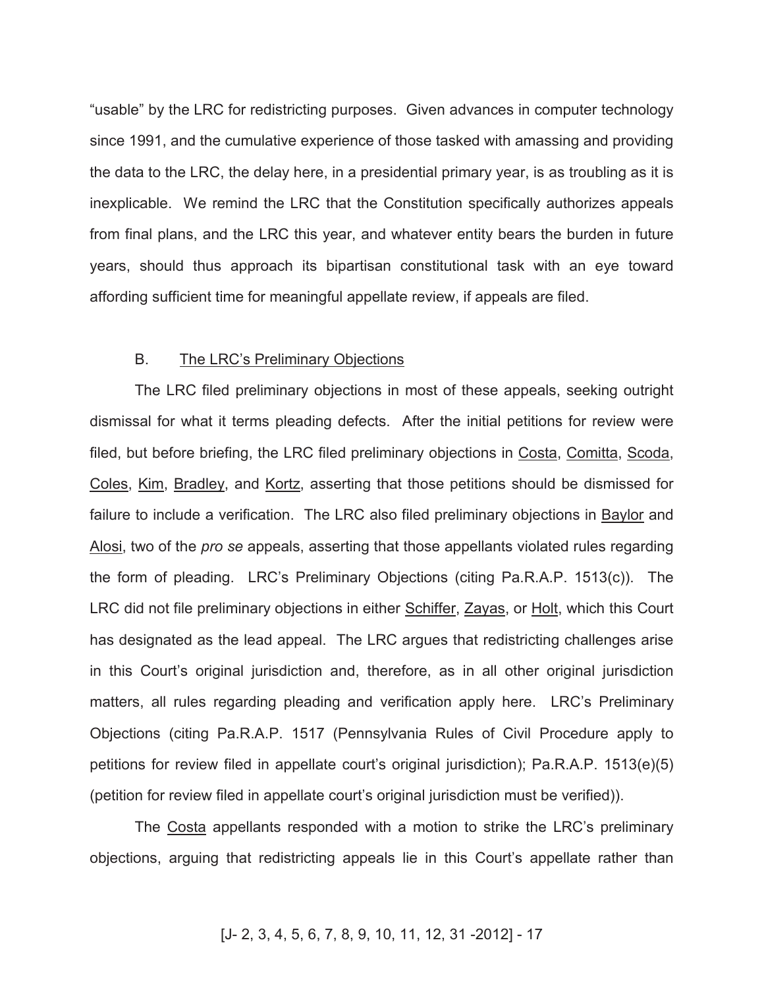"usable" by the LRC for redistricting purposes. Given advances in computer technology since 1991, and the cumulative experience of those tasked with amassing and providing the data to the LRC, the delay here, in a presidential primary year, is as troubling as it is inexplicable. We remind the LRC that the Constitution specifically authorizes appeals from final plans, and the LRC this year, and whatever entity bears the burden in future years, should thus approach its bipartisan constitutional task with an eye toward affording sufficient time for meaningful appellate review, if appeals are filed.

#### B. The LRC's Preliminary Objections

The LRC filed preliminary objections in most of these appeals, seeking outright dismissal for what it terms pleading defects. After the initial petitions for review were filed, but before briefing, the LRC filed preliminary objections in Costa, Comitta, Scoda, Coles, Kim, Bradley, and Kortz, asserting that those petitions should be dismissed for failure to include a verification. The LRC also filed preliminary objections in Baylor and Alosi, two of the *pro se* appeals, asserting that those appellants violated rules regarding the form of pleading. LRC's Preliminary Objections (citing Pa.R.A.P. 1513(c)). The LRC did not file preliminary objections in either Schiffer, Zayas, or Holt, which this Court has designated as the lead appeal. The LRC argues that redistricting challenges arise in this Court's original jurisdiction and, therefore, as in all other original jurisdiction matters, all rules regarding pleading and verification apply here. LRC's Preliminary Objections (citing Pa.R.A.P. 1517 (Pennsylvania Rules of Civil Procedure apply to petitions for review filed in appellate court's original jurisdiction); Pa.R.A.P. 1513(e)(5) (petition for review filed in appellate court's original jurisdiction must be verified)).

The Costa appellants responded with a motion to strike the LRC's preliminary objections, arguing that redistricting appeals lie in this Court's appellate rather than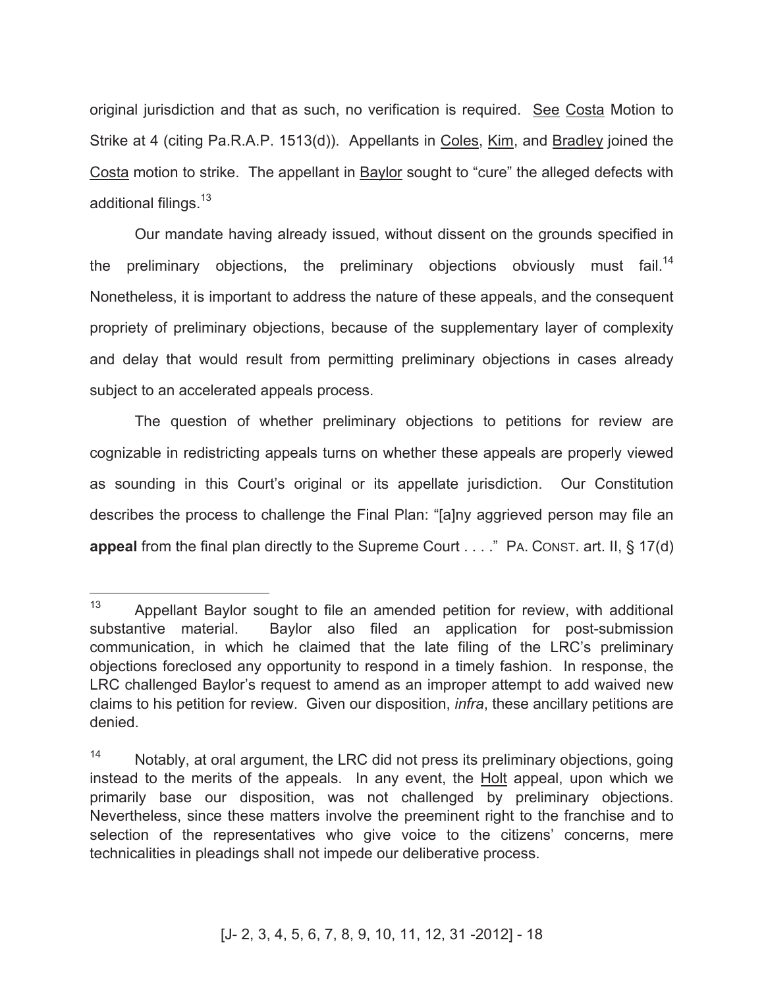original jurisdiction and that as such, no verification is required. See Costa Motion to Strike at 4 (citing Pa.R.A.P. 1513(d)). Appellants in Coles, Kim, and Bradley joined the Costa motion to strike. The appellant in Baylor sought to "cure" the alleged defects with additional filings.<sup>13</sup>

Our mandate having already issued, without dissent on the grounds specified in the preliminary objections, the preliminary objections obviously must fail.<sup>14</sup> Nonetheless, it is important to address the nature of these appeals, and the consequent propriety of preliminary objections, because of the supplementary layer of complexity and delay that would result from permitting preliminary objections in cases already subject to an accelerated appeals process.

The question of whether preliminary objections to petitions for review are cognizable in redistricting appeals turns on whether these appeals are properly viewed as sounding in this Court's original or its appellate jurisdiction. Our Constitution describes the process to challenge the Final Plan: "[a]ny aggrieved person may file an **appeal** from the final plan directly to the Supreme Court . . . ." PA. CONST. art. II, § 17(d)

<sup>13</sup> Appellant Baylor sought to file an amended petition for review, with additional substantive material. Baylor also filed an application for post-submission communication, in which he claimed that the late filing of the LRC's preliminary objections foreclosed any opportunity to respond in a timely fashion. In response, the LRC challenged Baylor's request to amend as an improper attempt to add waived new claims to his petition for review. Given our disposition, *infra*, these ancillary petitions are denied.

<sup>&</sup>lt;sup>14</sup> Notably, at oral argument, the LRC did not press its preliminary objections, going instead to the merits of the appeals. In any event, the Holt appeal, upon which we primarily base our disposition, was not challenged by preliminary objections. Nevertheless, since these matters involve the preeminent right to the franchise and to selection of the representatives who give voice to the citizens' concerns, mere technicalities in pleadings shall not impede our deliberative process.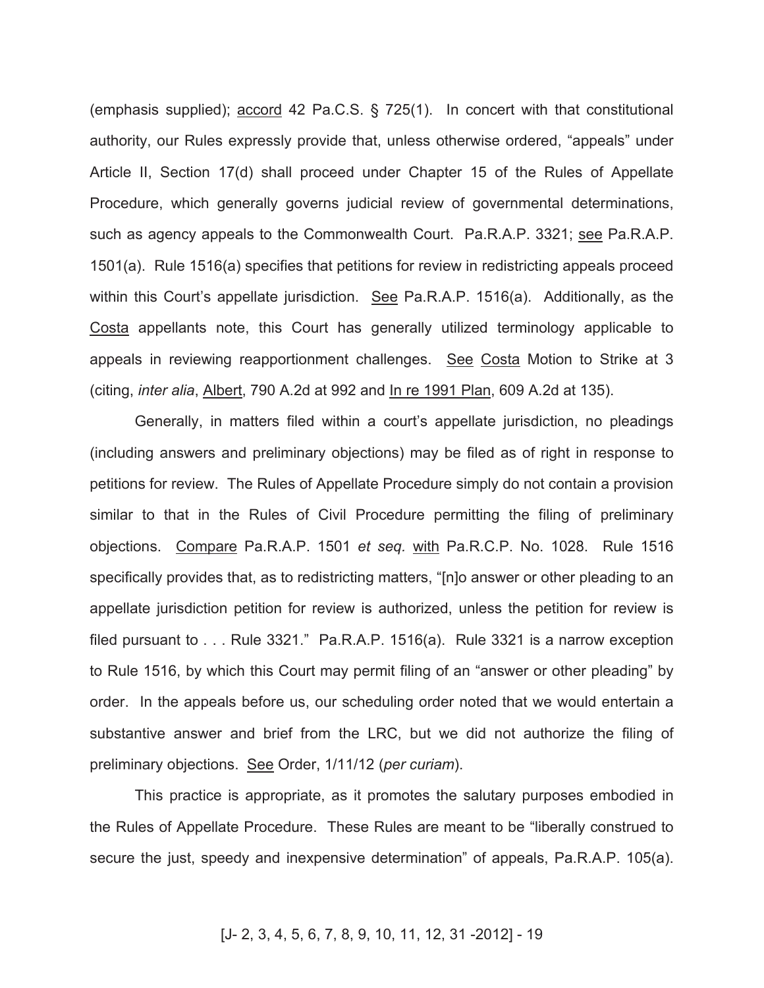(emphasis supplied); accord 42 Pa.C.S. § 725(1). In concert with that constitutional authority, our Rules expressly provide that, unless otherwise ordered, "appeals" under Article II, Section 17(d) shall proceed under Chapter 15 of the Rules of Appellate Procedure, which generally governs judicial review of governmental determinations, such as agency appeals to the Commonwealth Court. Pa.R.A.P. 3321; see Pa.R.A.P. 1501(a). Rule 1516(a) specifies that petitions for review in redistricting appeals proceed within this Court's appellate jurisdiction. See Pa.R.A.P. 1516(a). Additionally, as the Costa appellants note, this Court has generally utilized terminology applicable to appeals in reviewing reapportionment challenges. See Costa Motion to Strike at 3 (citing, *inter alia*, Albert, 790 A.2d at 992 and In re 1991 Plan, 609 A.2d at 135).

Generally, in matters filed within a court's appellate jurisdiction, no pleadings (including answers and preliminary objections) may be filed as of right in response to petitions for review. The Rules of Appellate Procedure simply do not contain a provision similar to that in the Rules of Civil Procedure permitting the filing of preliminary objections. Compare Pa.R.A.P. 1501 *et seq.* with Pa.R.C.P. No. 1028. Rule 1516 specifically provides that, as to redistricting matters, "[n]o answer or other pleading to an appellate jurisdiction petition for review is authorized, unless the petition for review is filed pursuant to . . . Rule 3321." Pa.R.A.P. 1516(a). Rule 3321 is a narrow exception to Rule 1516, by which this Court may permit filing of an "answer or other pleading" by order. In the appeals before us, our scheduling order noted that we would entertain a substantive answer and brief from the LRC, but we did not authorize the filing of preliminary objections. See Order, 1/11/12 (*per curiam*).

This practice is appropriate, as it promotes the salutary purposes embodied in the Rules of Appellate Procedure. These Rules are meant to be "liberally construed to secure the just, speedy and inexpensive determination" of appeals, Pa.R.A.P. 105(a).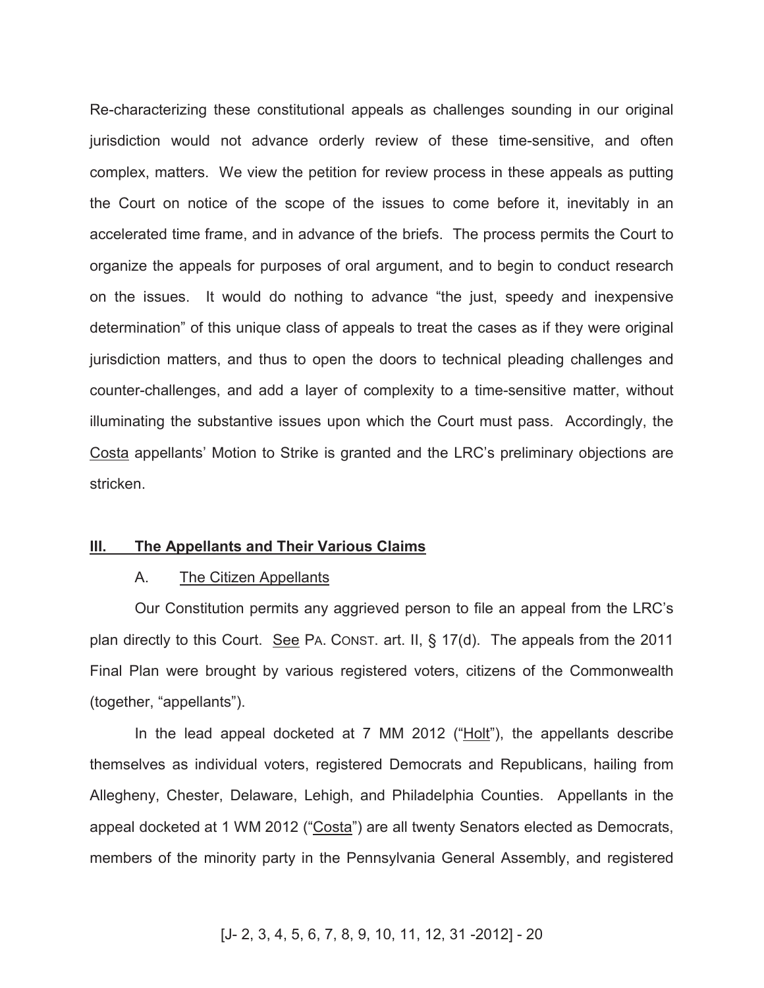Re-characterizing these constitutional appeals as challenges sounding in our original jurisdiction would not advance orderly review of these time-sensitive, and often complex, matters. We view the petition for review process in these appeals as putting the Court on notice of the scope of the issues to come before it, inevitably in an accelerated time frame, and in advance of the briefs. The process permits the Court to organize the appeals for purposes of oral argument, and to begin to conduct research on the issues. It would do nothing to advance "the just, speedy and inexpensive determination" of this unique class of appeals to treat the cases as if they were original jurisdiction matters, and thus to open the doors to technical pleading challenges and counter-challenges, and add a layer of complexity to a time-sensitive matter, without illuminating the substantive issues upon which the Court must pass. Accordingly, the Costa appellants' Motion to Strike is granted and the LRC's preliminary objections are stricken.

#### **III. The Appellants and Their Various Claims**

#### A. The Citizen Appellants

Our Constitution permits any aggrieved person to file an appeal from the LRC's plan directly to this Court. See PA. CONST. art. II, § 17(d). The appeals from the 2011 Final Plan were brought by various registered voters, citizens of the Commonwealth (together, "appellants").

In the lead appeal docketed at 7 MM 2012 ("Holt"), the appellants describe themselves as individual voters, registered Democrats and Republicans, hailing from Allegheny, Chester, Delaware, Lehigh, and Philadelphia Counties. Appellants in the appeal docketed at 1 WM 2012 ("Costa") are all twenty Senators elected as Democrats, members of the minority party in the Pennsylvania General Assembly, and registered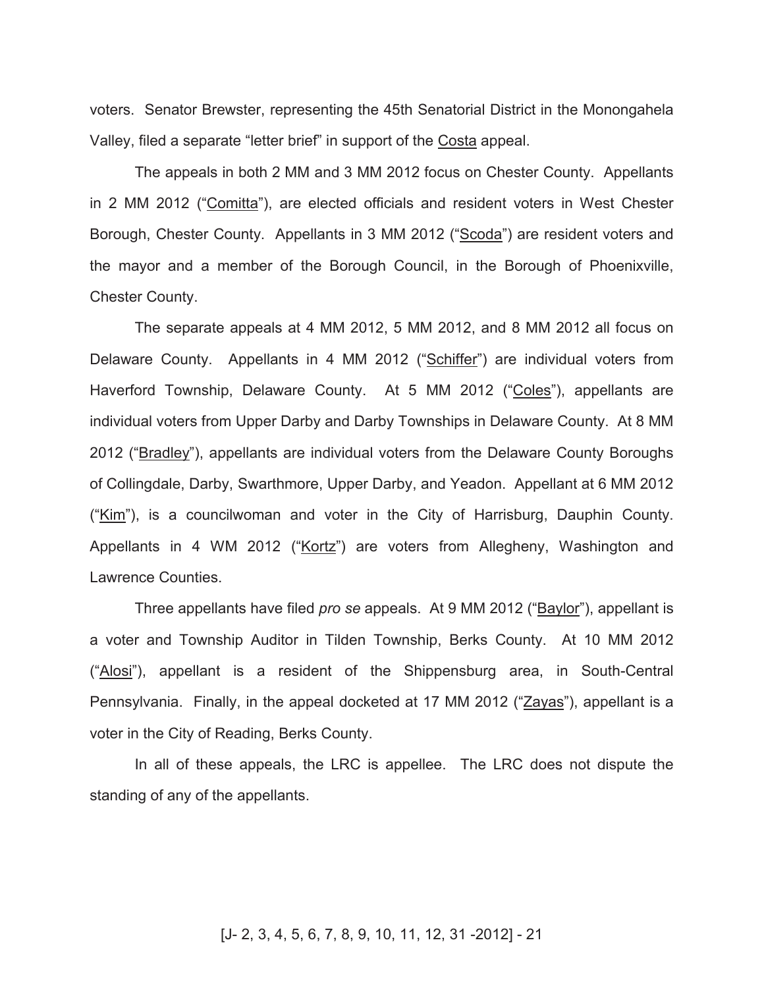voters. Senator Brewster, representing the 45th Senatorial District in the Monongahela Valley, filed a separate "letter brief" in support of the Costa appeal.

The appeals in both 2 MM and 3 MM 2012 focus on Chester County. Appellants in 2 MM 2012 ("Comitta"), are elected officials and resident voters in West Chester Borough, Chester County. Appellants in 3 MM 2012 ("Scoda") are resident voters and the mayor and a member of the Borough Council, in the Borough of Phoenixville, Chester County.

The separate appeals at 4 MM 2012, 5 MM 2012, and 8 MM 2012 all focus on Delaware County. Appellants in 4 MM 2012 ("Schiffer") are individual voters from Haverford Township, Delaware County. At 5 MM 2012 ("Coles"), appellants are individual voters from Upper Darby and Darby Townships in Delaware County. At 8 MM 2012 ("Bradley"), appellants are individual voters from the Delaware County Boroughs of Collingdale, Darby, Swarthmore, Upper Darby, and Yeadon. Appellant at 6 MM 2012 ("Kim"), is a councilwoman and voter in the City of Harrisburg, Dauphin County. Appellants in 4 WM 2012 ("Kortz") are voters from Allegheny, Washington and Lawrence Counties.

Three appellants have filed *pro se* appeals. At 9 MM 2012 ("Baylor"), appellant is a voter and Township Auditor in Tilden Township, Berks County. At 10 MM 2012 ("Alosi"), appellant is a resident of the Shippensburg area, in South-Central Pennsylvania. Finally, in the appeal docketed at 17 MM 2012 ("Zayas"), appellant is a voter in the City of Reading, Berks County.

In all of these appeals, the LRC is appellee. The LRC does not dispute the standing of any of the appellants.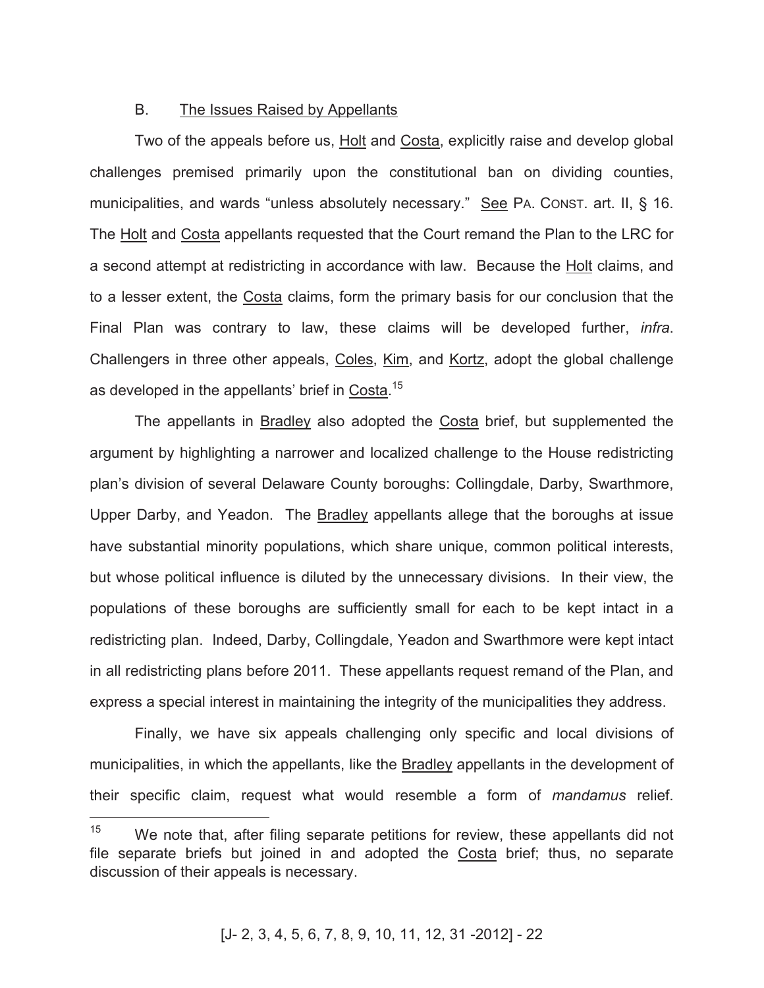#### B. The Issues Raised by Appellants

Two of the appeals before us, Holt and Costa, explicitly raise and develop global challenges premised primarily upon the constitutional ban on dividing counties, municipalities, and wards "unless absolutely necessary." See PA. CONST. art. II, § 16. The Holt and Costa appellants requested that the Court remand the Plan to the LRC for a second attempt at redistricting in accordance with law. Because the Holt claims, and to a lesser extent, the Costa claims, form the primary basis for our conclusion that the Final Plan was contrary to law, these claims will be developed further, *infra*. Challengers in three other appeals, Coles, Kim, and Kortz, adopt the global challenge as developed in the appellants' brief in Costa.<sup>15</sup>

The appellants in Bradley also adopted the Costa brief, but supplemented the argument by highlighting a narrower and localized challenge to the House redistricting plan's division of several Delaware County boroughs: Collingdale, Darby, Swarthmore, Upper Darby, and Yeadon. The Bradley appellants allege that the boroughs at issue have substantial minority populations, which share unique, common political interests, but whose political influence is diluted by the unnecessary divisions. In their view, the populations of these boroughs are sufficiently small for each to be kept intact in a redistricting plan. Indeed, Darby, Collingdale, Yeadon and Swarthmore were kept intact in all redistricting plans before 2011. These appellants request remand of the Plan, and express a special interest in maintaining the integrity of the municipalities they address.

Finally, we have six appeals challenging only specific and local divisions of municipalities, in which the appellants, like the Bradley appellants in the development of their specific claim, request what would resemble a form of *mandamus* relief.

<sup>15</sup> We note that, after filing separate petitions for review, these appellants did not file separate briefs but joined in and adopted the Costa brief; thus, no separate discussion of their appeals is necessary.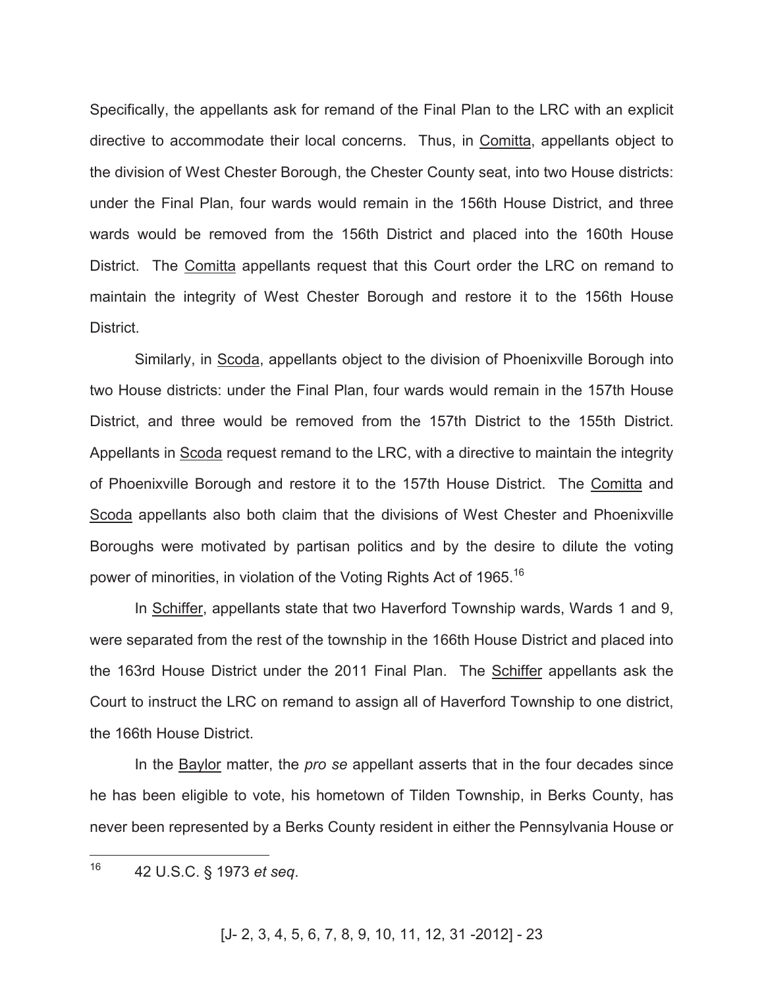Specifically, the appellants ask for remand of the Final Plan to the LRC with an explicit directive to accommodate their local concerns. Thus, in Comitta, appellants object to the division of West Chester Borough, the Chester County seat, into two House districts: under the Final Plan, four wards would remain in the 156th House District, and three wards would be removed from the 156th District and placed into the 160th House District. The Comitta appellants request that this Court order the LRC on remand to maintain the integrity of West Chester Borough and restore it to the 156th House District.

Similarly, in Scoda, appellants object to the division of Phoenixville Borough into two House districts: under the Final Plan, four wards would remain in the 157th House District, and three would be removed from the 157th District to the 155th District. Appellants in Scoda request remand to the LRC, with a directive to maintain the integrity of Phoenixville Borough and restore it to the 157th House District. The Comitta and Scoda appellants also both claim that the divisions of West Chester and Phoenixville Boroughs were motivated by partisan politics and by the desire to dilute the voting power of minorities, in violation of the Voting Rights Act of 1965.<sup>16</sup>

In Schiffer, appellants state that two Haverford Township wards, Wards 1 and 9, were separated from the rest of the township in the 166th House District and placed into the 163rd House District under the 2011 Final Plan. The Schiffer appellants ask the Court to instruct the LRC on remand to assign all of Haverford Township to one district, the 166th House District.

In the Baylor matter, the *pro se* appellant asserts that in the four decades since he has been eligible to vote, his hometown of Tilden Township, in Berks County, has never been represented by a Berks County resident in either the Pennsylvania House or

<sup>16</sup> <sup>16</sup> 42 U.S.C. § 1973 *et seq*.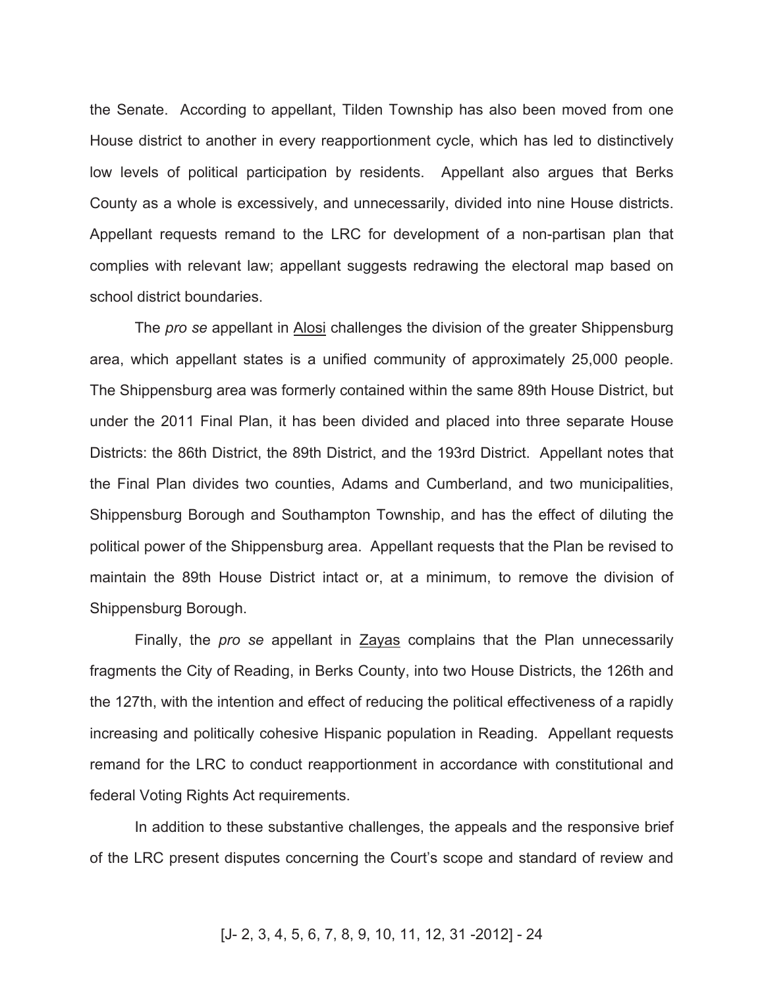the Senate. According to appellant, Tilden Township has also been moved from one House district to another in every reapportionment cycle, which has led to distinctively low levels of political participation by residents. Appellant also argues that Berks County as a whole is excessively, and unnecessarily, divided into nine House districts. Appellant requests remand to the LRC for development of a non-partisan plan that complies with relevant law; appellant suggests redrawing the electoral map based on school district boundaries.

The *pro se* appellant in Alosi challenges the division of the greater Shippensburg area, which appellant states is a unified community of approximately 25,000 people. The Shippensburg area was formerly contained within the same 89th House District, but under the 2011 Final Plan, it has been divided and placed into three separate House Districts: the 86th District, the 89th District, and the 193rd District. Appellant notes that the Final Plan divides two counties, Adams and Cumberland, and two municipalities, Shippensburg Borough and Southampton Township, and has the effect of diluting the political power of the Shippensburg area. Appellant requests that the Plan be revised to maintain the 89th House District intact or, at a minimum, to remove the division of Shippensburg Borough.

Finally, the *pro se* appellant in Zayas complains that the Plan unnecessarily fragments the City of Reading, in Berks County, into two House Districts, the 126th and the 127th, with the intention and effect of reducing the political effectiveness of a rapidly increasing and politically cohesive Hispanic population in Reading. Appellant requests remand for the LRC to conduct reapportionment in accordance with constitutional and federal Voting Rights Act requirements.

In addition to these substantive challenges, the appeals and the responsive brief of the LRC present disputes concerning the Court's scope and standard of review and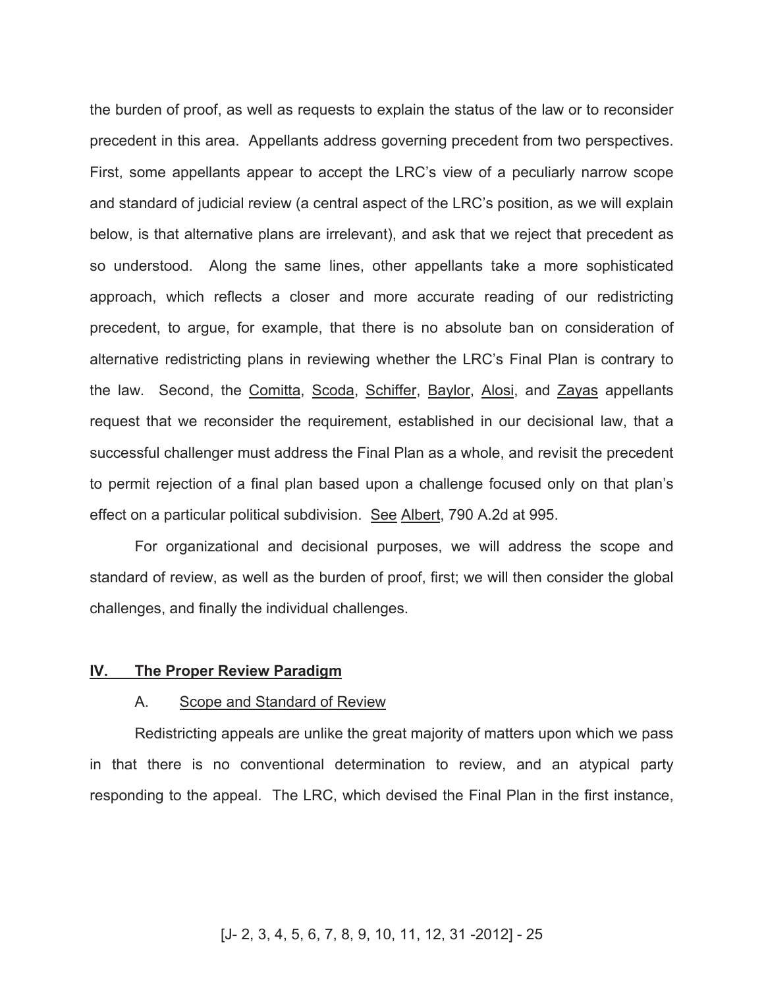the burden of proof, as well as requests to explain the status of the law or to reconsider precedent in this area. Appellants address governing precedent from two perspectives. First, some appellants appear to accept the LRC's view of a peculiarly narrow scope and standard of judicial review (a central aspect of the LRC's position, as we will explain below, is that alternative plans are irrelevant), and ask that we reject that precedent as so understood. Along the same lines, other appellants take a more sophisticated approach, which reflects a closer and more accurate reading of our redistricting precedent, to argue, for example, that there is no absolute ban on consideration of alternative redistricting plans in reviewing whether the LRC's Final Plan is contrary to the law. Second, the Comitta, Scoda, Schiffer, Baylor, Alosi, and Zayas appellants request that we reconsider the requirement, established in our decisional law, that a successful challenger must address the Final Plan as a whole, and revisit the precedent to permit rejection of a final plan based upon a challenge focused only on that plan's effect on a particular political subdivision. See Albert, 790 A.2d at 995.

For organizational and decisional purposes, we will address the scope and standard of review, as well as the burden of proof, first; we will then consider the global challenges, and finally the individual challenges.

#### **IV. The Proper Review Paradigm**

#### A. Scope and Standard of Review

Redistricting appeals are unlike the great majority of matters upon which we pass in that there is no conventional determination to review, and an atypical party responding to the appeal. The LRC, which devised the Final Plan in the first instance,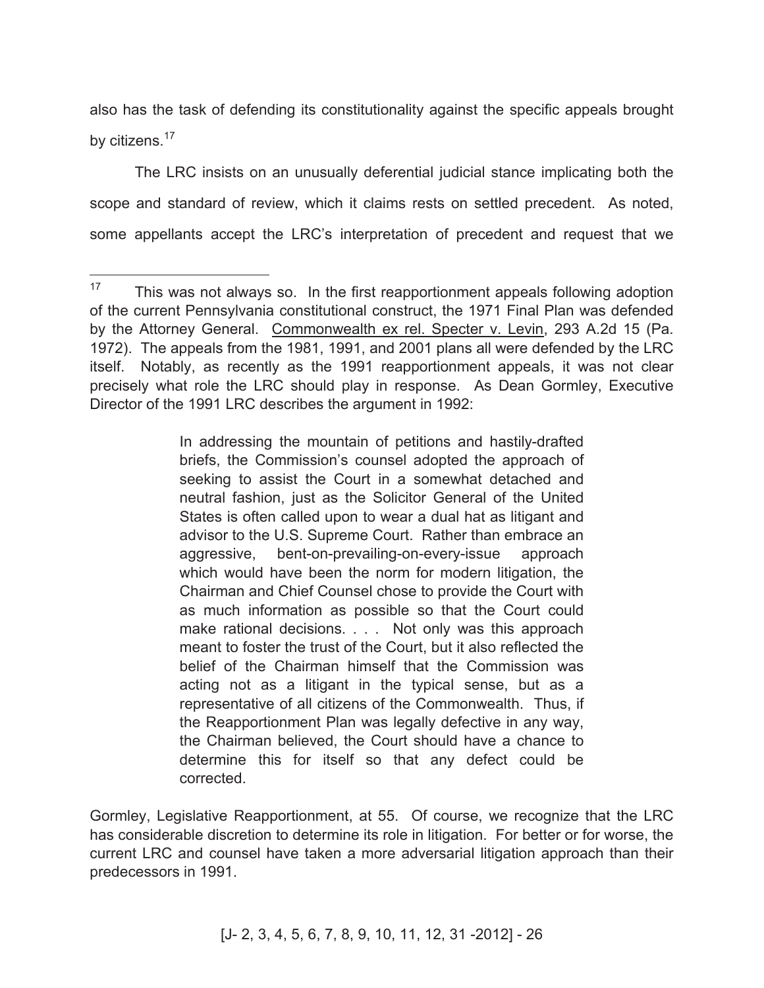also has the task of defending its constitutionality against the specific appeals brought by citizens.<sup>17</sup>

The LRC insists on an unusually deferential judicial stance implicating both the scope and standard of review, which it claims rests on settled precedent. As noted, some appellants accept the LRC's interpretation of precedent and request that we

In addressing the mountain of petitions and hastily-drafted briefs, the Commission's counsel adopted the approach of seeking to assist the Court in a somewhat detached and neutral fashion, just as the Solicitor General of the United States is often called upon to wear a dual hat as litigant and advisor to the U.S. Supreme Court. Rather than embrace an aggressive, bent-on-prevailing-on-every-issue approach which would have been the norm for modern litigation, the Chairman and Chief Counsel chose to provide the Court with as much information as possible so that the Court could make rational decisions. . . . Not only was this approach meant to foster the trust of the Court, but it also reflected the belief of the Chairman himself that the Commission was acting not as a litigant in the typical sense, but as a representative of all citizens of the Commonwealth. Thus, if the Reapportionment Plan was legally defective in any way, the Chairman believed, the Court should have a chance to determine this for itself so that any defect could be corrected.

Gormley, Legislative Reapportionment, at 55. Of course, we recognize that the LRC has considerable discretion to determine its role in litigation. For better or for worse, the current LRC and counsel have taken a more adversarial litigation approach than their predecessors in 1991.

<sup>17</sup> This was not always so. In the first reapportionment appeals following adoption of the current Pennsylvania constitutional construct, the 1971 Final Plan was defended by the Attorney General. Commonwealth ex rel. Specter v. Levin, 293 A.2d 15 (Pa. 1972). The appeals from the 1981, 1991, and 2001 plans all were defended by the LRC itself. Notably, as recently as the 1991 reapportionment appeals, it was not clear precisely what role the LRC should play in response. As Dean Gormley, Executive Director of the 1991 LRC describes the argument in 1992: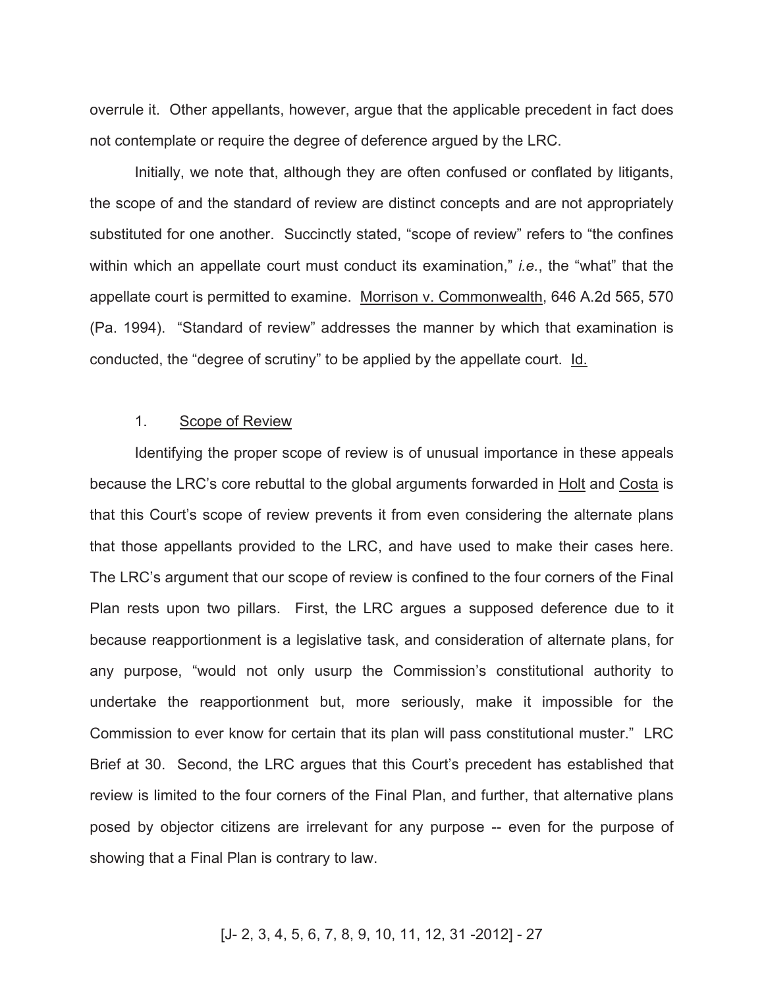overrule it. Other appellants, however, argue that the applicable precedent in fact does not contemplate or require the degree of deference argued by the LRC.

Initially, we note that, although they are often confused or conflated by litigants, the scope of and the standard of review are distinct concepts and are not appropriately substituted for one another. Succinctly stated, "scope of review" refers to "the confines within which an appellate court must conduct its examination," *i.e.*, the "what" that the appellate court is permitted to examine. Morrison v. Commonwealth, 646 A.2d 565, 570 (Pa. 1994). "Standard of review" addresses the manner by which that examination is conducted, the "degree of scrutiny" to be applied by the appellate court. Id.

#### 1. Scope of Review

Identifying the proper scope of review is of unusual importance in these appeals because the LRC's core rebuttal to the global arguments forwarded in Holt and Costa is that this Court's scope of review prevents it from even considering the alternate plans that those appellants provided to the LRC, and have used to make their cases here. The LRC's argument that our scope of review is confined to the four corners of the Final Plan rests upon two pillars. First, the LRC argues a supposed deference due to it because reapportionment is a legislative task, and consideration of alternate plans, for any purpose, "would not only usurp the Commission's constitutional authority to undertake the reapportionment but, more seriously, make it impossible for the Commission to ever know for certain that its plan will pass constitutional muster." LRC Brief at 30. Second, the LRC argues that this Court's precedent has established that review is limited to the four corners of the Final Plan, and further, that alternative plans posed by objector citizens are irrelevant for any purpose -- even for the purpose of showing that a Final Plan is contrary to law.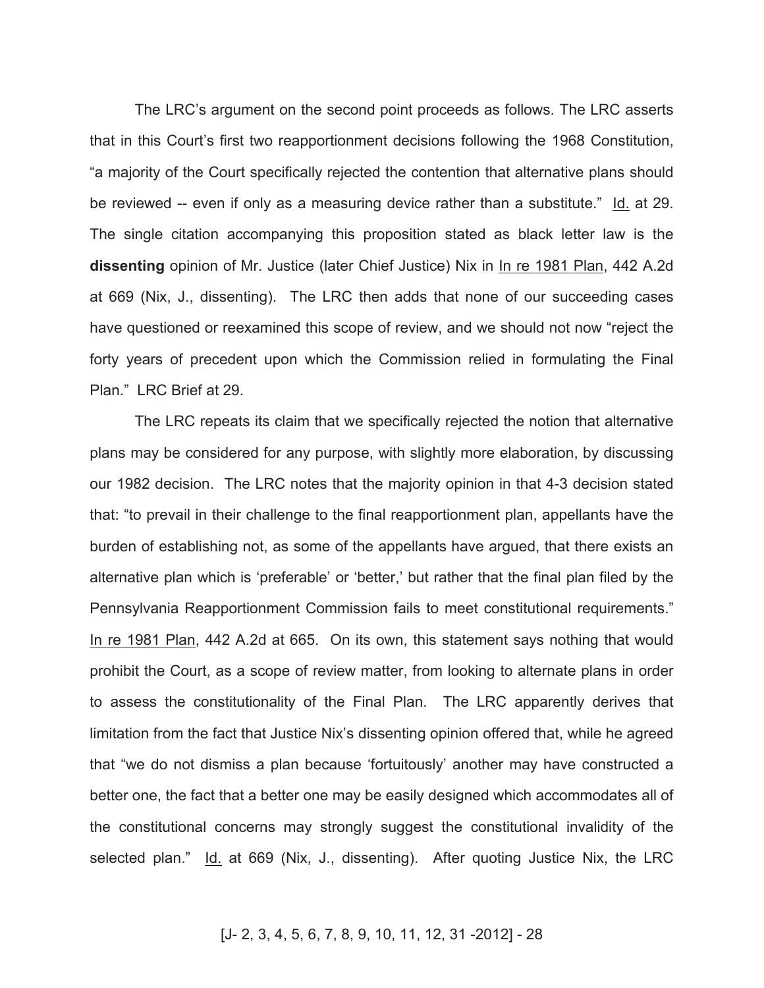The LRC's argument on the second point proceeds as follows. The LRC asserts that in this Court's first two reapportionment decisions following the 1968 Constitution, "a majority of the Court specifically rejected the contention that alternative plans should be reviewed -- even if only as a measuring device rather than a substitute." Id. at 29. The single citation accompanying this proposition stated as black letter law is the **dissenting** opinion of Mr. Justice (later Chief Justice) Nix in In re 1981 Plan, 442 A.2d at 669 (Nix, J., dissenting). The LRC then adds that none of our succeeding cases have questioned or reexamined this scope of review, and we should not now "reject the forty years of precedent upon which the Commission relied in formulating the Final Plan." LRC Brief at 29.

The LRC repeats its claim that we specifically rejected the notion that alternative plans may be considered for any purpose, with slightly more elaboration, by discussing our 1982 decision. The LRC notes that the majority opinion in that 4-3 decision stated that: "to prevail in their challenge to the final reapportionment plan, appellants have the burden of establishing not, as some of the appellants have argued, that there exists an alternative plan which is 'preferable' or 'better,' but rather that the final plan filed by the Pennsylvania Reapportionment Commission fails to meet constitutional requirements." In re 1981 Plan, 442 A.2d at 665. On its own, this statement says nothing that would prohibit the Court, as a scope of review matter, from looking to alternate plans in order to assess the constitutionality of the Final Plan. The LRC apparently derives that limitation from the fact that Justice Nix's dissenting opinion offered that, while he agreed that "we do not dismiss a plan because 'fortuitously' another may have constructed a better one, the fact that a better one may be easily designed which accommodates all of the constitutional concerns may strongly suggest the constitutional invalidity of the selected plan." Id. at 669 (Nix, J., dissenting). After quoting Justice Nix, the LRC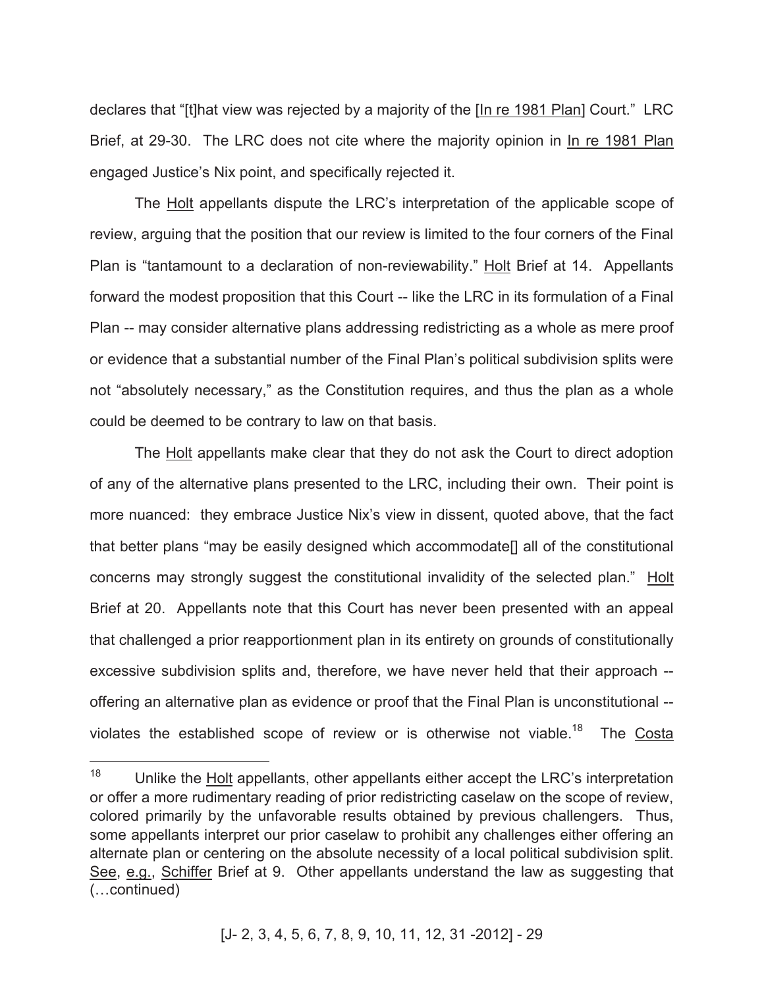declares that "[t]hat view was rejected by a majority of the [In re 1981 Plan] Court." LRC Brief, at 29-30. The LRC does not cite where the majority opinion in In re 1981 Plan engaged Justice's Nix point, and specifically rejected it.

The Holt appellants dispute the LRC's interpretation of the applicable scope of review, arguing that the position that our review is limited to the four corners of the Final Plan is "tantamount to a declaration of non-reviewability." Holt Brief at 14. Appellants forward the modest proposition that this Court -- like the LRC in its formulation of a Final Plan -- may consider alternative plans addressing redistricting as a whole as mere proof or evidence that a substantial number of the Final Plan's political subdivision splits were not "absolutely necessary," as the Constitution requires, and thus the plan as a whole could be deemed to be contrary to law on that basis.

The Holt appellants make clear that they do not ask the Court to direct adoption of any of the alternative plans presented to the LRC, including their own. Their point is more nuanced: they embrace Justice Nix's view in dissent, quoted above, that the fact that better plans "may be easily designed which accommodate[] all of the constitutional concerns may strongly suggest the constitutional invalidity of the selected plan." Holt Brief at 20. Appellants note that this Court has never been presented with an appeal that challenged a prior reapportionment plan in its entirety on grounds of constitutionally excessive subdivision splits and, therefore, we have never held that their approach - offering an alternative plan as evidence or proof that the Final Plan is unconstitutional - violates the established scope of review or is otherwise not viable.<sup>18</sup> The Costa

 $\overline{a}$ 

 $18$  Unlike the Holt appellants, other appellants either accept the LRC's interpretation or offer a more rudimentary reading of prior redistricting caselaw on the scope of review, colored primarily by the unfavorable results obtained by previous challengers. Thus, some appellants interpret our prior caselaw to prohibit any challenges either offering an alternate plan or centering on the absolute necessity of a local political subdivision split. See, e.g., Schiffer Brief at 9. Other appellants understand the law as suggesting that (…continued)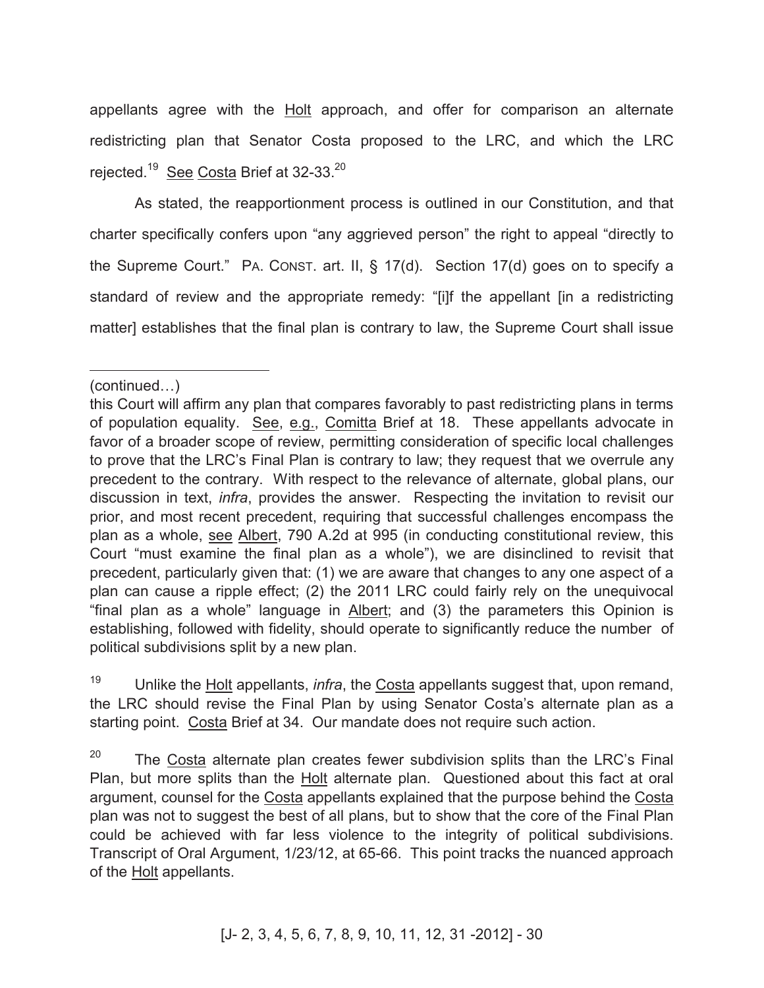appellants agree with the Holt approach, and offer for comparison an alternate redistricting plan that Senator Costa proposed to the LRC, and which the LRC rejected.<sup>19</sup> See Costa Brief at 32-33.<sup>20</sup>

As stated, the reapportionment process is outlined in our Constitution, and that charter specifically confers upon "any aggrieved person" the right to appeal "directly to the Supreme Court." PA. CONST. art. II, § 17(d). Section 17(d) goes on to specify a standard of review and the appropriate remedy: "[i]f the appellant [in a redistricting matter] establishes that the final plan is contrary to law, the Supreme Court shall issue

<sup>19</sup> Unlike the Holt appellants, *infra*, the Costa appellants suggest that, upon remand, the LRC should revise the Final Plan by using Senator Costa's alternate plan as a starting point. Costa Brief at 34. Our mandate does not require such action.

 $20$  The Costa alternate plan creates fewer subdivision splits than the LRC's Final Plan, but more splits than the Holt alternate plan. Questioned about this fact at oral argument, counsel for the Costa appellants explained that the purpose behind the Costa plan was not to suggest the best of all plans, but to show that the core of the Final Plan could be achieved with far less violence to the integrity of political subdivisions. Transcript of Oral Argument, 1/23/12, at 65-66. This point tracks the nuanced approach of the Holt appellants.

 $\overline{a}$ (continued…)

this Court will affirm any plan that compares favorably to past redistricting plans in terms of population equality. See, e.g., Comitta Brief at 18. These appellants advocate in favor of a broader scope of review, permitting consideration of specific local challenges to prove that the LRC's Final Plan is contrary to law; they request that we overrule any precedent to the contrary. With respect to the relevance of alternate, global plans, our discussion in text, *infra*, provides the answer. Respecting the invitation to revisit our prior, and most recent precedent, requiring that successful challenges encompass the plan as a whole, see Albert, 790 A.2d at 995 (in conducting constitutional review, this Court "must examine the final plan as a whole"), we are disinclined to revisit that precedent, particularly given that: (1) we are aware that changes to any one aspect of a plan can cause a ripple effect; (2) the 2011 LRC could fairly rely on the unequivocal "final plan as a whole" language in Albert; and (3) the parameters this Opinion is establishing, followed with fidelity, should operate to significantly reduce the number of political subdivisions split by a new plan.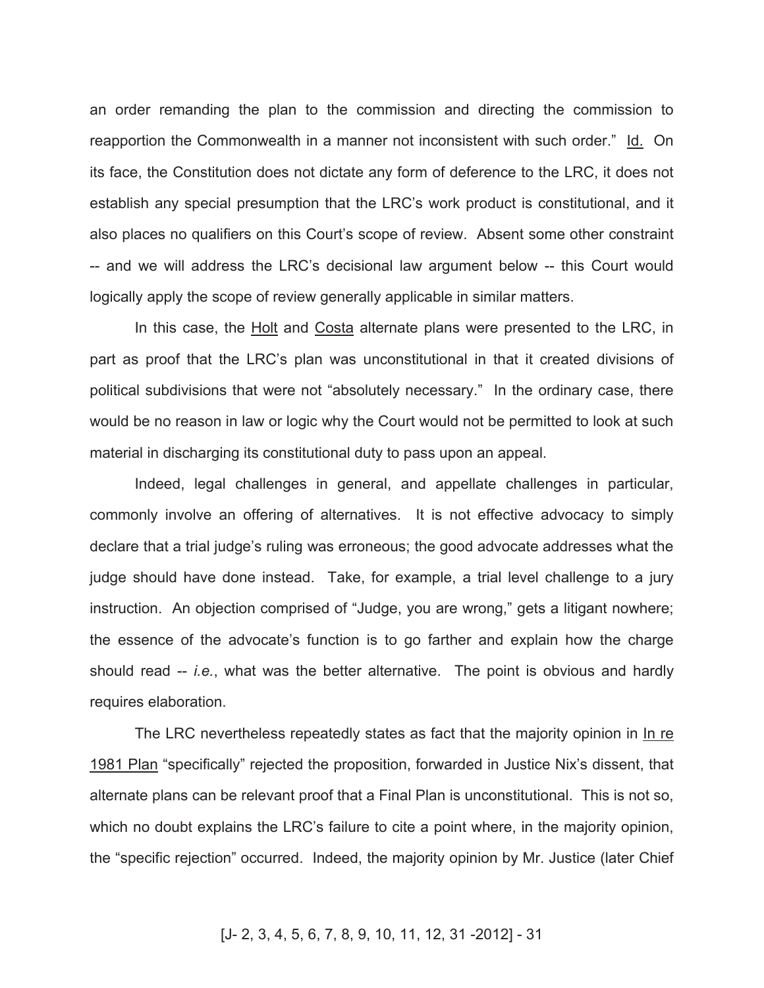an order remanding the plan to the commission and directing the commission to reapportion the Commonwealth in a manner not inconsistent with such order." Id. On its face, the Constitution does not dictate any form of deference to the LRC, it does not establish any special presumption that the LRC's work product is constitutional, and it also places no qualifiers on this Court's scope of review. Absent some other constraint -- and we will address the LRC's decisional law argument below -- this Court would logically apply the scope of review generally applicable in similar matters.

In this case, the **Holt** and Costa alternate plans were presented to the LRC, in part as proof that the LRC's plan was unconstitutional in that it created divisions of political subdivisions that were not "absolutely necessary." In the ordinary case, there would be no reason in law or logic why the Court would not be permitted to look at such material in discharging its constitutional duty to pass upon an appeal.

Indeed, legal challenges in general, and appellate challenges in particular, commonly involve an offering of alternatives. It is not effective advocacy to simply declare that a trial judge's ruling was erroneous; the good advocate addresses what the judge should have done instead. Take, for example, a trial level challenge to a jury instruction. An objection comprised of "Judge, you are wrong," gets a litigant nowhere; the essence of the advocate's function is to go farther and explain how the charge should read -- *i.e.*, what was the better alternative. The point is obvious and hardly requires elaboration.

The LRC nevertheless repeatedly states as fact that the majority opinion in In re 1981 Plan "specifically" rejected the proposition, forwarded in Justice Nix's dissent, that alternate plans can be relevant proof that a Final Plan is unconstitutional. This is not so, which no doubt explains the LRC's failure to cite a point where, in the majority opinion, the "specific rejection" occurred. Indeed, the majority opinion by Mr. Justice (later Chief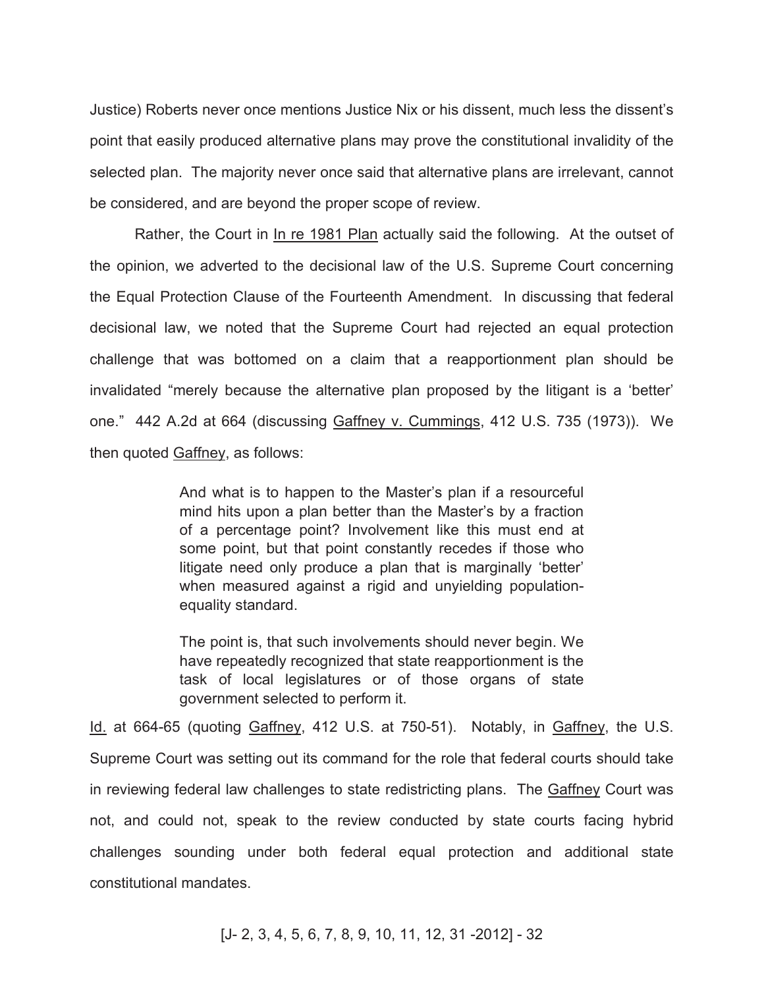Justice) Roberts never once mentions Justice Nix or his dissent, much less the dissent's point that easily produced alternative plans may prove the constitutional invalidity of the selected plan. The majority never once said that alternative plans are irrelevant, cannot be considered, and are beyond the proper scope of review.

Rather, the Court in In re 1981 Plan actually said the following. At the outset of the opinion, we adverted to the decisional law of the U.S. Supreme Court concerning the Equal Protection Clause of the Fourteenth Amendment. In discussing that federal decisional law, we noted that the Supreme Court had rejected an equal protection challenge that was bottomed on a claim that a reapportionment plan should be invalidated "merely because the alternative plan proposed by the litigant is a 'better' one." 442 A.2d at 664 (discussing Gaffney v. Cummings, 412 U.S. 735 (1973)). We then quoted Gaffney, as follows:

> And what is to happen to the Master's plan if a resourceful mind hits upon a plan better than the Master's by a fraction of a percentage point? Involvement like this must end at some point, but that point constantly recedes if those who litigate need only produce a plan that is marginally 'better' when measured against a rigid and unyielding populationequality standard.

> The point is, that such involvements should never begin. We have repeatedly recognized that state reapportionment is the task of local legislatures or of those organs of state government selected to perform it.

Id. at 664-65 (quoting Gaffney, 412 U.S. at 750-51). Notably, in Gaffney, the U.S. Supreme Court was setting out its command for the role that federal courts should take in reviewing federal law challenges to state redistricting plans. The Gaffney Court was not, and could not, speak to the review conducted by state courts facing hybrid challenges sounding under both federal equal protection and additional state constitutional mandates.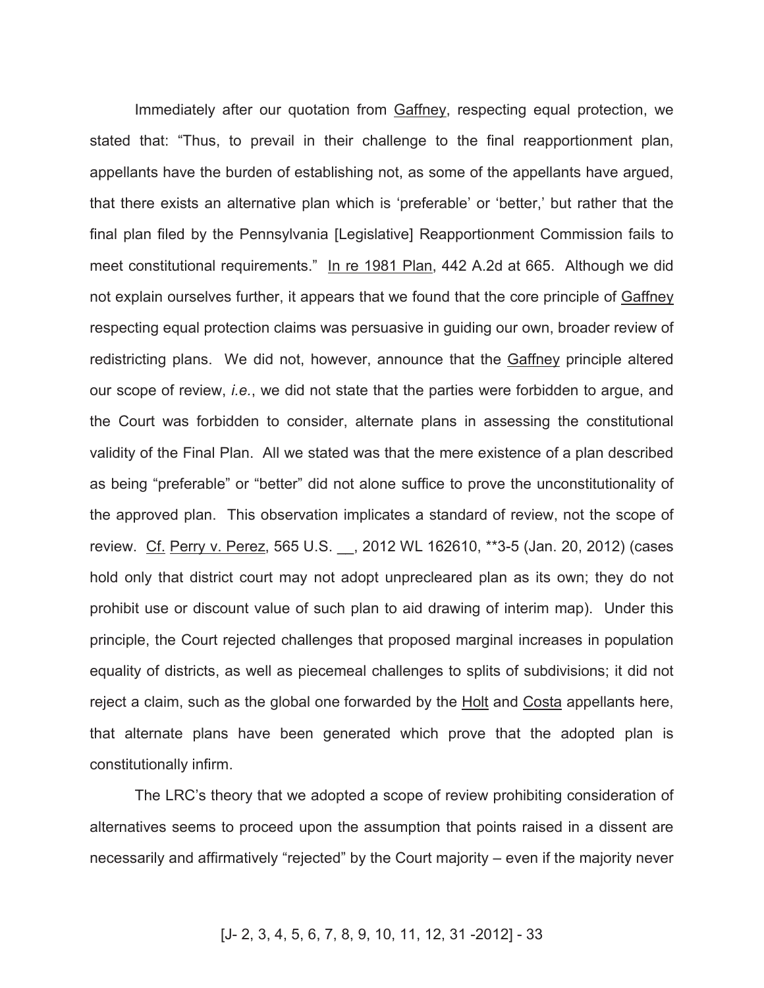Immediately after our quotation from Gaffney, respecting equal protection, we stated that: "Thus, to prevail in their challenge to the final reapportionment plan, appellants have the burden of establishing not, as some of the appellants have argued, that there exists an alternative plan which is 'preferable' or 'better,' but rather that the final plan filed by the Pennsylvania [Legislative] Reapportionment Commission fails to meet constitutional requirements." In re 1981 Plan, 442 A.2d at 665. Although we did not explain ourselves further, it appears that we found that the core principle of Gaffney respecting equal protection claims was persuasive in guiding our own, broader review of redistricting plans. We did not, however, announce that the Gaffney principle altered our scope of review, *i.e.*, we did not state that the parties were forbidden to argue, and the Court was forbidden to consider, alternate plans in assessing the constitutional validity of the Final Plan. All we stated was that the mere existence of a plan described as being "preferable" or "better" did not alone suffice to prove the unconstitutionality of the approved plan. This observation implicates a standard of review, not the scope of review. Cf. Perry v. Perez, 565 U.S. \_\_, 2012 WL 162610, \*\*3-5 (Jan. 20, 2012) (cases hold only that district court may not adopt unprecleared plan as its own; they do not prohibit use or discount value of such plan to aid drawing of interim map). Under this principle, the Court rejected challenges that proposed marginal increases in population equality of districts, as well as piecemeal challenges to splits of subdivisions; it did not reject a claim, such as the global one forwarded by the Holt and Costa appellants here, that alternate plans have been generated which prove that the adopted plan is constitutionally infirm.

The LRC's theory that we adopted a scope of review prohibiting consideration of alternatives seems to proceed upon the assumption that points raised in a dissent are necessarily and affirmatively "rejected" by the Court majority – even if the majority never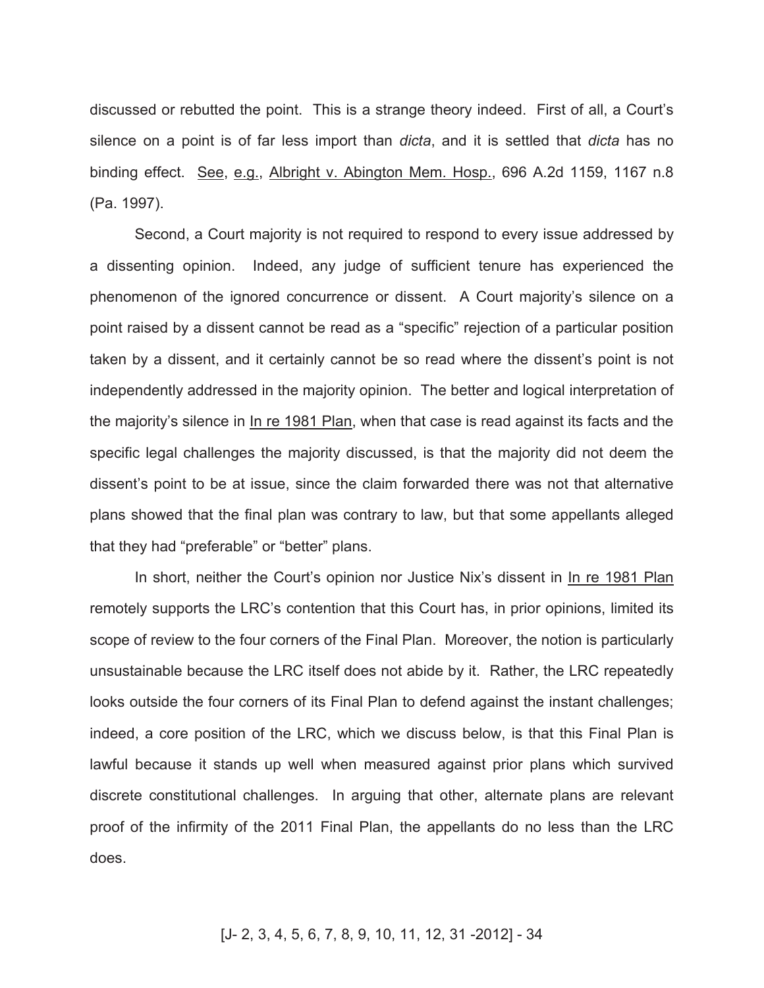discussed or rebutted the point. This is a strange theory indeed. First of all, a Court's silence on a point is of far less import than *dicta*, and it is settled that *dicta* has no binding effect. See, e.g., Albright v. Abington Mem. Hosp., 696 A.2d 1159, 1167 n.8 (Pa. 1997).

Second, a Court majority is not required to respond to every issue addressed by a dissenting opinion. Indeed, any judge of sufficient tenure has experienced the phenomenon of the ignored concurrence or dissent. A Court majority's silence on a point raised by a dissent cannot be read as a "specific" rejection of a particular position taken by a dissent, and it certainly cannot be so read where the dissent's point is not independently addressed in the majority opinion. The better and logical interpretation of the majority's silence in In re 1981 Plan, when that case is read against its facts and the specific legal challenges the majority discussed, is that the majority did not deem the dissent's point to be at issue, since the claim forwarded there was not that alternative plans showed that the final plan was contrary to law, but that some appellants alleged that they had "preferable" or "better" plans.

In short, neither the Court's opinion nor Justice Nix's dissent in In re 1981 Plan remotely supports the LRC's contention that this Court has, in prior opinions, limited its scope of review to the four corners of the Final Plan. Moreover, the notion is particularly unsustainable because the LRC itself does not abide by it. Rather, the LRC repeatedly looks outside the four corners of its Final Plan to defend against the instant challenges; indeed, a core position of the LRC, which we discuss below, is that this Final Plan is lawful because it stands up well when measured against prior plans which survived discrete constitutional challenges. In arguing that other, alternate plans are relevant proof of the infirmity of the 2011 Final Plan, the appellants do no less than the LRC does.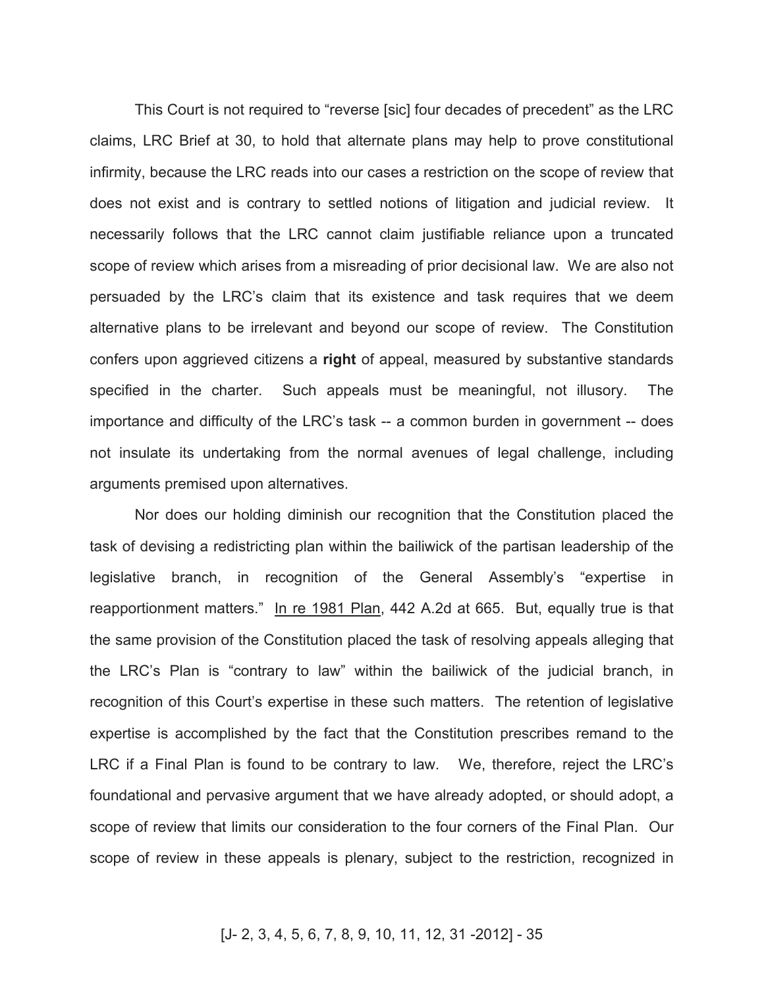This Court is not required to "reverse [sic] four decades of precedent" as the LRC claims, LRC Brief at 30, to hold that alternate plans may help to prove constitutional infirmity, because the LRC reads into our cases a restriction on the scope of review that does not exist and is contrary to settled notions of litigation and judicial review. It necessarily follows that the LRC cannot claim justifiable reliance upon a truncated scope of review which arises from a misreading of prior decisional law. We are also not persuaded by the LRC's claim that its existence and task requires that we deem alternative plans to be irrelevant and beyond our scope of review. The Constitution confers upon aggrieved citizens a **right** of appeal, measured by substantive standards specified in the charter. Such appeals must be meaningful, not illusory. The importance and difficulty of the LRC's task -- a common burden in government -- does not insulate its undertaking from the normal avenues of legal challenge, including arguments premised upon alternatives.

Nor does our holding diminish our recognition that the Constitution placed the task of devising a redistricting plan within the bailiwick of the partisan leadership of the legislative branch, in recognition of the General Assembly's "expertise in reapportionment matters." In re 1981 Plan, 442 A.2d at 665. But, equally true is that the same provision of the Constitution placed the task of resolving appeals alleging that the LRC's Plan is "contrary to law" within the bailiwick of the judicial branch, in recognition of this Court's expertise in these such matters. The retention of legislative expertise is accomplished by the fact that the Constitution prescribes remand to the LRC if a Final Plan is found to be contrary to law. We, therefore, reject the LRC's foundational and pervasive argument that we have already adopted, or should adopt, a scope of review that limits our consideration to the four corners of the Final Plan. Our scope of review in these appeals is plenary, subject to the restriction, recognized in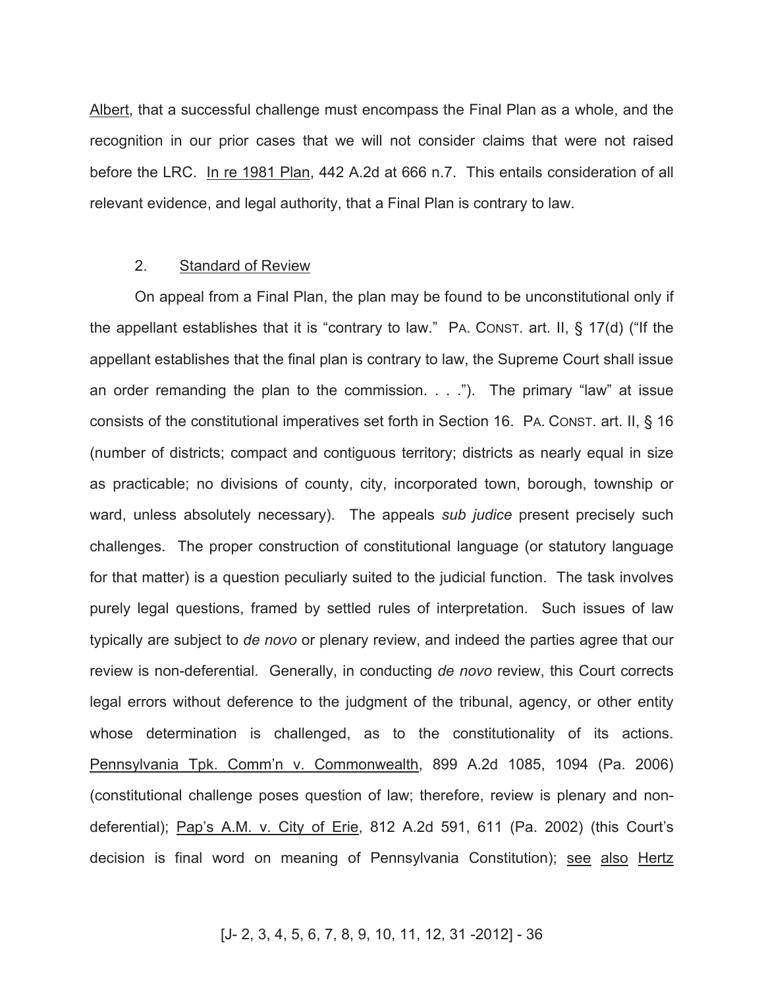Albert, that a successful challenge must encompass the Final Plan as a whole, and the recognition in our prior cases that we will not consider claims that were not raised before the LRC. In re 1981 Plan, 442 A.2d at 666 n.7. This entails consideration of all relevant evidence, and legal authority, that a Final Plan is contrary to law.

#### 2. Standard of Review

On appeal from a Final Plan, the plan may be found to be unconstitutional only if the appellant establishes that it is "contrary to law." PA. CONST. art. II, § 17(d) ("If the appellant establishes that the final plan is contrary to law, the Supreme Court shall issue an order remanding the plan to the commission. . . ."). The primary "law" at issue consists of the constitutional imperatives set forth in Section 16. PA. CONST. art. II, § 16 (number of districts; compact and contiguous territory; districts as nearly equal in size as practicable; no divisions of county, city, incorporated town, borough, township or ward, unless absolutely necessary). The appeals *sub judice* present precisely such challenges. The proper construction of constitutional language (or statutory language for that matter) is a question peculiarly suited to the judicial function. The task involves purely legal questions, framed by settled rules of interpretation. Such issues of law typically are subject to *de novo* or plenary review, and indeed the parties agree that our review is non-deferential. Generally, in conducting *de novo* review, this Court corrects legal errors without deference to the judgment of the tribunal, agency, or other entity whose determination is challenged, as to the constitutionality of its actions. Pennsylvania Tpk. Comm'n v. Commonwealth, 899 A.2d 1085, 1094 (Pa. 2006) (constitutional challenge poses question of law; therefore, review is plenary and nondeferential); Pap's A.M. v. City of Erie, 812 A.2d 591, 611 (Pa. 2002) (this Court's decision is final word on meaning of Pennsylvania Constitution); see also Hertz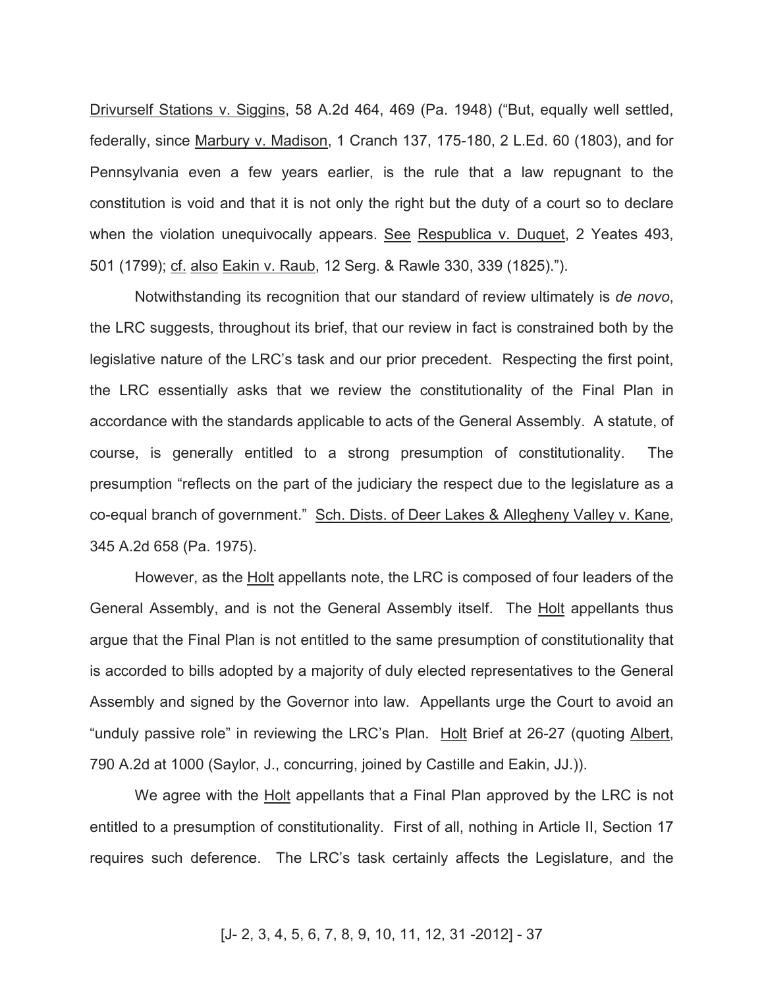Drivurself Stations v. Siggins, 58 A.2d 464, 469 (Pa. 1948) ("But, equally well settled, federally, since Marbury v. Madison, 1 Cranch 137, 175-180, 2 L.Ed. 60 (1803), and for Pennsylvania even a few years earlier, is the rule that a law repugnant to the constitution is void and that it is not only the right but the duty of a court so to declare when the violation unequivocally appears. See Respublica v. Duquet, 2 Yeates 493, 501 (1799); cf. also Eakin v. Raub, 12 Serg. & Rawle 330, 339 (1825).").

Notwithstanding its recognition that our standard of review ultimately is *de novo*, the LRC suggests, throughout its brief, that our review in fact is constrained both by the legislative nature of the LRC's task and our prior precedent. Respecting the first point, the LRC essentially asks that we review the constitutionality of the Final Plan in accordance with the standards applicable to acts of the General Assembly. A statute, of course, is generally entitled to a strong presumption of constitutionality. The presumption "reflects on the part of the judiciary the respect due to the legislature as a co-equal branch of government." Sch. Dists. of Deer Lakes & Allegheny Valley v. Kane, 345 A.2d 658 (Pa. 1975).

However, as the Holt appellants note, the LRC is composed of four leaders of the General Assembly, and is not the General Assembly itself. The Holt appellants thus argue that the Final Plan is not entitled to the same presumption of constitutionality that is accorded to bills adopted by a majority of duly elected representatives to the General Assembly and signed by the Governor into law. Appellants urge the Court to avoid an "unduly passive role" in reviewing the LRC's Plan. Holt Brief at 26-27 (quoting Albert, 790 A.2d at 1000 (Saylor, J., concurring, joined by Castille and Eakin, JJ.)).

We agree with the **Holt** appellants that a Final Plan approved by the LRC is not entitled to a presumption of constitutionality. First of all, nothing in Article II, Section 17 requires such deference. The LRC's task certainly affects the Legislature, and the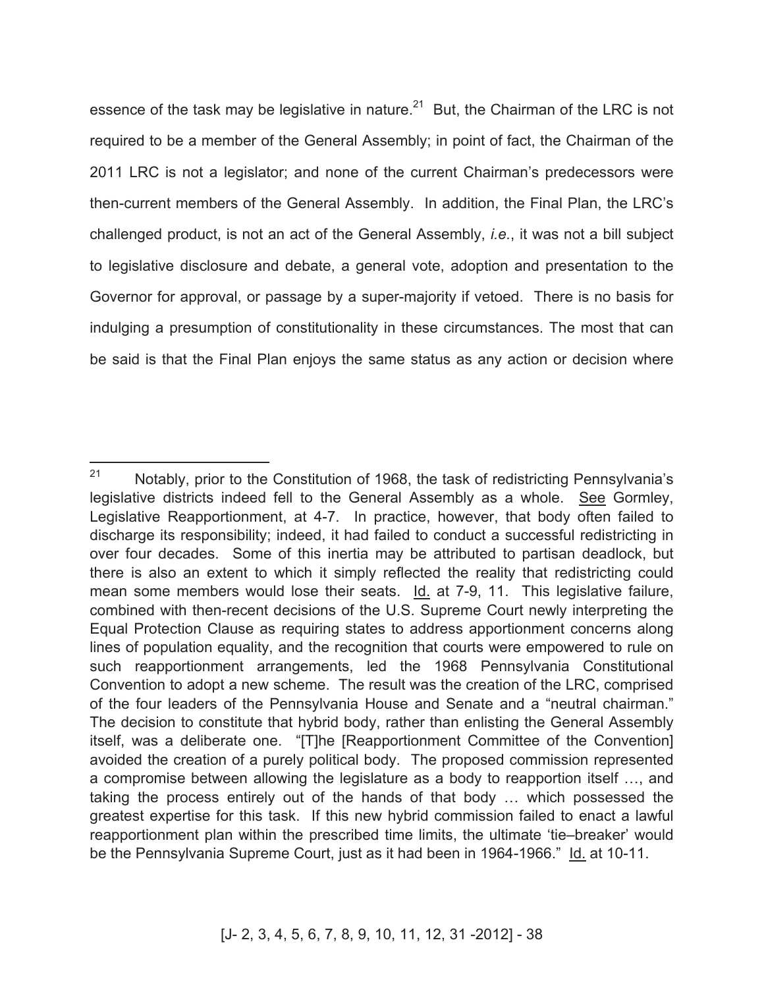essence of the task may be legislative in nature. $^{21}$  But, the Chairman of the LRC is not required to be a member of the General Assembly; in point of fact, the Chairman of the 2011 LRC is not a legislator; and none of the current Chairman's predecessors were then-current members of the General Assembly. In addition, the Final Plan, the LRC's challenged product, is not an act of the General Assembly, *i.e.*, it was not a bill subject to legislative disclosure and debate, a general vote, adoption and presentation to the Governor for approval, or passage by a super-majority if vetoed. There is no basis for indulging a presumption of constitutionality in these circumstances. The most that can be said is that the Final Plan enjoys the same status as any action or decision where

<sup>21</sup> Notably, prior to the Constitution of 1968, the task of redistricting Pennsylvania's legislative districts indeed fell to the General Assembly as a whole. See Gormley, Legislative Reapportionment, at 4-7. In practice, however, that body often failed to discharge its responsibility; indeed, it had failed to conduct a successful redistricting in over four decades. Some of this inertia may be attributed to partisan deadlock, but there is also an extent to which it simply reflected the reality that redistricting could mean some members would lose their seats. Id. at 7-9, 11. This legislative failure, combined with then-recent decisions of the U.S. Supreme Court newly interpreting the Equal Protection Clause as requiring states to address apportionment concerns along lines of population equality, and the recognition that courts were empowered to rule on such reapportionment arrangements, led the 1968 Pennsylvania Constitutional Convention to adopt a new scheme. The result was the creation of the LRC, comprised of the four leaders of the Pennsylvania House and Senate and a "neutral chairman." The decision to constitute that hybrid body, rather than enlisting the General Assembly itself, was a deliberate one. "[T]he [Reapportionment Committee of the Convention] avoided the creation of a purely political body. The proposed commission represented a compromise between allowing the legislature as a body to reapportion itself …, and taking the process entirely out of the hands of that body … which possessed the greatest expertise for this task. If this new hybrid commission failed to enact a lawful reapportionment plan within the prescribed time limits, the ultimate 'tie–breaker' would be the Pennsylvania Supreme Court, just as it had been in 1964-1966." Id. at 10-11.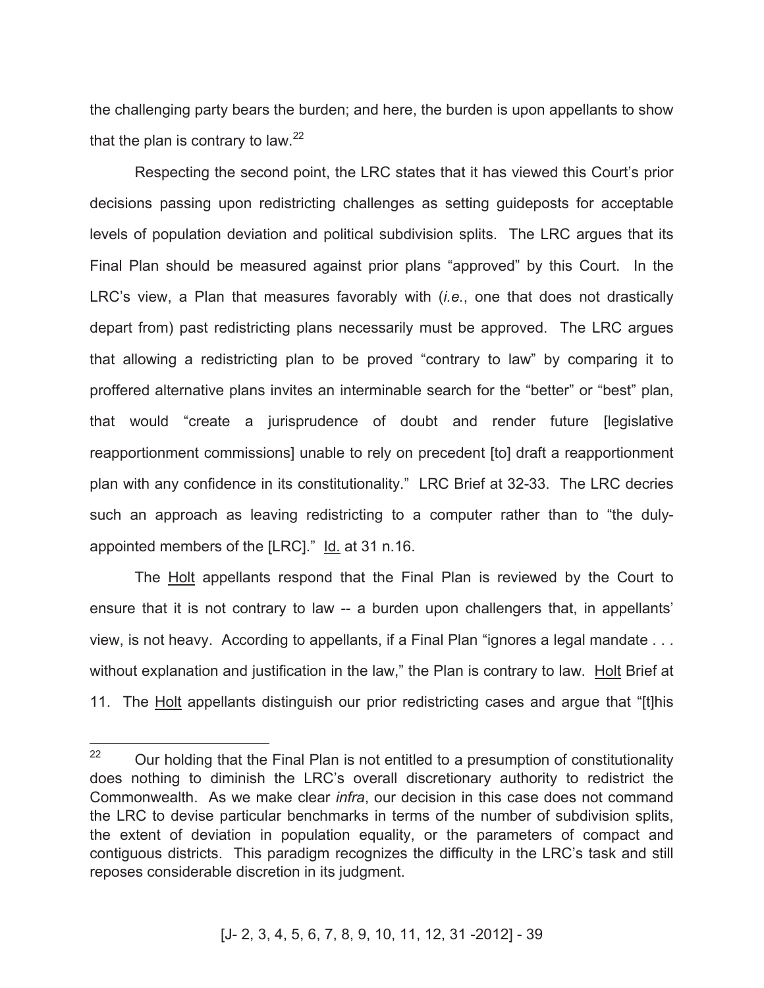the challenging party bears the burden; and here, the burden is upon appellants to show that the plan is contrary to law.  $2^2$ 

Respecting the second point, the LRC states that it has viewed this Court's prior decisions passing upon redistricting challenges as setting guideposts for acceptable levels of population deviation and political subdivision splits. The LRC argues that its Final Plan should be measured against prior plans "approved" by this Court. In the LRC's view, a Plan that measures favorably with (*i.e.*, one that does not drastically depart from) past redistricting plans necessarily must be approved. The LRC argues that allowing a redistricting plan to be proved "contrary to law" by comparing it to proffered alternative plans invites an interminable search for the "better" or "best" plan, that would "create a jurisprudence of doubt and render future [legislative reapportionment commissions] unable to rely on precedent [to] draft a reapportionment plan with any confidence in its constitutionality." LRC Brief at 32-33. The LRC decries such an approach as leaving redistricting to a computer rather than to "the dulyappointed members of the [LRC]." Id. at 31 n.16.

The Holt appellants respond that the Final Plan is reviewed by the Court to ensure that it is not contrary to law -- a burden upon challengers that, in appellants' view, is not heavy. According to appellants, if a Final Plan "ignores a legal mandate . . . without explanation and justification in the law," the Plan is contrary to law. Holt Brief at 11. The Holt appellants distinguish our prior redistricting cases and argue that "[t]his

<sup>22</sup> Our holding that the Final Plan is not entitled to a presumption of constitutionality does nothing to diminish the LRC's overall discretionary authority to redistrict the Commonwealth. As we make clear *infra*, our decision in this case does not command the LRC to devise particular benchmarks in terms of the number of subdivision splits, the extent of deviation in population equality, or the parameters of compact and contiguous districts. This paradigm recognizes the difficulty in the LRC's task and still reposes considerable discretion in its judgment.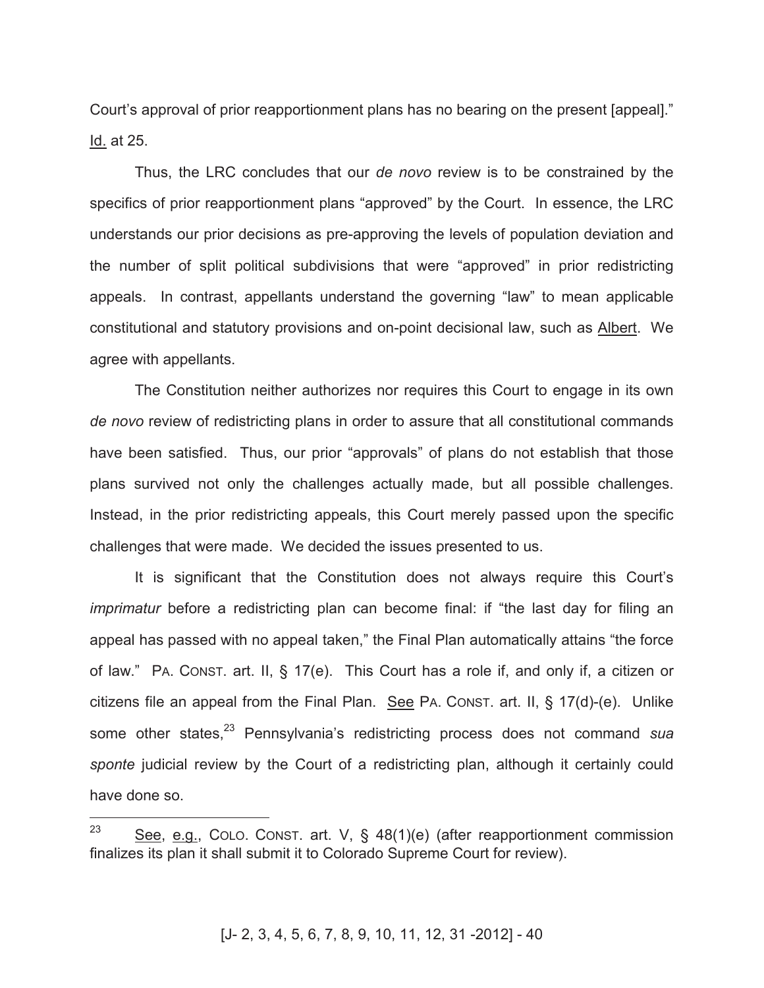Court's approval of prior reapportionment plans has no bearing on the present [appeal]." Id. at 25.

Thus, the LRC concludes that our *de novo* review is to be constrained by the specifics of prior reapportionment plans "approved" by the Court. In essence, the LRC understands our prior decisions as pre-approving the levels of population deviation and the number of split political subdivisions that were "approved" in prior redistricting appeals. In contrast, appellants understand the governing "law" to mean applicable constitutional and statutory provisions and on-point decisional law, such as Albert. We agree with appellants.

The Constitution neither authorizes nor requires this Court to engage in its own *de novo* review of redistricting plans in order to assure that all constitutional commands have been satisfied. Thus, our prior "approvals" of plans do not establish that those plans survived not only the challenges actually made, but all possible challenges. Instead, in the prior redistricting appeals, this Court merely passed upon the specific challenges that were made. We decided the issues presented to us.

It is significant that the Constitution does not always require this Court's *imprimatur* before a redistricting plan can become final: if "the last day for filing an appeal has passed with no appeal taken," the Final Plan automatically attains "the force of law." PA. CONST. art. II, § 17(e). This Court has a role if, and only if, a citizen or citizens file an appeal from the Final Plan. See PA. CONST. art. II, § 17(d)-(e). Unlike some other states,<sup>23</sup> Pennsylvania's redistricting process does not command *sua sponte* judicial review by the Court of a redistricting plan, although it certainly could have done so.

<sup>23</sup> See, e.g., COLO. CONST. art. V, § 48(1)(e) (after reapportionment commission finalizes its plan it shall submit it to Colorado Supreme Court for review).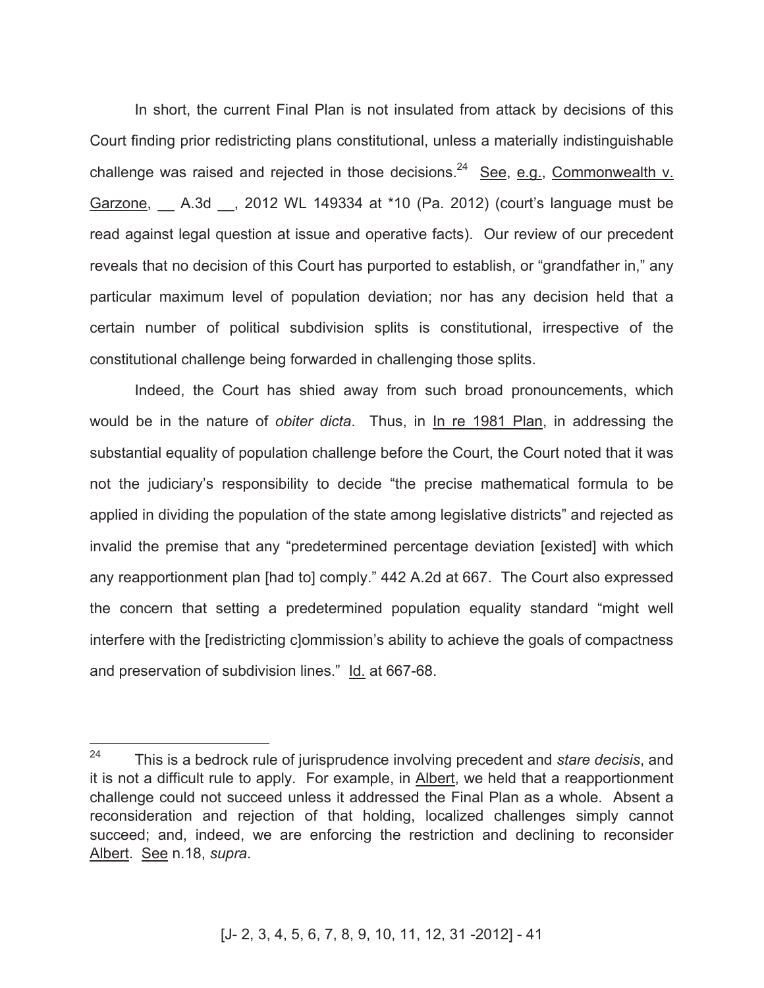In short, the current Final Plan is not insulated from attack by decisions of this Court finding prior redistricting plans constitutional, unless a materially indistinguishable challenge was raised and rejected in those decisions.<sup>24</sup> See, e.g., Commonwealth v. Garzone, \_\_ A.3d \_\_, 2012 WL 149334 at \*10 (Pa. 2012) (court's language must be read against legal question at issue and operative facts). Our review of our precedent reveals that no decision of this Court has purported to establish, or "grandfather in," any particular maximum level of population deviation; nor has any decision held that a certain number of political subdivision splits is constitutional, irrespective of the constitutional challenge being forwarded in challenging those splits.

Indeed, the Court has shied away from such broad pronouncements, which would be in the nature of *obiter dicta*. Thus, in In re 1981 Plan, in addressing the substantial equality of population challenge before the Court, the Court noted that it was not the judiciary's responsibility to decide "the precise mathematical formula to be applied in dividing the population of the state among legislative districts" and rejected as invalid the premise that any "predetermined percentage deviation [existed] with which any reapportionment plan [had to] comply." 442 A.2d at 667. The Court also expressed the concern that setting a predetermined population equality standard "might well interfere with the [redistricting c]ommission's ability to achieve the goals of compactness and preservation of subdivision lines." Id. at 667-68.

<sup>24</sup> <sup>24</sup> This is a bedrock rule of jurisprudence involving precedent and *stare decisis*, and it is not a difficult rule to apply. For example, in Albert, we held that a reapportionment challenge could not succeed unless it addressed the Final Plan as a whole. Absent a reconsideration and rejection of that holding, localized challenges simply cannot succeed; and, indeed, we are enforcing the restriction and declining to reconsider Albert. See n.18, *supra*.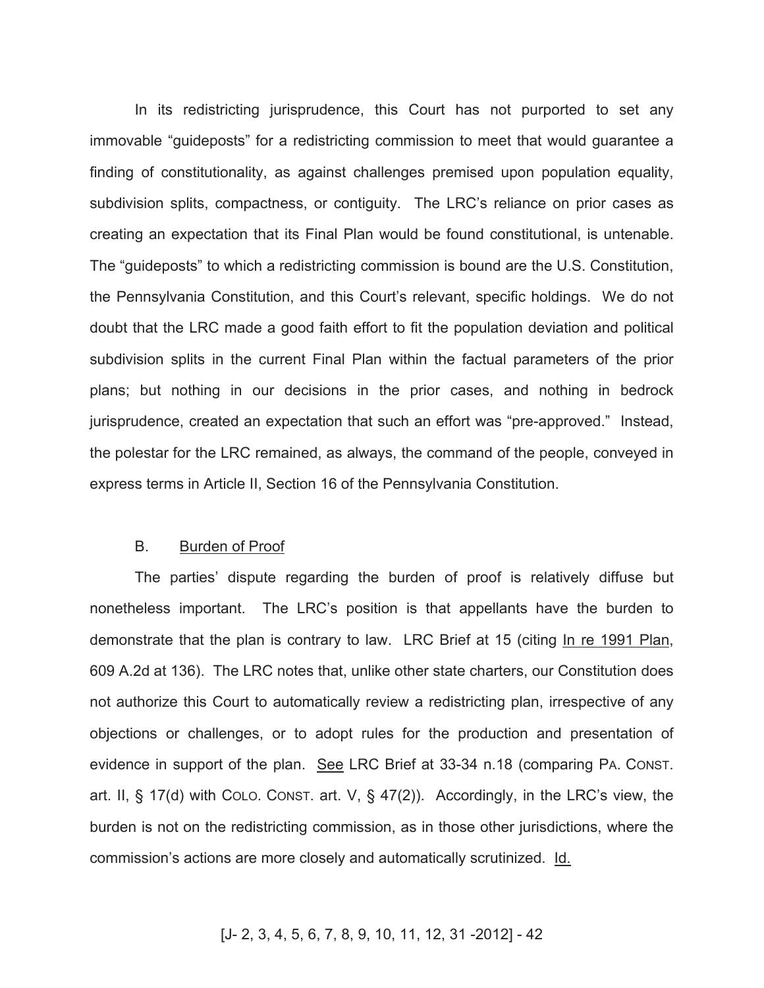In its redistricting jurisprudence, this Court has not purported to set any immovable "guideposts" for a redistricting commission to meet that would guarantee a finding of constitutionality, as against challenges premised upon population equality, subdivision splits, compactness, or contiguity. The LRC's reliance on prior cases as creating an expectation that its Final Plan would be found constitutional, is untenable. The "guideposts" to which a redistricting commission is bound are the U.S. Constitution, the Pennsylvania Constitution, and this Court's relevant, specific holdings. We do not doubt that the LRC made a good faith effort to fit the population deviation and political subdivision splits in the current Final Plan within the factual parameters of the prior plans; but nothing in our decisions in the prior cases, and nothing in bedrock jurisprudence, created an expectation that such an effort was "pre-approved." Instead, the polestar for the LRC remained, as always, the command of the people, conveyed in express terms in Article II, Section 16 of the Pennsylvania Constitution.

#### B. Burden of Proof

The parties' dispute regarding the burden of proof is relatively diffuse but nonetheless important. The LRC's position is that appellants have the burden to demonstrate that the plan is contrary to law. LRC Brief at 15 (citing In re 1991 Plan, 609 A.2d at 136). The LRC notes that, unlike other state charters, our Constitution does not authorize this Court to automatically review a redistricting plan, irrespective of any objections or challenges, or to adopt rules for the production and presentation of evidence in support of the plan. See LRC Brief at 33-34 n.18 (comparing PA. CONST. art. II, § 17(d) with COLO. CONST. art. V, § 47(2)). Accordingly, in the LRC's view, the burden is not on the redistricting commission, as in those other jurisdictions, where the commission's actions are more closely and automatically scrutinized. Id.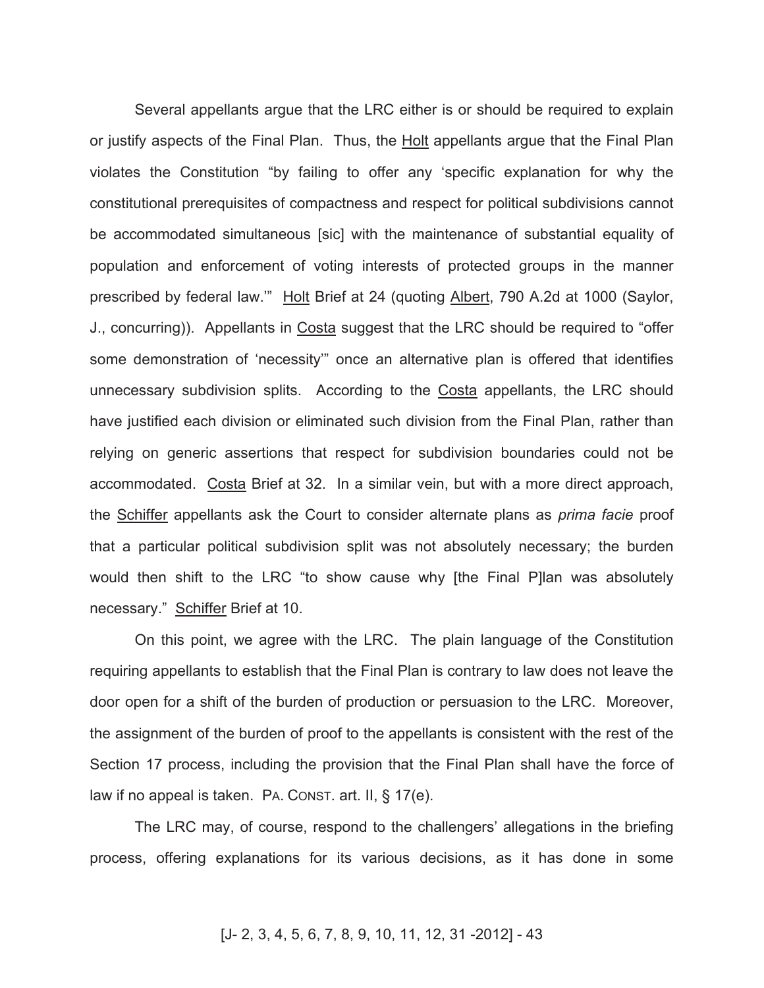Several appellants argue that the LRC either is or should be required to explain or justify aspects of the Final Plan. Thus, the Holt appellants argue that the Final Plan violates the Constitution "by failing to offer any 'specific explanation for why the constitutional prerequisites of compactness and respect for political subdivisions cannot be accommodated simultaneous [sic] with the maintenance of substantial equality of population and enforcement of voting interests of protected groups in the manner prescribed by federal law.'" Holt Brief at 24 (quoting Albert, 790 A.2d at 1000 (Saylor, J., concurring)). Appellants in Costa suggest that the LRC should be required to "offer some demonstration of 'necessity'" once an alternative plan is offered that identifies unnecessary subdivision splits. According to the Costa appellants, the LRC should have justified each division or eliminated such division from the Final Plan, rather than relying on generic assertions that respect for subdivision boundaries could not be accommodated. Costa Brief at 32. In a similar vein, but with a more direct approach, the Schiffer appellants ask the Court to consider alternate plans as *prima facie* proof that a particular political subdivision split was not absolutely necessary; the burden would then shift to the LRC "to show cause why [the Final P]lan was absolutely necessary." Schiffer Brief at 10.

On this point, we agree with the LRC. The plain language of the Constitution requiring appellants to establish that the Final Plan is contrary to law does not leave the door open for a shift of the burden of production or persuasion to the LRC. Moreover, the assignment of the burden of proof to the appellants is consistent with the rest of the Section 17 process, including the provision that the Final Plan shall have the force of law if no appeal is taken. PA. CONST. art. II, § 17(e).

The LRC may, of course, respond to the challengers' allegations in the briefing process, offering explanations for its various decisions, as it has done in some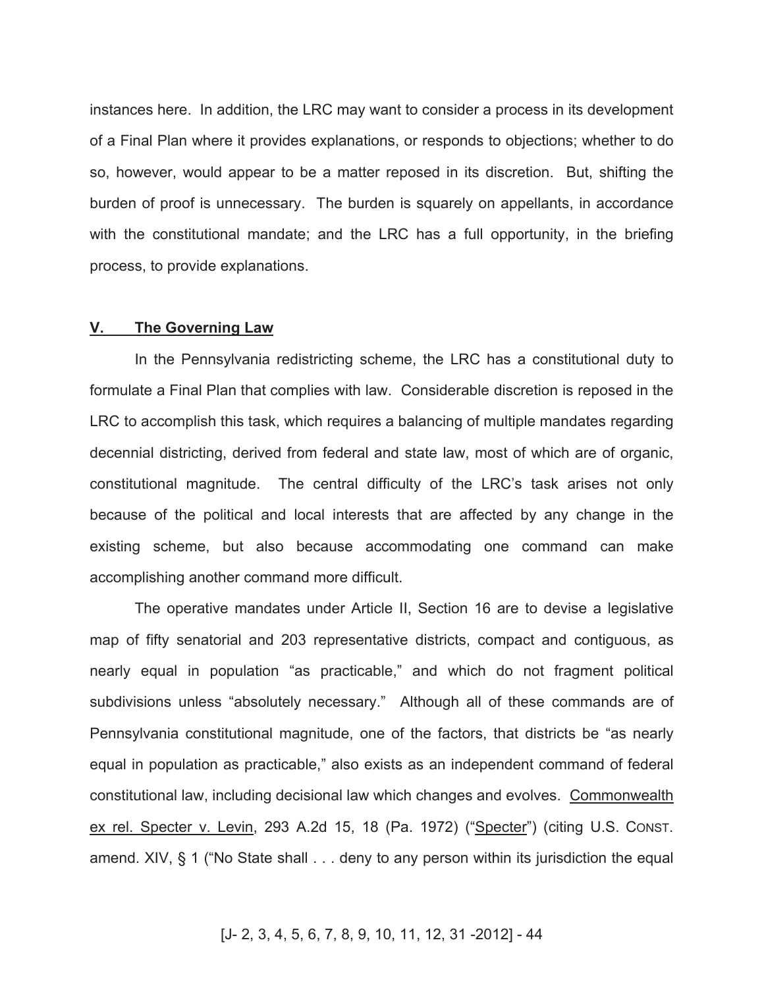instances here. In addition, the LRC may want to consider a process in its development of a Final Plan where it provides explanations, or responds to objections; whether to do so, however, would appear to be a matter reposed in its discretion. But, shifting the burden of proof is unnecessary. The burden is squarely on appellants, in accordance with the constitutional mandate; and the LRC has a full opportunity, in the briefing process, to provide explanations.

#### **V. The Governing Law**

In the Pennsylvania redistricting scheme, the LRC has a constitutional duty to formulate a Final Plan that complies with law. Considerable discretion is reposed in the LRC to accomplish this task, which requires a balancing of multiple mandates regarding decennial districting, derived from federal and state law, most of which are of organic, constitutional magnitude. The central difficulty of the LRC's task arises not only because of the political and local interests that are affected by any change in the existing scheme, but also because accommodating one command can make accomplishing another command more difficult.

The operative mandates under Article II, Section 16 are to devise a legislative map of fifty senatorial and 203 representative districts, compact and contiguous, as nearly equal in population "as practicable," and which do not fragment political subdivisions unless "absolutely necessary." Although all of these commands are of Pennsylvania constitutional magnitude, one of the factors, that districts be "as nearly equal in population as practicable," also exists as an independent command of federal constitutional law, including decisional law which changes and evolves. Commonwealth ex rel. Specter v. Levin, 293 A.2d 15, 18 (Pa. 1972) ("Specter") (citing U.S. CONST. amend. XIV, § 1 ("No State shall . . . deny to any person within its jurisdiction the equal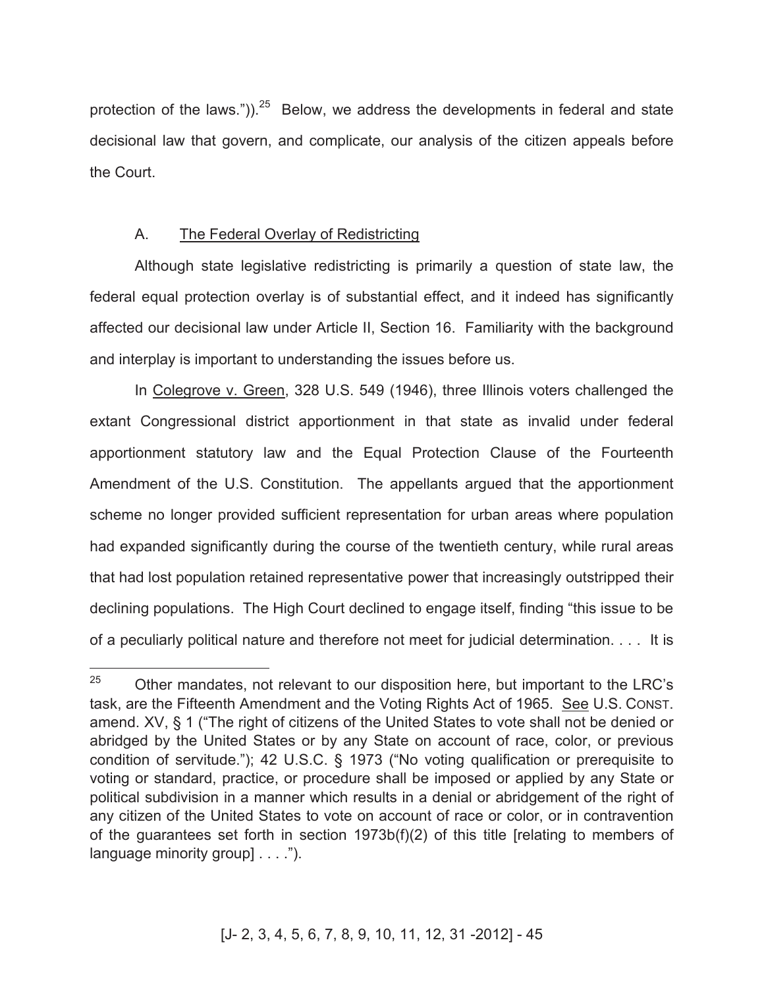protection of the laws.")). $25$  Below, we address the developments in federal and state decisional law that govern, and complicate, our analysis of the citizen appeals before the Court.

## A. The Federal Overlay of Redistricting

Although state legislative redistricting is primarily a question of state law, the federal equal protection overlay is of substantial effect, and it indeed has significantly affected our decisional law under Article II, Section 16. Familiarity with the background and interplay is important to understanding the issues before us.

In Colegrove v. Green, 328 U.S. 549 (1946), three Illinois voters challenged the extant Congressional district apportionment in that state as invalid under federal apportionment statutory law and the Equal Protection Clause of the Fourteenth Amendment of the U.S. Constitution. The appellants argued that the apportionment scheme no longer provided sufficient representation for urban areas where population had expanded significantly during the course of the twentieth century, while rural areas that had lost population retained representative power that increasingly outstripped their declining populations. The High Court declined to engage itself, finding "this issue to be of a peculiarly political nature and therefore not meet for judicial determination. . . . It is

<sup>25</sup> <sup>25</sup> Other mandates, not relevant to our disposition here, but important to the LRC's task, are the Fifteenth Amendment and the Voting Rights Act of 1965. See U.S. CONST. amend. XV, § 1 ("The right of citizens of the United States to vote shall not be denied or abridged by the United States or by any State on account of race, color, or previous condition of servitude."); 42 U.S.C. § 1973 ("No voting qualification or prerequisite to voting or standard, practice, or procedure shall be imposed or applied by any State or political subdivision in a manner which results in a denial or abridgement of the right of any citizen of the United States to vote on account of race or color, or in contravention of the guarantees set forth in section 1973b(f)(2) of this title [relating to members of language minority group] . . . .").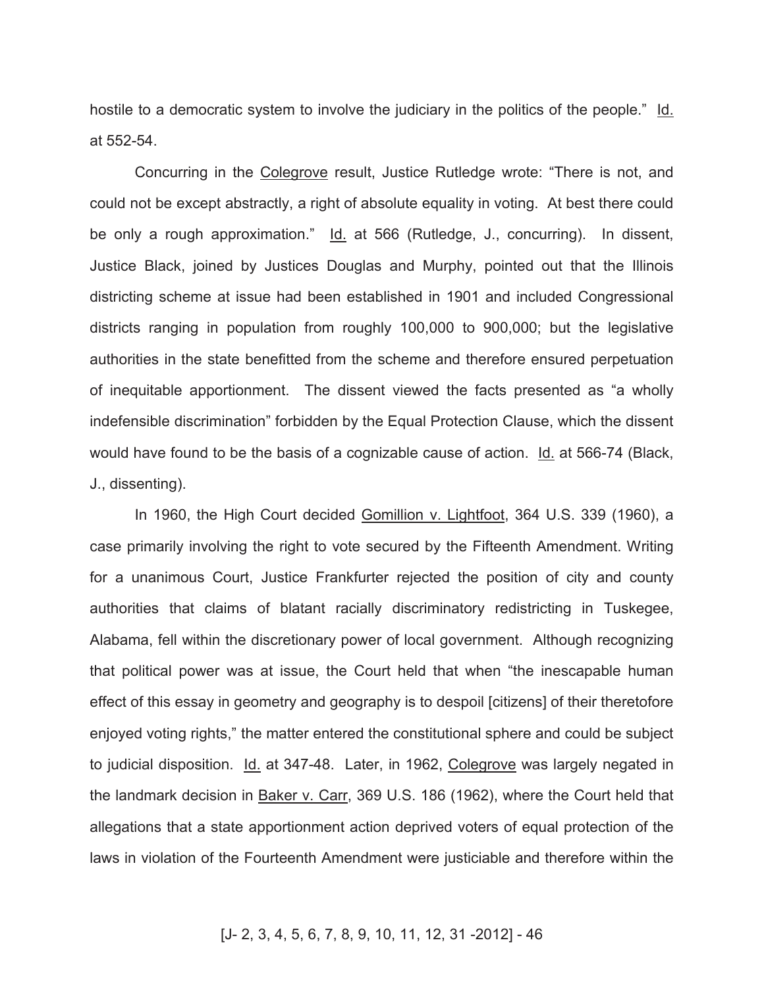hostile to a democratic system to involve the judiciary in the politics of the people." Id. at 552-54.

Concurring in the Colegrove result, Justice Rutledge wrote: "There is not, and could not be except abstractly, a right of absolute equality in voting. At best there could be only a rough approximation." Id. at 566 (Rutledge, J., concurring). In dissent, Justice Black, joined by Justices Douglas and Murphy, pointed out that the Illinois districting scheme at issue had been established in 1901 and included Congressional districts ranging in population from roughly 100,000 to 900,000; but the legislative authorities in the state benefitted from the scheme and therefore ensured perpetuation of inequitable apportionment. The dissent viewed the facts presented as "a wholly indefensible discrimination" forbidden by the Equal Protection Clause, which the dissent would have found to be the basis of a cognizable cause of action. Id. at 566-74 (Black, J., dissenting).

In 1960, the High Court decided Gomillion v. Lightfoot, 364 U.S. 339 (1960), a case primarily involving the right to vote secured by the Fifteenth Amendment. Writing for a unanimous Court, Justice Frankfurter rejected the position of city and county authorities that claims of blatant racially discriminatory redistricting in Tuskegee, Alabama, fell within the discretionary power of local government. Although recognizing that political power was at issue, the Court held that when "the inescapable human effect of this essay in geometry and geography is to despoil [citizens] of their theretofore enjoyed voting rights," the matter entered the constitutional sphere and could be subject to judicial disposition. Id. at 347-48. Later, in 1962, Colegrove was largely negated in the landmark decision in Baker v. Carr, 369 U.S. 186 (1962), where the Court held that allegations that a state apportionment action deprived voters of equal protection of the laws in violation of the Fourteenth Amendment were justiciable and therefore within the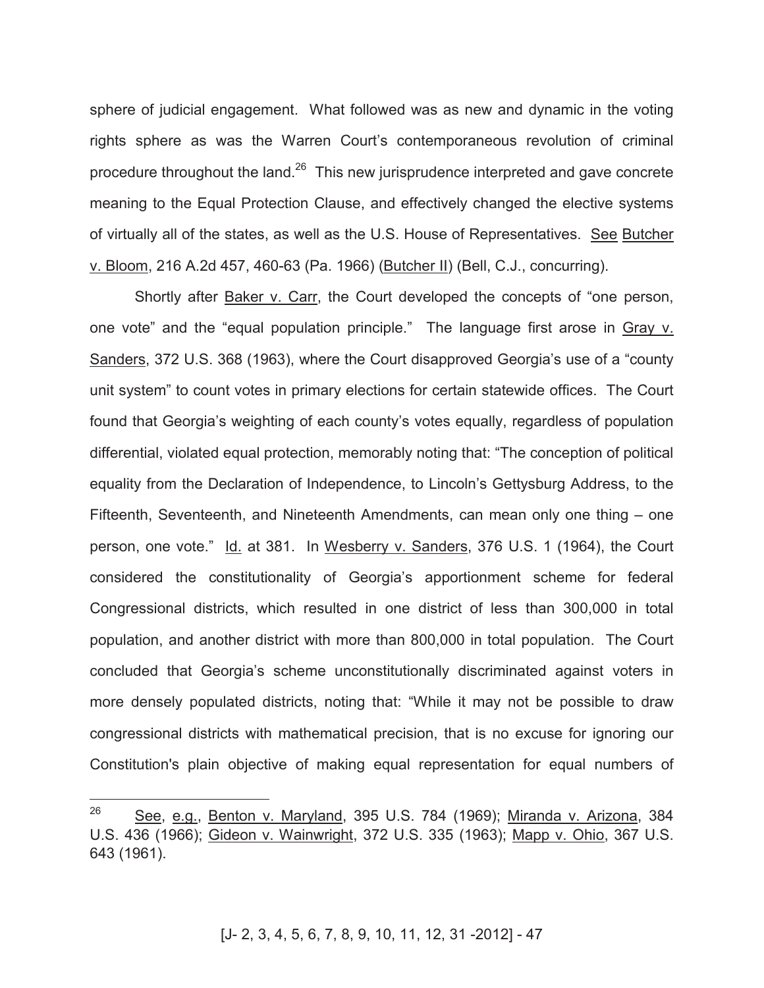sphere of judicial engagement. What followed was as new and dynamic in the voting rights sphere as was the Warren Court's contemporaneous revolution of criminal procedure throughout the land. $26$  This new jurisprudence interpreted and gave concrete meaning to the Equal Protection Clause, and effectively changed the elective systems of virtually all of the states, as well as the U.S. House of Representatives. See Butcher v. Bloom, 216 A.2d 457, 460-63 (Pa. 1966) (Butcher II) (Bell, C.J., concurring).

Shortly after Baker v. Carr, the Court developed the concepts of "one person, one vote" and the "equal population principle." The language first arose in Gray v. Sanders, 372 U.S. 368 (1963), where the Court disapproved Georgia's use of a "county unit system" to count votes in primary elections for certain statewide offices. The Court found that Georgia's weighting of each county's votes equally, regardless of population differential, violated equal protection, memorably noting that: "The conception of political equality from the Declaration of Independence, to Lincoln's Gettysburg Address, to the Fifteenth, Seventeenth, and Nineteenth Amendments, can mean only one thing – one person, one vote." Id. at 381. In Wesberry v. Sanders, 376 U.S. 1 (1964), the Court considered the constitutionality of Georgia's apportionment scheme for federal Congressional districts, which resulted in one district of less than 300,000 in total population, and another district with more than 800,000 in total population. The Court concluded that Georgia's scheme unconstitutionally discriminated against voters in more densely populated districts, noting that: "While it may not be possible to draw congressional districts with mathematical precision, that is no excuse for ignoring our Constitution's plain objective of making equal representation for equal numbers of

<sup>26</sup> See, e.g., Benton v. Maryland, 395 U.S. 784 (1969); Miranda v. Arizona, 384 U.S. 436 (1966); Gideon v. Wainwright, 372 U.S. 335 (1963); Mapp v. Ohio, 367 U.S. 643 (1961).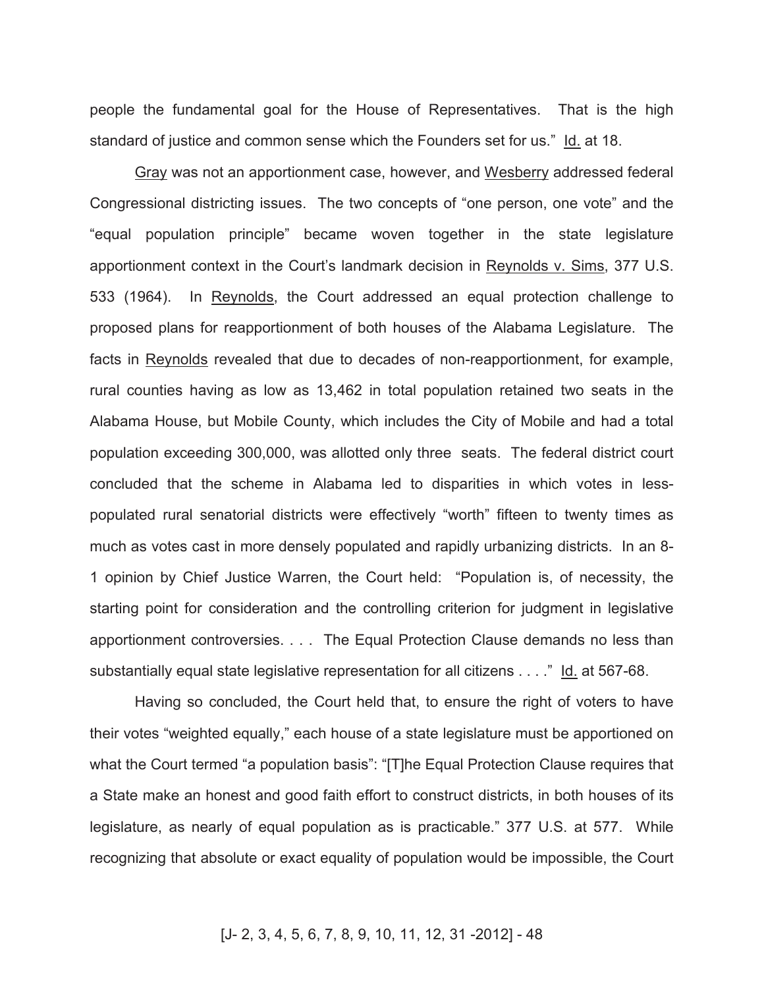people the fundamental goal for the House of Representatives. That is the high standard of justice and common sense which the Founders set for us." Id. at 18.

Gray was not an apportionment case, however, and Wesberry addressed federal Congressional districting issues. The two concepts of "one person, one vote" and the "equal population principle" became woven together in the state legislature apportionment context in the Court's landmark decision in Reynolds v. Sims, 377 U.S. 533 (1964). In Reynolds, the Court addressed an equal protection challenge to proposed plans for reapportionment of both houses of the Alabama Legislature. The facts in Reynolds revealed that due to decades of non-reapportionment, for example, rural counties having as low as 13,462 in total population retained two seats in the Alabama House, but Mobile County, which includes the City of Mobile and had a total population exceeding 300,000, was allotted only three seats. The federal district court concluded that the scheme in Alabama led to disparities in which votes in lesspopulated rural senatorial districts were effectively "worth" fifteen to twenty times as much as votes cast in more densely populated and rapidly urbanizing districts. In an 8- 1 opinion by Chief Justice Warren, the Court held: "Population is, of necessity, the starting point for consideration and the controlling criterion for judgment in legislative apportionment controversies. . . . The Equal Protection Clause demands no less than substantially equal state legislative representation for all citizens . . . ." Id. at 567-68.

Having so concluded, the Court held that, to ensure the right of voters to have their votes "weighted equally," each house of a state legislature must be apportioned on what the Court termed "a population basis": "[T]he Equal Protection Clause requires that a State make an honest and good faith effort to construct districts, in both houses of its legislature, as nearly of equal population as is practicable." 377 U.S. at 577. While recognizing that absolute or exact equality of population would be impossible, the Court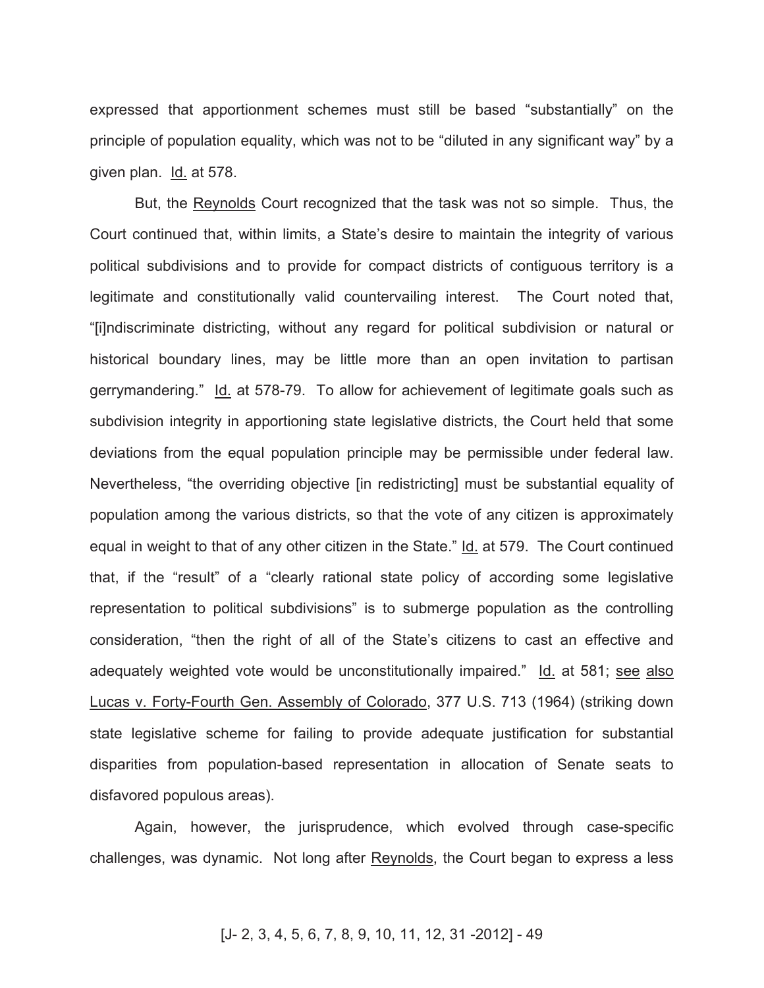expressed that apportionment schemes must still be based "substantially" on the principle of population equality, which was not to be "diluted in any significant way" by a given plan. Id. at 578.

But, the Reynolds Court recognized that the task was not so simple. Thus, the Court continued that, within limits, a State's desire to maintain the integrity of various political subdivisions and to provide for compact districts of contiguous territory is a legitimate and constitutionally valid countervailing interest. The Court noted that, "[i]ndiscriminate districting, without any regard for political subdivision or natural or historical boundary lines, may be little more than an open invitation to partisan gerrymandering." Id. at 578-79. To allow for achievement of legitimate goals such as subdivision integrity in apportioning state legislative districts, the Court held that some deviations from the equal population principle may be permissible under federal law. Nevertheless, "the overriding objective [in redistricting] must be substantial equality of population among the various districts, so that the vote of any citizen is approximately equal in weight to that of any other citizen in the State." Id. at 579. The Court continued that, if the "result" of a "clearly rational state policy of according some legislative representation to political subdivisions" is to submerge population as the controlling consideration, "then the right of all of the State's citizens to cast an effective and adequately weighted vote would be unconstitutionally impaired." Id. at 581; see also Lucas v. Forty-Fourth Gen. Assembly of Colorado, 377 U.S. 713 (1964) (striking down state legislative scheme for failing to provide adequate justification for substantial disparities from population-based representation in allocation of Senate seats to disfavored populous areas).

Again, however, the jurisprudence, which evolved through case-specific challenges, was dynamic. Not long after Reynolds, the Court began to express a less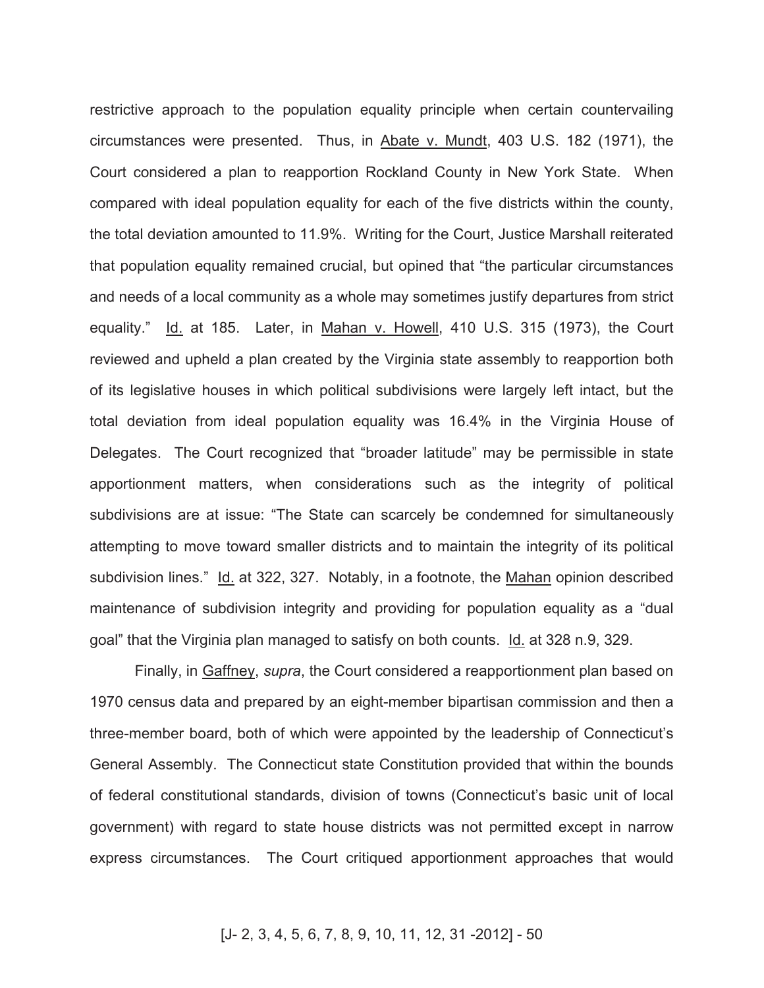restrictive approach to the population equality principle when certain countervailing circumstances were presented. Thus, in Abate v. Mundt, 403 U.S. 182 (1971), the Court considered a plan to reapportion Rockland County in New York State. When compared with ideal population equality for each of the five districts within the county, the total deviation amounted to 11.9%. Writing for the Court, Justice Marshall reiterated that population equality remained crucial, but opined that "the particular circumstances and needs of a local community as a whole may sometimes justify departures from strict equality." Id. at 185. Later, in Mahan v. Howell, 410 U.S. 315 (1973), the Court reviewed and upheld a plan created by the Virginia state assembly to reapportion both of its legislative houses in which political subdivisions were largely left intact, but the total deviation from ideal population equality was 16.4% in the Virginia House of Delegates. The Court recognized that "broader latitude" may be permissible in state apportionment matters, when considerations such as the integrity of political subdivisions are at issue: "The State can scarcely be condemned for simultaneously attempting to move toward smaller districts and to maintain the integrity of its political subdivision lines." Id. at 322, 327. Notably, in a footnote, the Mahan opinion described maintenance of subdivision integrity and providing for population equality as a "dual goal" that the Virginia plan managed to satisfy on both counts. Id. at 328 n.9, 329.

Finally, in Gaffney, *supra*, the Court considered a reapportionment plan based on 1970 census data and prepared by an eight-member bipartisan commission and then a three-member board, both of which were appointed by the leadership of Connecticut's General Assembly. The Connecticut state Constitution provided that within the bounds of federal constitutional standards, division of towns (Connecticut's basic unit of local government) with regard to state house districts was not permitted except in narrow express circumstances. The Court critiqued apportionment approaches that would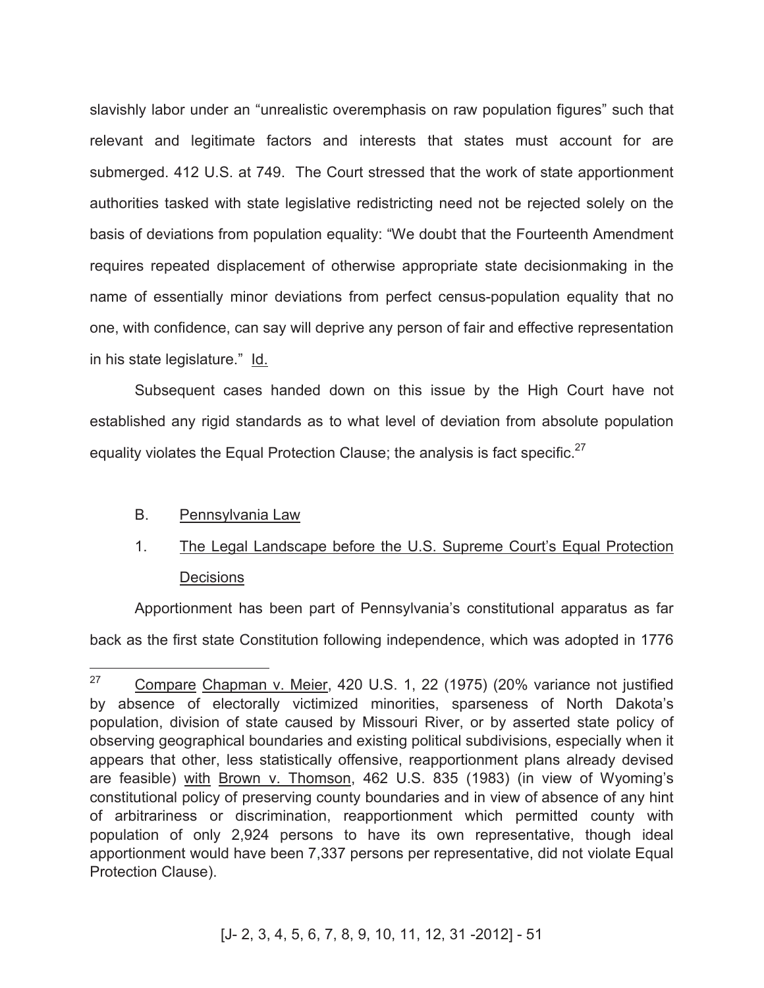slavishly labor under an "unrealistic overemphasis on raw population figures" such that relevant and legitimate factors and interests that states must account for are submerged. 412 U.S. at 749. The Court stressed that the work of state apportionment authorities tasked with state legislative redistricting need not be rejected solely on the basis of deviations from population equality: "We doubt that the Fourteenth Amendment requires repeated displacement of otherwise appropriate state decisionmaking in the name of essentially minor deviations from perfect census-population equality that no one, with confidence, can say will deprive any person of fair and effective representation in his state legislature." Id.

Subsequent cases handed down on this issue by the High Court have not established any rigid standards as to what level of deviation from absolute population equality violates the Equal Protection Clause; the analysis is fact specific. $27$ 

# B. Pennsylvania Law

# 1. The Legal Landscape before the U.S. Supreme Court's Equal Protection **Decisions**

Apportionment has been part of Pennsylvania's constitutional apparatus as far back as the first state Constitution following independence, which was adopted in 1776

<sup>27</sup> Compare Chapman v. Meier, 420 U.S. 1, 22 (1975) (20% variance not justified by absence of electorally victimized minorities, sparseness of North Dakota's population, division of state caused by Missouri River, or by asserted state policy of observing geographical boundaries and existing political subdivisions, especially when it appears that other, less statistically offensive, reapportionment plans already devised are feasible) with Brown v. Thomson, 462 U.S. 835 (1983) (in view of Wyoming's constitutional policy of preserving county boundaries and in view of absence of any hint of arbitrariness or discrimination, reapportionment which permitted county with population of only 2,924 persons to have its own representative, though ideal apportionment would have been 7,337 persons per representative, did not violate Equal Protection Clause).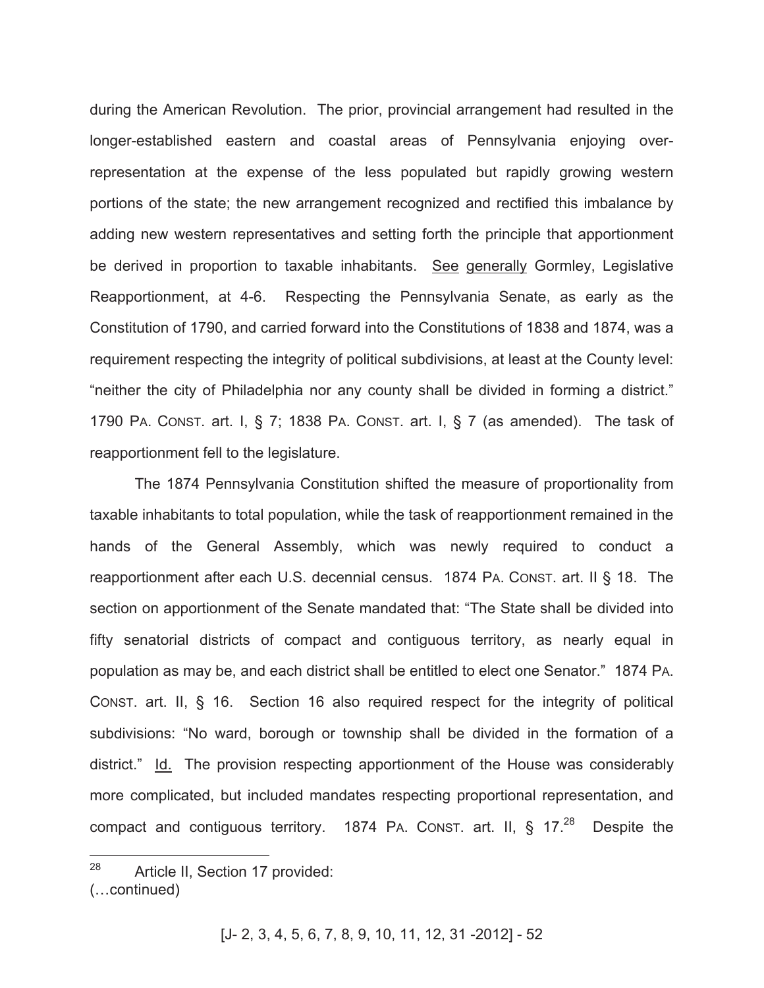during the American Revolution. The prior, provincial arrangement had resulted in the longer-established eastern and coastal areas of Pennsylvania enjoying overrepresentation at the expense of the less populated but rapidly growing western portions of the state; the new arrangement recognized and rectified this imbalance by adding new western representatives and setting forth the principle that apportionment be derived in proportion to taxable inhabitants. See generally Gormley, Legislative Reapportionment, at 4-6. Respecting the Pennsylvania Senate, as early as the Constitution of 1790, and carried forward into the Constitutions of 1838 and 1874, was a requirement respecting the integrity of political subdivisions, at least at the County level: "neither the city of Philadelphia nor any county shall be divided in forming a district." 1790 PA. CONST. art. I, § 7; 1838 PA. CONST. art. I, § 7 (as amended). The task of reapportionment fell to the legislature.

The 1874 Pennsylvania Constitution shifted the measure of proportionality from taxable inhabitants to total population, while the task of reapportionment remained in the hands of the General Assembly, which was newly required to conduct a reapportionment after each U.S. decennial census. 1874 PA. CONST. art. II § 18. The section on apportionment of the Senate mandated that: "The State shall be divided into fifty senatorial districts of compact and contiguous territory, as nearly equal in population as may be, and each district shall be entitled to elect one Senator." 1874 PA. CONST. art. II, § 16. Section 16 also required respect for the integrity of political subdivisions: "No ward, borough or township shall be divided in the formation of a district." Id. The provision respecting apportionment of the House was considerably more complicated, but included mandates respecting proportional representation, and compact and contiguous territory. 1874 PA. CONST. art. II,  $\S$  17.<sup>28</sup> Despite the

<sup>28</sup> Article II, Section 17 provided: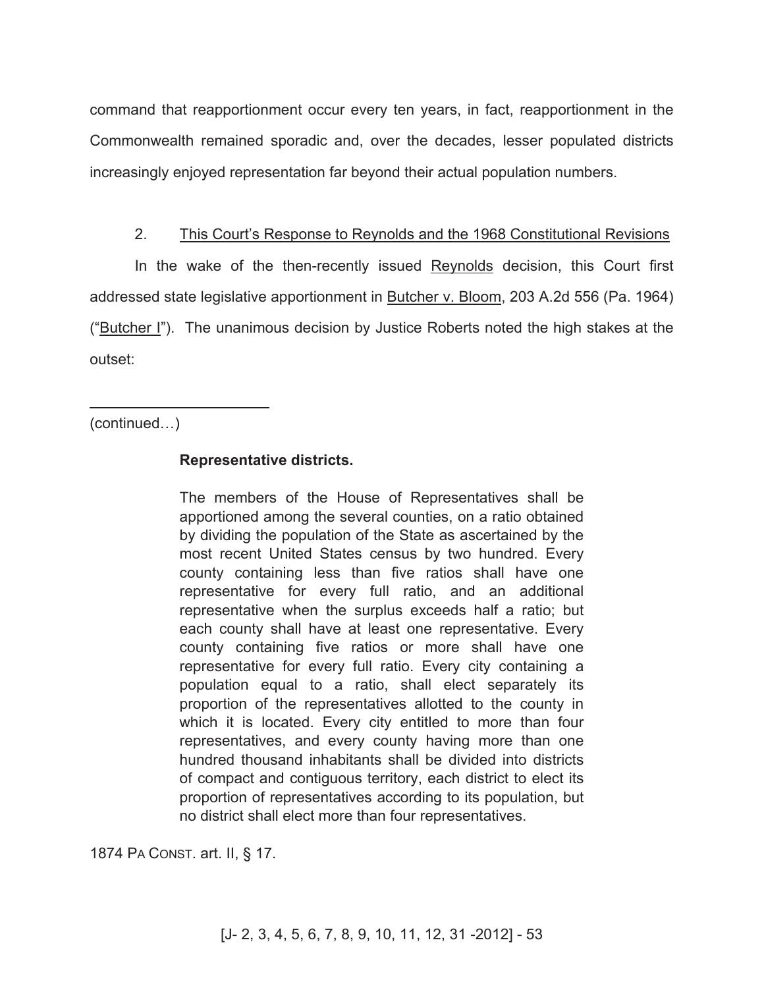command that reapportionment occur every ten years, in fact, reapportionment in the Commonwealth remained sporadic and, over the decades, lesser populated districts increasingly enjoyed representation far beyond their actual population numbers.

## 2. This Court's Response to Reynolds and the 1968 Constitutional Revisions

In the wake of the then-recently issued Reynolds decision, this Court first addressed state legislative apportionment in Butcher v. Bloom, 203 A.2d 556 (Pa. 1964) ("Butcher I"). The unanimous decision by Justice Roberts noted the high stakes at the outset:

(continued…)

 $\overline{a}$ 

# **Representative districts.**

The members of the House of Representatives shall be apportioned among the several counties, on a ratio obtained by dividing the population of the State as ascertained by the most recent United States census by two hundred. Every county containing less than five ratios shall have one representative for every full ratio, and an additional representative when the surplus exceeds half a ratio; but each county shall have at least one representative. Every county containing five ratios or more shall have one representative for every full ratio. Every city containing a population equal to a ratio, shall elect separately its proportion of the representatives allotted to the county in which it is located. Every city entitled to more than four representatives, and every county having more than one hundred thousand inhabitants shall be divided into districts of compact and contiguous territory, each district to elect its proportion of representatives according to its population, but no district shall elect more than four representatives.

1874 PA CONST. art. II, § 17.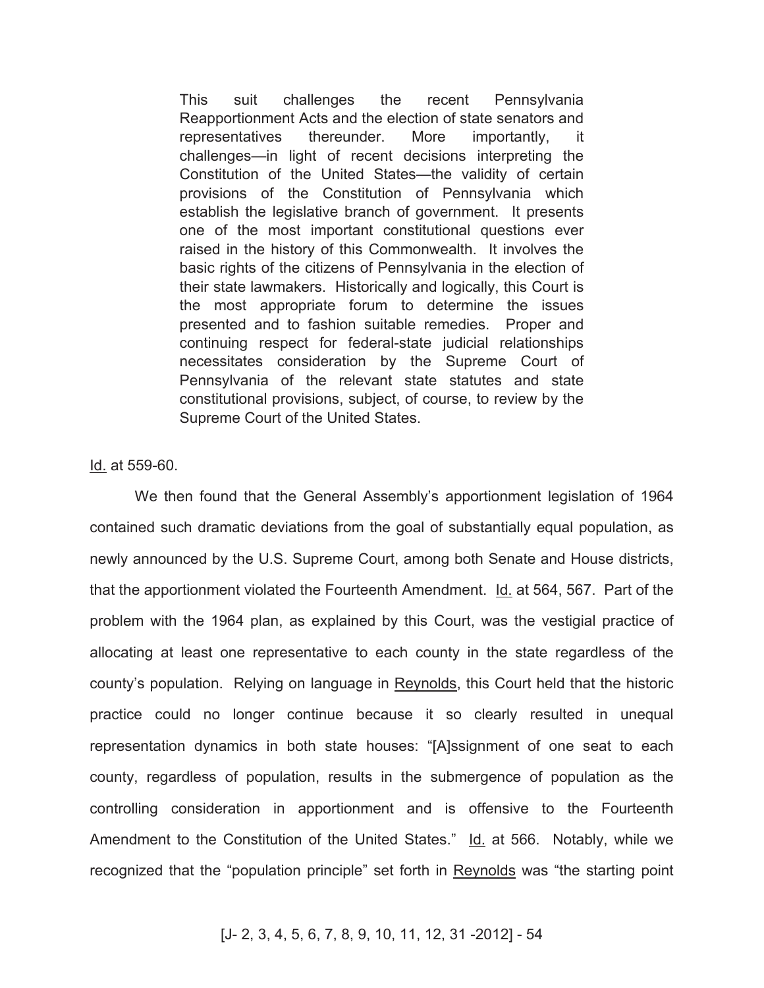This suit challenges the recent Pennsylvania Reapportionment Acts and the election of state senators and representatives thereunder. More importantly, it challenges—in light of recent decisions interpreting the Constitution of the United States—the validity of certain provisions of the Constitution of Pennsylvania which establish the legislative branch of government. It presents one of the most important constitutional questions ever raised in the history of this Commonwealth. It involves the basic rights of the citizens of Pennsylvania in the election of their state lawmakers. Historically and logically, this Court is the most appropriate forum to determine the issues presented and to fashion suitable remedies. Proper and continuing respect for federal-state judicial relationships necessitates consideration by the Supreme Court of Pennsylvania of the relevant state statutes and state constitutional provisions, subject, of course, to review by the Supreme Court of the United States.

Id. at 559-60.

We then found that the General Assembly's apportionment legislation of 1964 contained such dramatic deviations from the goal of substantially equal population, as newly announced by the U.S. Supreme Court, among both Senate and House districts, that the apportionment violated the Fourteenth Amendment. Id. at 564, 567. Part of the problem with the 1964 plan, as explained by this Court, was the vestigial practice of allocating at least one representative to each county in the state regardless of the county's population. Relying on language in Reynolds, this Court held that the historic practice could no longer continue because it so clearly resulted in unequal representation dynamics in both state houses: "[A]ssignment of one seat to each county, regardless of population, results in the submergence of population as the controlling consideration in apportionment and is offensive to the Fourteenth Amendment to the Constitution of the United States." Id. at 566. Notably, while we recognized that the "population principle" set forth in Reynolds was "the starting point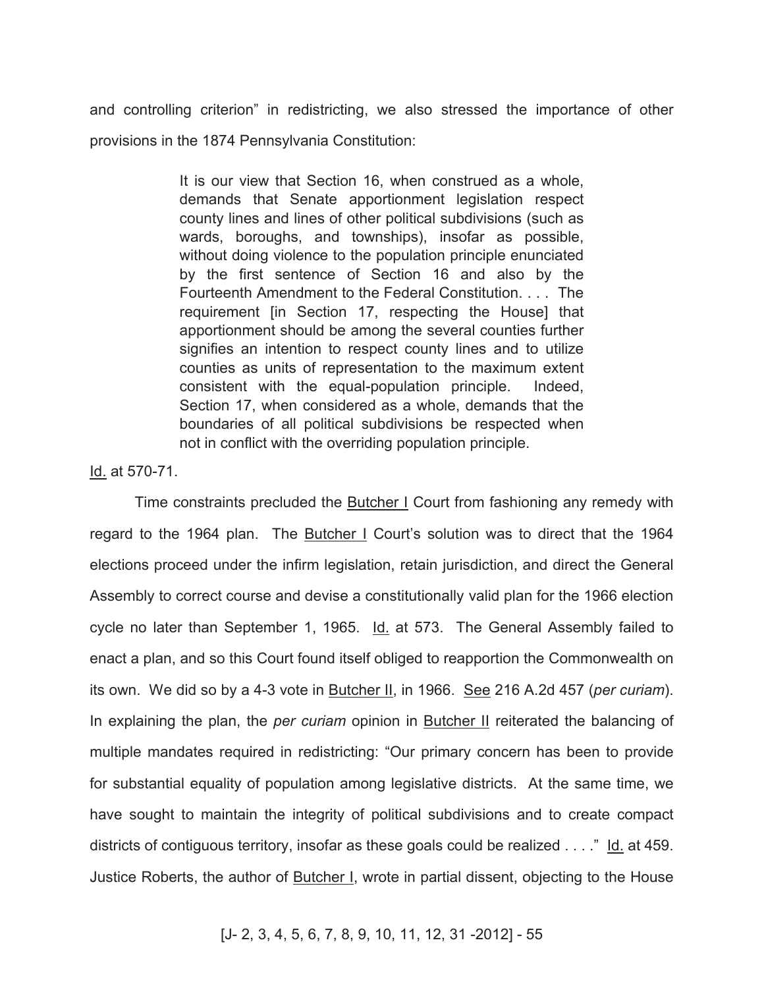and controlling criterion" in redistricting, we also stressed the importance of other provisions in the 1874 Pennsylvania Constitution:

> It is our view that Section 16, when construed as a whole, demands that Senate apportionment legislation respect county lines and lines of other political subdivisions (such as wards, boroughs, and townships), insofar as possible, without doing violence to the population principle enunciated by the first sentence of Section 16 and also by the Fourteenth Amendment to the Federal Constitution. . . . The requirement [in Section 17, respecting the House] that apportionment should be among the several counties further signifies an intention to respect county lines and to utilize counties as units of representation to the maximum extent consistent with the equal-population principle. Indeed, Section 17, when considered as a whole, demands that the boundaries of all political subdivisions be respected when not in conflict with the overriding population principle.

Id. at 570-71.

Time constraints precluded the Butcher I Court from fashioning any remedy with regard to the 1964 plan. The Butcher I Court's solution was to direct that the 1964 elections proceed under the infirm legislation, retain jurisdiction, and direct the General Assembly to correct course and devise a constitutionally valid plan for the 1966 election cycle no later than September 1, 1965. Id. at 573. The General Assembly failed to enact a plan, and so this Court found itself obliged to reapportion the Commonwealth on its own. We did so by a 4-3 vote in Butcher II, in 1966. See 216 A.2d 457 (*per curiam*). In explaining the plan, the *per curiam* opinion in Butcher II reiterated the balancing of multiple mandates required in redistricting: "Our primary concern has been to provide for substantial equality of population among legislative districts. At the same time, we have sought to maintain the integrity of political subdivisions and to create compact districts of contiguous territory, insofar as these goals could be realized . . . ." Id. at 459. Justice Roberts, the author of Butcher I, wrote in partial dissent, objecting to the House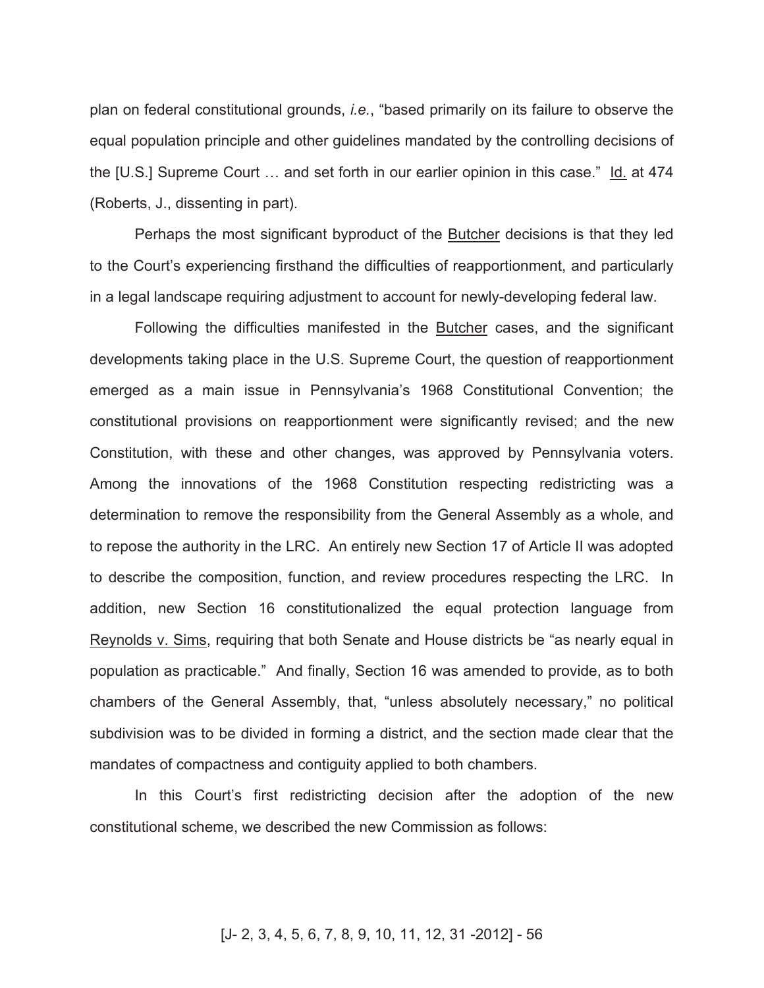plan on federal constitutional grounds, *i.e.*, "based primarily on its failure to observe the equal population principle and other guidelines mandated by the controlling decisions of the [U.S.] Supreme Court … and set forth in our earlier opinion in this case." Id. at 474 (Roberts, J., dissenting in part).

Perhaps the most significant byproduct of the Butcher decisions is that they led to the Court's experiencing firsthand the difficulties of reapportionment, and particularly in a legal landscape requiring adjustment to account for newly-developing federal law.

Following the difficulties manifested in the **Butcher** cases, and the significant developments taking place in the U.S. Supreme Court, the question of reapportionment emerged as a main issue in Pennsylvania's 1968 Constitutional Convention; the constitutional provisions on reapportionment were significantly revised; and the new Constitution, with these and other changes, was approved by Pennsylvania voters. Among the innovations of the 1968 Constitution respecting redistricting was a determination to remove the responsibility from the General Assembly as a whole, and to repose the authority in the LRC. An entirely new Section 17 of Article II was adopted to describe the composition, function, and review procedures respecting the LRC. In addition, new Section 16 constitutionalized the equal protection language from Reynolds v. Sims, requiring that both Senate and House districts be "as nearly equal in population as practicable." And finally, Section 16 was amended to provide, as to both chambers of the General Assembly, that, "unless absolutely necessary," no political subdivision was to be divided in forming a district, and the section made clear that the mandates of compactness and contiguity applied to both chambers.

In this Court's first redistricting decision after the adoption of the new constitutional scheme, we described the new Commission as follows: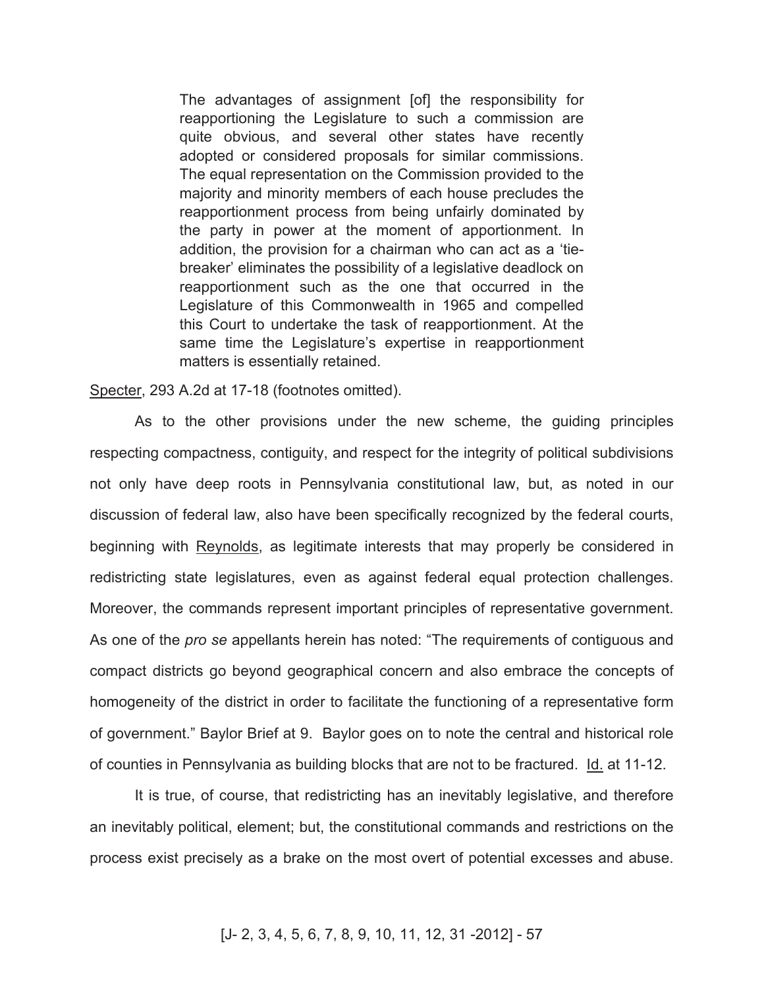The advantages of assignment [of] the responsibility for reapportioning the Legislature to such a commission are quite obvious, and several other states have recently adopted or considered proposals for similar commissions. The equal representation on the Commission provided to the majority and minority members of each house precludes the reapportionment process from being unfairly dominated by the party in power at the moment of apportionment. In addition, the provision for a chairman who can act as a 'tiebreaker' eliminates the possibility of a legislative deadlock on reapportionment such as the one that occurred in the Legislature of this Commonwealth in 1965 and compelled this Court to undertake the task of reapportionment. At the same time the Legislature's expertise in reapportionment matters is essentially retained.

Specter, 293 A.2d at 17-18 (footnotes omitted).

As to the other provisions under the new scheme, the guiding principles respecting compactness, contiguity, and respect for the integrity of political subdivisions not only have deep roots in Pennsylvania constitutional law, but, as noted in our discussion of federal law, also have been specifically recognized by the federal courts, beginning with Reynolds, as legitimate interests that may properly be considered in redistricting state legislatures, even as against federal equal protection challenges. Moreover, the commands represent important principles of representative government. As one of the *pro se* appellants herein has noted: "The requirements of contiguous and compact districts go beyond geographical concern and also embrace the concepts of homogeneity of the district in order to facilitate the functioning of a representative form of government." Baylor Brief at 9. Baylor goes on to note the central and historical role of counties in Pennsylvania as building blocks that are not to be fractured. Id. at 11-12.

It is true, of course, that redistricting has an inevitably legislative, and therefore an inevitably political, element; but, the constitutional commands and restrictions on the process exist precisely as a brake on the most overt of potential excesses and abuse.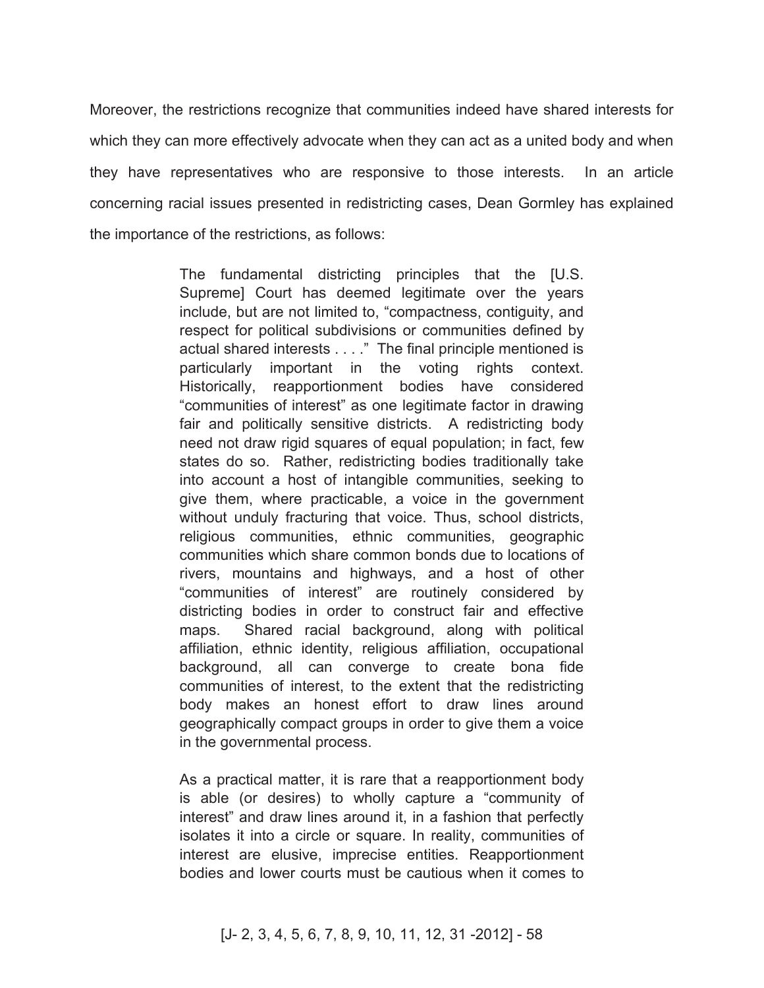Moreover, the restrictions recognize that communities indeed have shared interests for which they can more effectively advocate when they can act as a united body and when they have representatives who are responsive to those interests. In an article concerning racial issues presented in redistricting cases, Dean Gormley has explained the importance of the restrictions, as follows:

> The fundamental districting principles that the [U.S. Supreme] Court has deemed legitimate over the years include, but are not limited to, "compactness, contiguity, and respect for political subdivisions or communities defined by actual shared interests . . . ." The final principle mentioned is particularly important in the voting rights context. Historically, reapportionment bodies have considered "communities of interest" as one legitimate factor in drawing fair and politically sensitive districts. A redistricting body need not draw rigid squares of equal population; in fact, few states do so. Rather, redistricting bodies traditionally take into account a host of intangible communities, seeking to give them, where practicable, a voice in the government without unduly fracturing that voice. Thus, school districts, religious communities, ethnic communities, geographic communities which share common bonds due to locations of rivers, mountains and highways, and a host of other "communities of interest" are routinely considered by districting bodies in order to construct fair and effective maps. Shared racial background, along with political affiliation, ethnic identity, religious affiliation, occupational background, all can converge to create bona fide communities of interest, to the extent that the redistricting body makes an honest effort to draw lines around geographically compact groups in order to give them a voice in the governmental process.

As a practical matter, it is rare that a reapportionment body is able (or desires) to wholly capture a "community of interest" and draw lines around it, in a fashion that perfectly isolates it into a circle or square. In reality, communities of interest are elusive, imprecise entities. Reapportionment bodies and lower courts must be cautious when it comes to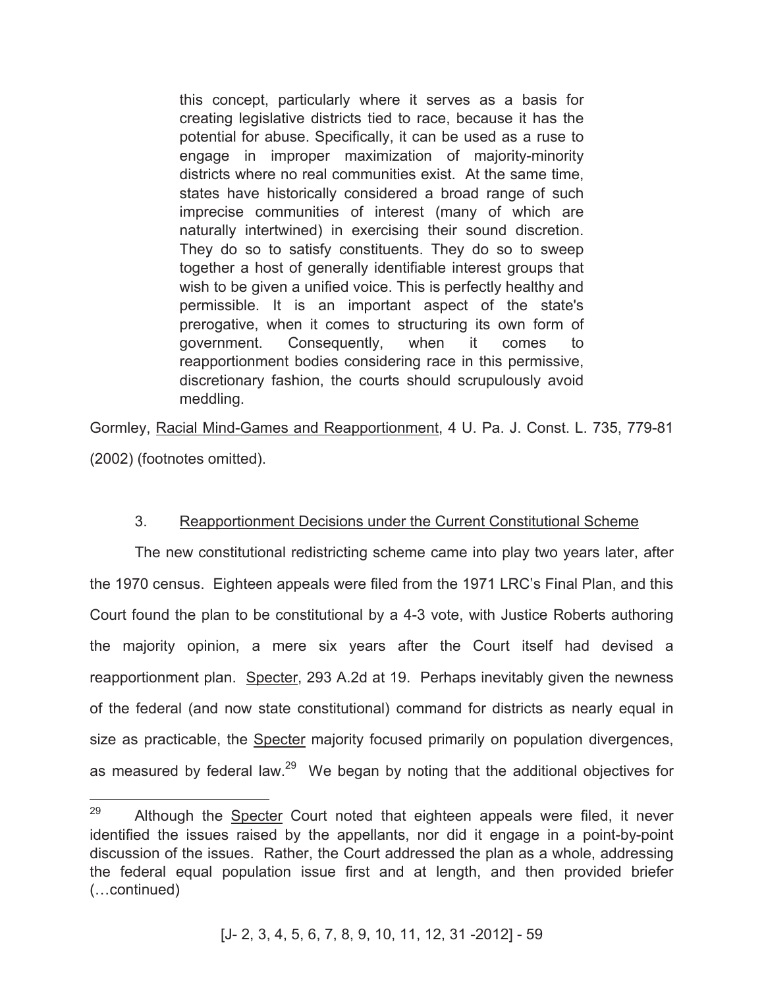this concept, particularly where it serves as a basis for creating legislative districts tied to race, because it has the potential for abuse. Specifically, it can be used as a ruse to engage in improper maximization of majority-minority districts where no real communities exist. At the same time, states have historically considered a broad range of such imprecise communities of interest (many of which are naturally intertwined) in exercising their sound discretion. They do so to satisfy constituents. They do so to sweep together a host of generally identifiable interest groups that wish to be given a unified voice. This is perfectly healthy and permissible. It is an important aspect of the state's prerogative, when it comes to structuring its own form of government. Consequently, when it comes to reapportionment bodies considering race in this permissive, discretionary fashion, the courts should scrupulously avoid meddling.

Gormley, Racial Mind-Games and Reapportionment, 4 U. Pa. J. Const. L. 735, 779-81 (2002) (footnotes omitted).

# 3. Reapportionment Decisions under the Current Constitutional Scheme

The new constitutional redistricting scheme came into play two years later, after the 1970 census. Eighteen appeals were filed from the 1971 LRC's Final Plan, and this Court found the plan to be constitutional by a 4-3 vote, with Justice Roberts authoring the majority opinion, a mere six years after the Court itself had devised a reapportionment plan. Specter, 293 A.2d at 19. Perhaps inevitably given the newness of the federal (and now state constitutional) command for districts as nearly equal in size as practicable, the **Specter** majority focused primarily on population divergences, as measured by federal law.<sup>29</sup> We began by noting that the additional objectives for

<sup>29</sup> Although the Specter Court noted that eighteen appeals were filed, it never identified the issues raised by the appellants, nor did it engage in a point-by-point discussion of the issues. Rather, the Court addressed the plan as a whole, addressing the federal equal population issue first and at length, and then provided briefer (…continued)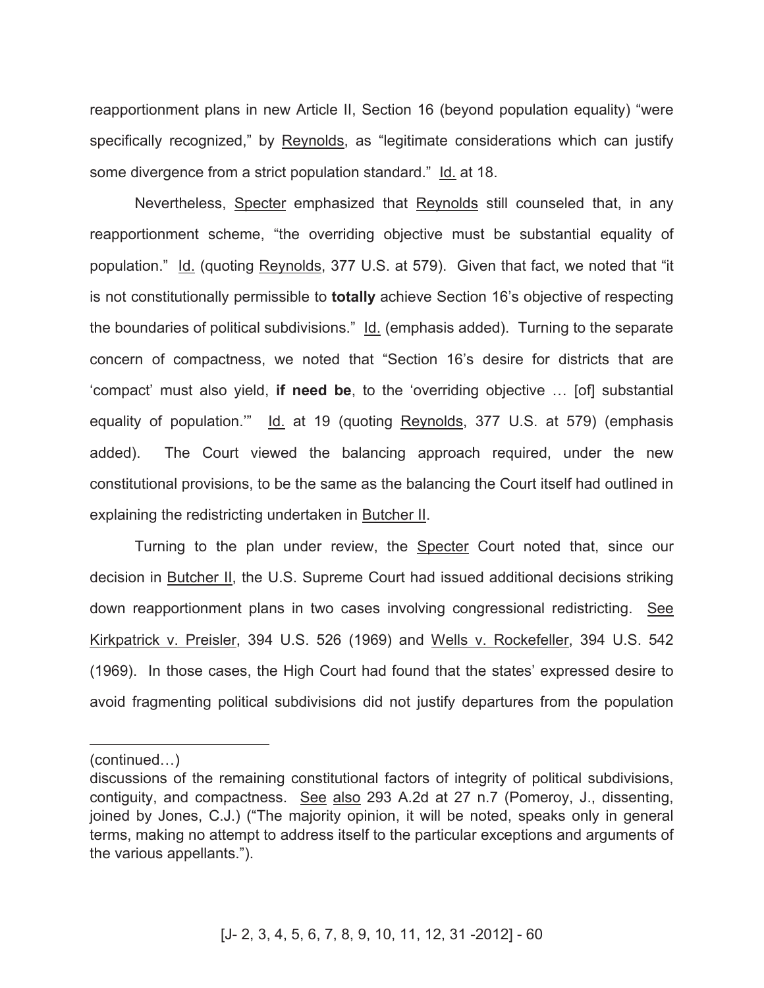reapportionment plans in new Article II, Section 16 (beyond population equality) "were specifically recognized," by Reynolds, as "legitimate considerations which can justify some divergence from a strict population standard." Id. at 18.

Nevertheless, Specter emphasized that Reynolds still counseled that, in any reapportionment scheme, "the overriding objective must be substantial equality of population." Id. (quoting Reynolds, 377 U.S. at 579). Given that fact, we noted that "it is not constitutionally permissible to **totally** achieve Section 16's objective of respecting the boundaries of political subdivisions." Id. (emphasis added). Turning to the separate concern of compactness, we noted that "Section 16's desire for districts that are 'compact' must also yield, **if need be**, to the 'overriding objective … [of] substantial equality of population." Id. at 19 (quoting Reynolds, 377 U.S. at 579) (emphasis added). The Court viewed the balancing approach required, under the new constitutional provisions, to be the same as the balancing the Court itself had outlined in explaining the redistricting undertaken in Butcher II.

Turning to the plan under review, the Specter Court noted that, since our decision in Butcher II, the U.S. Supreme Court had issued additional decisions striking down reapportionment plans in two cases involving congressional redistricting. See Kirkpatrick v. Preisler, 394 U.S. 526 (1969) and Wells v. Rockefeller, 394 U.S. 542 (1969). In those cases, the High Court had found that the states' expressed desire to avoid fragmenting political subdivisions did not justify departures from the population

(continued…)

 $\overline{a}$ 

discussions of the remaining constitutional factors of integrity of political subdivisions, contiguity, and compactness. See also 293 A.2d at 27 n.7 (Pomeroy, J., dissenting, joined by Jones, C.J.) ("The majority opinion, it will be noted, speaks only in general terms, making no attempt to address itself to the particular exceptions and arguments of the various appellants.").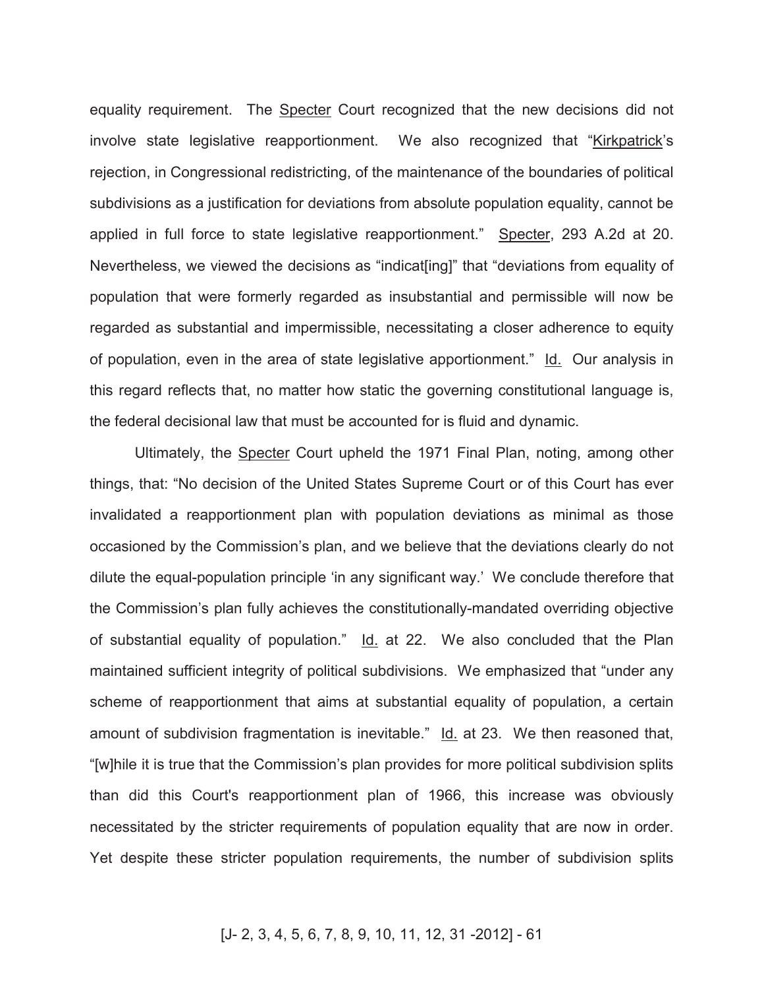equality requirement. The Specter Court recognized that the new decisions did not involve state legislative reapportionment. We also recognized that "Kirkpatrick's rejection, in Congressional redistricting, of the maintenance of the boundaries of political subdivisions as a justification for deviations from absolute population equality, cannot be applied in full force to state legislative reapportionment." Specter, 293 A.2d at 20. Nevertheless, we viewed the decisions as "indicat[ing]" that "deviations from equality of population that were formerly regarded as insubstantial and permissible will now be regarded as substantial and impermissible, necessitating a closer adherence to equity of population, even in the area of state legislative apportionment." Id. Our analysis in this regard reflects that, no matter how static the governing constitutional language is, the federal decisional law that must be accounted for is fluid and dynamic.

Ultimately, the Specter Court upheld the 1971 Final Plan, noting, among other things, that: "No decision of the United States Supreme Court or of this Court has ever invalidated a reapportionment plan with population deviations as minimal as those occasioned by the Commission's plan, and we believe that the deviations clearly do not dilute the equal-population principle 'in any significant way.' We conclude therefore that the Commission's plan fully achieves the constitutionally-mandated overriding objective of substantial equality of population." Id. at 22. We also concluded that the Plan maintained sufficient integrity of political subdivisions. We emphasized that "under any scheme of reapportionment that aims at substantial equality of population, a certain amount of subdivision fragmentation is inevitable." Id. at 23. We then reasoned that, "[w]hile it is true that the Commission's plan provides for more political subdivision splits than did this Court's reapportionment plan of 1966, this increase was obviously necessitated by the stricter requirements of population equality that are now in order. Yet despite these stricter population requirements, the number of subdivision splits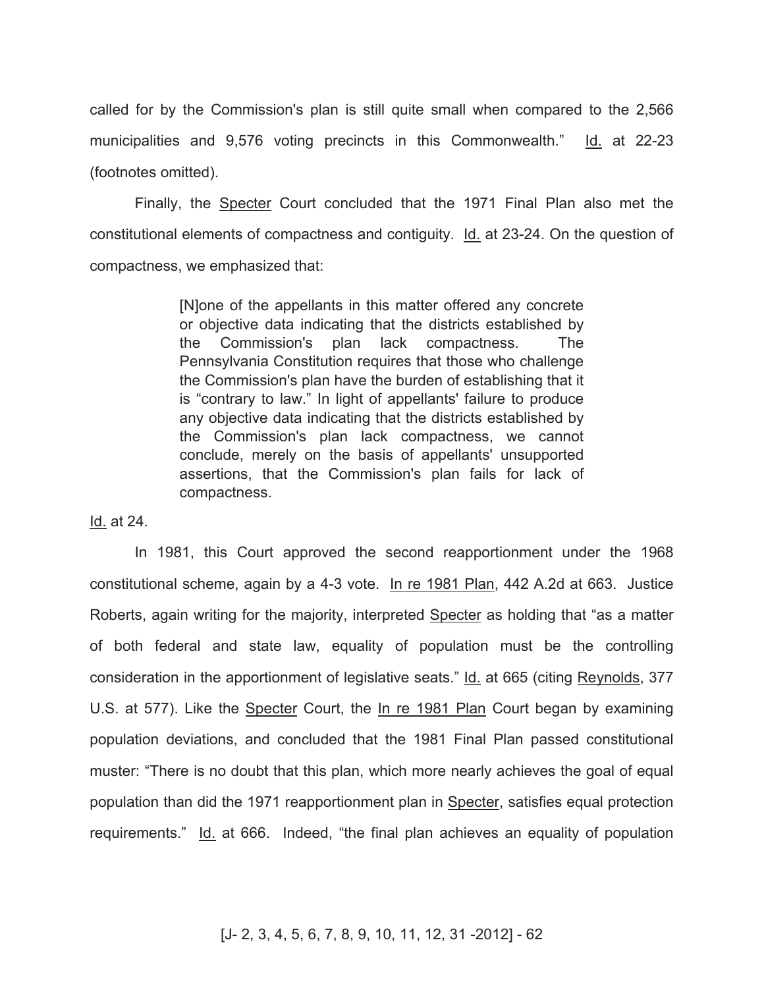called for by the Commission's plan is still quite small when compared to the 2,566 municipalities and 9,576 voting precincts in this Commonwealth." Id. at 22-23 (footnotes omitted).

Finally, the Specter Court concluded that the 1971 Final Plan also met the constitutional elements of compactness and contiguity. Id. at 23-24. On the question of compactness, we emphasized that:

> [N]one of the appellants in this matter offered any concrete or objective data indicating that the districts established by the Commission's plan lack compactness. The Pennsylvania Constitution requires that those who challenge the Commission's plan have the burden of establishing that it is "contrary to law." In light of appellants' failure to produce any objective data indicating that the districts established by the Commission's plan lack compactness, we cannot conclude, merely on the basis of appellants' unsupported assertions, that the Commission's plan fails for lack of compactness.

Id. at 24.

In 1981, this Court approved the second reapportionment under the 1968 constitutional scheme, again by a 4-3 vote. In re 1981 Plan, 442 A.2d at 663. Justice Roberts, again writing for the majority, interpreted Specter as holding that "as a matter of both federal and state law, equality of population must be the controlling consideration in the apportionment of legislative seats." Id. at 665 (citing Reynolds, 377 U.S. at 577). Like the Specter Court, the In re 1981 Plan Court began by examining population deviations, and concluded that the 1981 Final Plan passed constitutional muster: "There is no doubt that this plan, which more nearly achieves the goal of equal population than did the 1971 reapportionment plan in Specter, satisfies equal protection requirements." Id. at 666. Indeed, "the final plan achieves an equality of population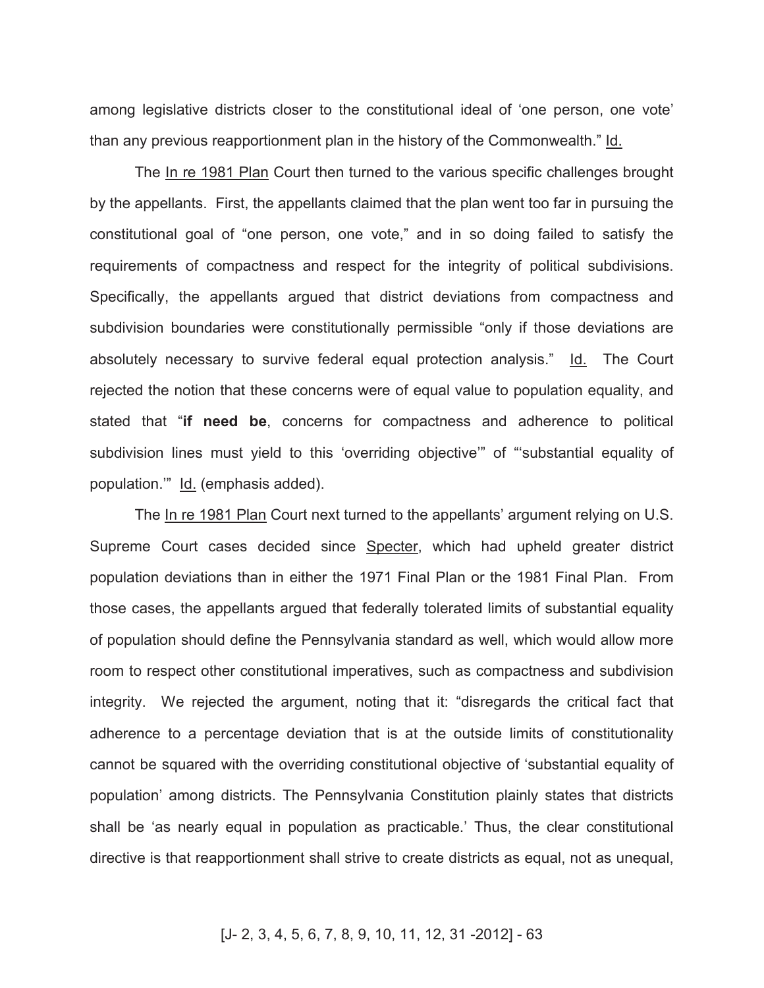among legislative districts closer to the constitutional ideal of 'one person, one vote' than any previous reapportionment plan in the history of the Commonwealth." Id.

The In re 1981 Plan Court then turned to the various specific challenges brought by the appellants. First, the appellants claimed that the plan went too far in pursuing the constitutional goal of "one person, one vote," and in so doing failed to satisfy the requirements of compactness and respect for the integrity of political subdivisions. Specifically, the appellants argued that district deviations from compactness and subdivision boundaries were constitutionally permissible "only if those deviations are absolutely necessary to survive federal equal protection analysis." Id. The Court rejected the notion that these concerns were of equal value to population equality, and stated that "**if need be**, concerns for compactness and adherence to political subdivision lines must yield to this 'overriding objective'" of "'substantial equality of population.'" Id. (emphasis added).

The In re 1981 Plan Court next turned to the appellants' argument relying on U.S. Supreme Court cases decided since Specter, which had upheld greater district population deviations than in either the 1971 Final Plan or the 1981 Final Plan. From those cases, the appellants argued that federally tolerated limits of substantial equality of population should define the Pennsylvania standard as well, which would allow more room to respect other constitutional imperatives, such as compactness and subdivision integrity. We rejected the argument, noting that it: "disregards the critical fact that adherence to a percentage deviation that is at the outside limits of constitutionality cannot be squared with the overriding constitutional objective of 'substantial equality of population' among districts. The Pennsylvania Constitution plainly states that districts shall be 'as nearly equal in population as practicable.' Thus, the clear constitutional directive is that reapportionment shall strive to create districts as equal, not as unequal,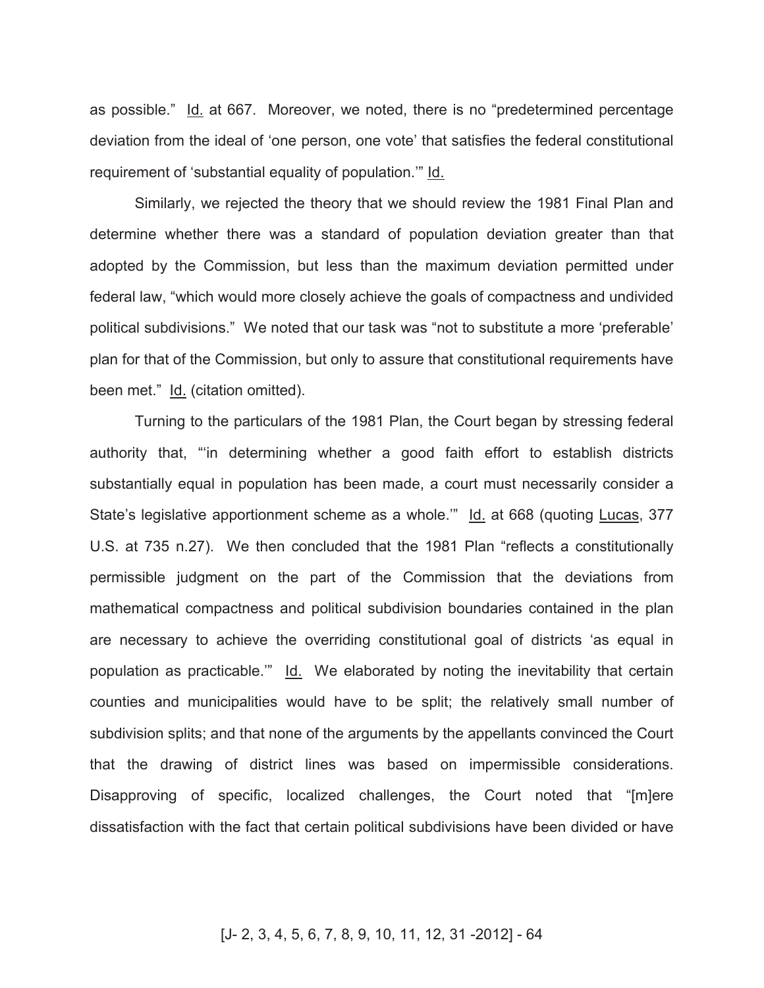as possible." Id. at 667. Moreover, we noted, there is no "predetermined percentage deviation from the ideal of 'one person, one vote' that satisfies the federal constitutional requirement of 'substantial equality of population.'" Id.

Similarly, we rejected the theory that we should review the 1981 Final Plan and determine whether there was a standard of population deviation greater than that adopted by the Commission, but less than the maximum deviation permitted under federal law, "which would more closely achieve the goals of compactness and undivided political subdivisions." We noted that our task was "not to substitute a more 'preferable' plan for that of the Commission, but only to assure that constitutional requirements have been met." Id. (citation omitted).

Turning to the particulars of the 1981 Plan, the Court began by stressing federal authority that, "'in determining whether a good faith effort to establish districts substantially equal in population has been made, a court must necessarily consider a State's legislative apportionment scheme as a whole." Id. at 668 (quoting Lucas, 377 U.S. at 735 n.27). We then concluded that the 1981 Plan "reflects a constitutionally permissible judgment on the part of the Commission that the deviations from mathematical compactness and political subdivision boundaries contained in the plan are necessary to achieve the overriding constitutional goal of districts 'as equal in population as practicable." Id. We elaborated by noting the inevitability that certain counties and municipalities would have to be split; the relatively small number of subdivision splits; and that none of the arguments by the appellants convinced the Court that the drawing of district lines was based on impermissible considerations. Disapproving of specific, localized challenges, the Court noted that "[m]ere dissatisfaction with the fact that certain political subdivisions have been divided or have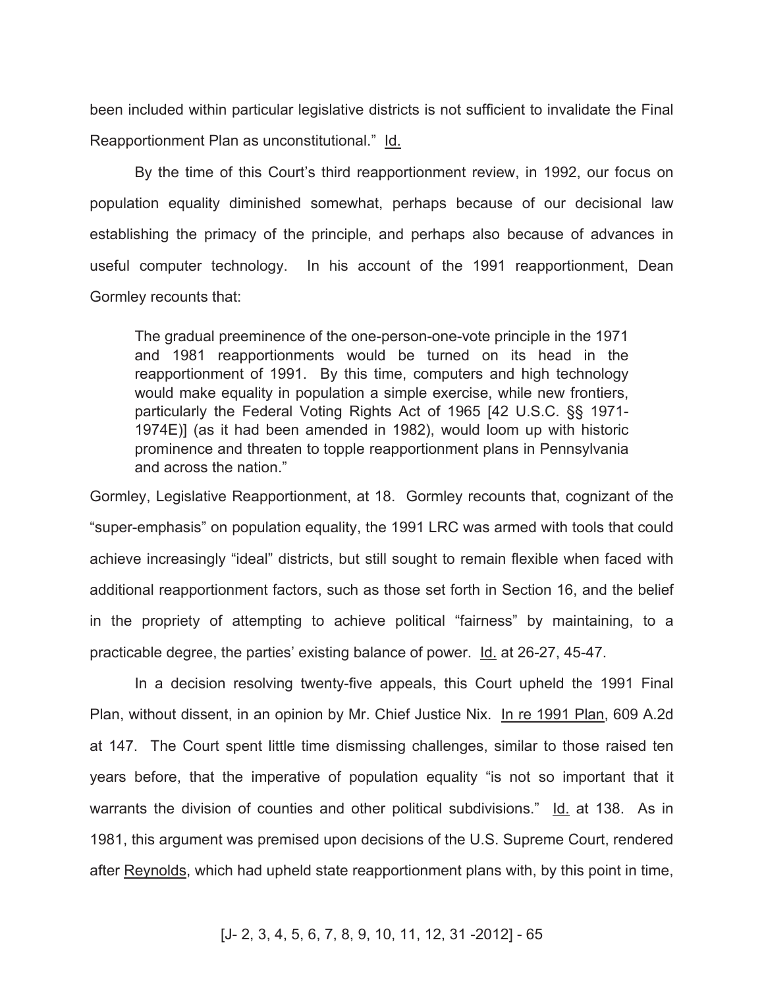been included within particular legislative districts is not sufficient to invalidate the Final Reapportionment Plan as unconstitutional." Id.

By the time of this Court's third reapportionment review, in 1992, our focus on population equality diminished somewhat, perhaps because of our decisional law establishing the primacy of the principle, and perhaps also because of advances in useful computer technology. In his account of the 1991 reapportionment, Dean Gormley recounts that:

The gradual preeminence of the one-person-one-vote principle in the 1971 and 1981 reapportionments would be turned on its head in the reapportionment of 1991. By this time, computers and high technology would make equality in population a simple exercise, while new frontiers, particularly the Federal Voting Rights Act of 1965 [42 U.S.C. §§ 1971- 1974E)] (as it had been amended in 1982), would loom up with historic prominence and threaten to topple reapportionment plans in Pennsylvania and across the nation."

Gormley, Legislative Reapportionment, at 18. Gormley recounts that, cognizant of the "super-emphasis" on population equality, the 1991 LRC was armed with tools that could achieve increasingly "ideal" districts, but still sought to remain flexible when faced with additional reapportionment factors, such as those set forth in Section 16, and the belief in the propriety of attempting to achieve political "fairness" by maintaining, to a practicable degree, the parties' existing balance of power. Id. at 26-27, 45-47.

In a decision resolving twenty-five appeals, this Court upheld the 1991 Final Plan, without dissent, in an opinion by Mr. Chief Justice Nix. In re 1991 Plan, 609 A.2d at 147. The Court spent little time dismissing challenges, similar to those raised ten years before, that the imperative of population equality "is not so important that it warrants the division of counties and other political subdivisions." Id. at 138. As in 1981, this argument was premised upon decisions of the U.S. Supreme Court, rendered after Reynolds, which had upheld state reapportionment plans with, by this point in time,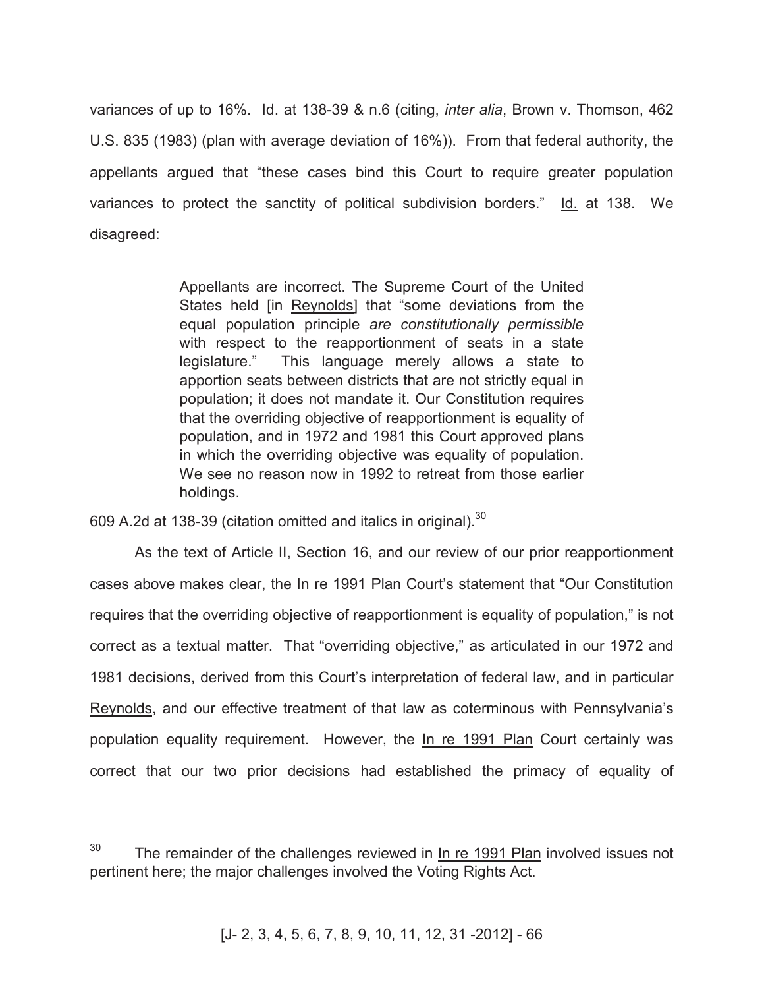variances of up to 16%. Id. at 138-39 & n.6 (citing, *inter alia*, Brown v. Thomson, 462 U.S. 835 (1983) (plan with average deviation of 16%)). From that federal authority, the appellants argued that "these cases bind this Court to require greater population variances to protect the sanctity of political subdivision borders." Id. at 138. We disagreed:

> Appellants are incorrect. The Supreme Court of the United States held [in Reynolds] that "some deviations from the equal population principle *are constitutionally permissible* with respect to the reapportionment of seats in a state legislature." This language merely allows a state to apportion seats between districts that are not strictly equal in population; it does not mandate it. Our Constitution requires that the overriding objective of reapportionment is equality of population, and in 1972 and 1981 this Court approved plans in which the overriding objective was equality of population. We see no reason now in 1992 to retreat from those earlier holdings.

609 A.2d at 138-39 (citation omitted and italics in original). $^{30}$ 

As the text of Article II, Section 16, and our review of our prior reapportionment cases above makes clear, the In re 1991 Plan Court's statement that "Our Constitution requires that the overriding objective of reapportionment is equality of population," is not correct as a textual matter. That "overriding objective," as articulated in our 1972 and 1981 decisions, derived from this Court's interpretation of federal law, and in particular Reynolds, and our effective treatment of that law as coterminous with Pennsylvania's population equality requirement. However, the In re 1991 Plan Court certainly was correct that our two prior decisions had established the primacy of equality of

 $30<sup>2</sup>$ The remainder of the challenges reviewed in In re 1991 Plan involved issues not pertinent here; the major challenges involved the Voting Rights Act.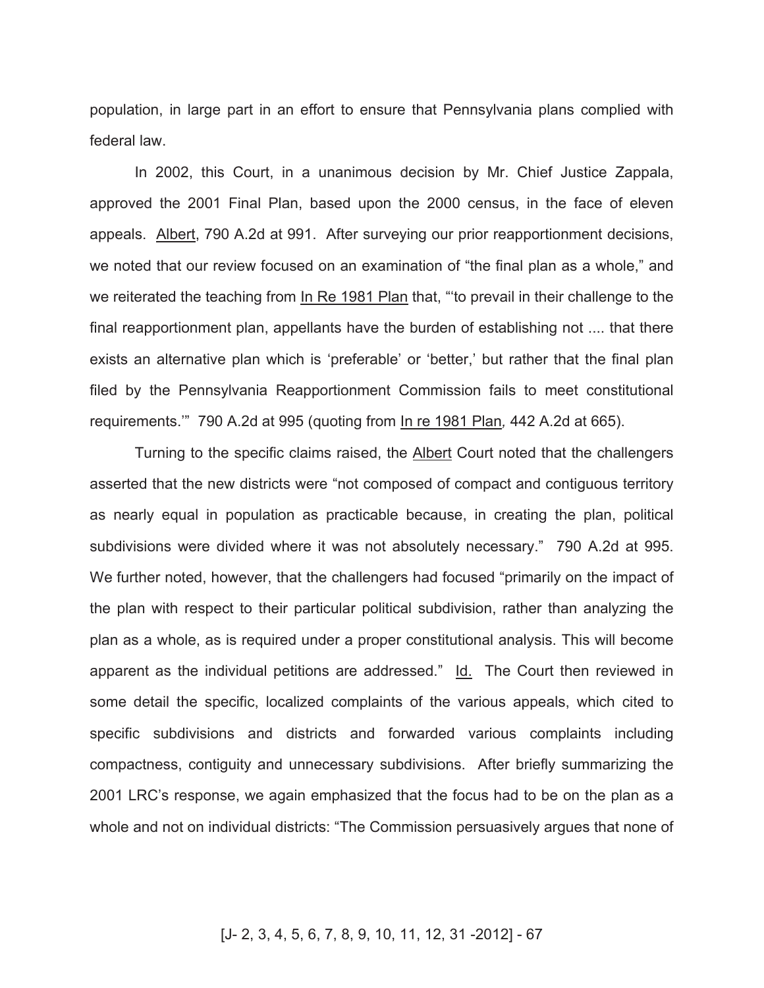population, in large part in an effort to ensure that Pennsylvania plans complied with federal law.

In 2002, this Court, in a unanimous decision by Mr. Chief Justice Zappala, approved the 2001 Final Plan, based upon the 2000 census, in the face of eleven appeals. Albert, 790 A.2d at 991. After surveying our prior reapportionment decisions, we noted that our review focused on an examination of "the final plan as a whole," and we reiterated the teaching from In Re 1981 Plan that, "'to prevail in their challenge to the final reapportionment plan, appellants have the burden of establishing not .... that there exists an alternative plan which is 'preferable' or 'better,' but rather that the final plan filed by the Pennsylvania Reapportionment Commission fails to meet constitutional requirements.'" 790 A.2d at 995 (quoting from In re 1981 Plan*,* 442 A.2d at 665).

Turning to the specific claims raised, the Albert Court noted that the challengers asserted that the new districts were "not composed of compact and contiguous territory as nearly equal in population as practicable because, in creating the plan, political subdivisions were divided where it was not absolutely necessary." 790 A.2d at 995. We further noted, however, that the challengers had focused "primarily on the impact of the plan with respect to their particular political subdivision, rather than analyzing the plan as a whole, as is required under a proper constitutional analysis. This will become apparent as the individual petitions are addressed." Id. The Court then reviewed in some detail the specific, localized complaints of the various appeals, which cited to specific subdivisions and districts and forwarded various complaints including compactness, contiguity and unnecessary subdivisions. After briefly summarizing the 2001 LRC's response, we again emphasized that the focus had to be on the plan as a whole and not on individual districts: "The Commission persuasively argues that none of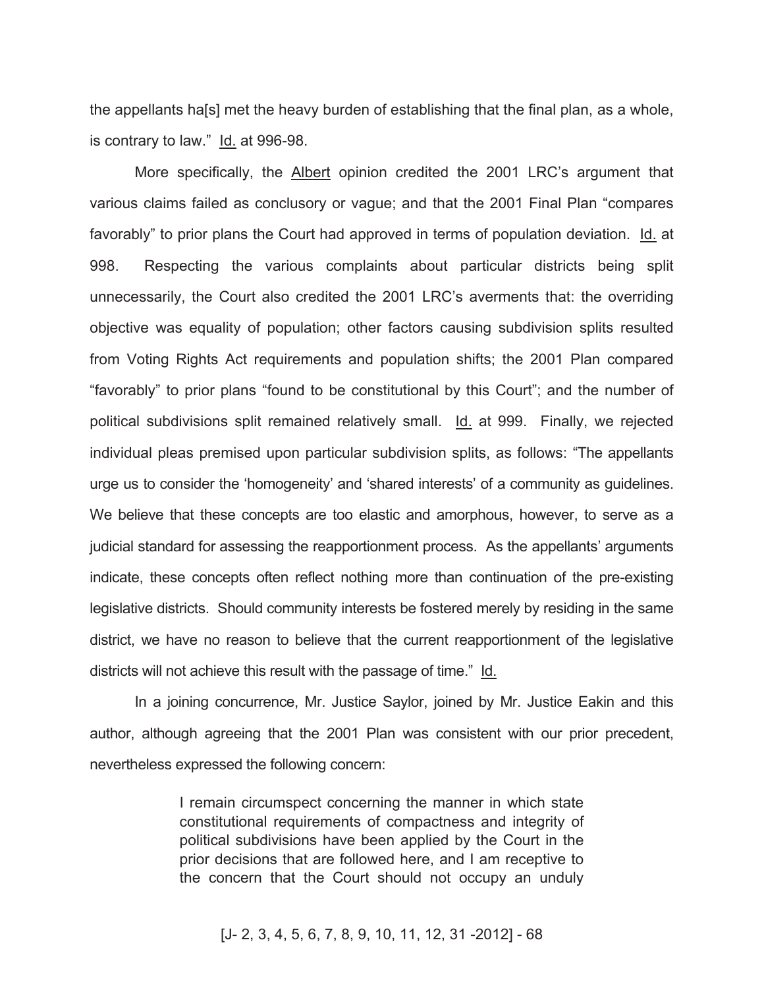the appellants ha[s] met the heavy burden of establishing that the final plan, as a whole, is contrary to law." Id. at 996-98.

More specifically, the Albert opinion credited the 2001 LRC's argument that various claims failed as conclusory or vague; and that the 2001 Final Plan "compares favorably" to prior plans the Court had approved in terms of population deviation. Id. at 998. Respecting the various complaints about particular districts being split unnecessarily, the Court also credited the 2001 LRC's averments that: the overriding objective was equality of population; other factors causing subdivision splits resulted from Voting Rights Act requirements and population shifts; the 2001 Plan compared "favorably" to prior plans "found to be constitutional by this Court"; and the number of political subdivisions split remained relatively small. Id. at 999. Finally, we rejected individual pleas premised upon particular subdivision splits, as follows: "The appellants urge us to consider the 'homogeneity' and 'shared interests' of a community as guidelines. We believe that these concepts are too elastic and amorphous, however, to serve as a judicial standard for assessing the reapportionment process. As the appellants' arguments indicate, these concepts often reflect nothing more than continuation of the pre-existing legislative districts. Should community interests be fostered merely by residing in the same district, we have no reason to believe that the current reapportionment of the legislative districts will not achieve this result with the passage of time." Id.

In a joining concurrence, Mr. Justice Saylor, joined by Mr. Justice Eakin and this author, although agreeing that the 2001 Plan was consistent with our prior precedent, nevertheless expressed the following concern:

> I remain circumspect concerning the manner in which state constitutional requirements of compactness and integrity of political subdivisions have been applied by the Court in the prior decisions that are followed here, and I am receptive to the concern that the Court should not occupy an unduly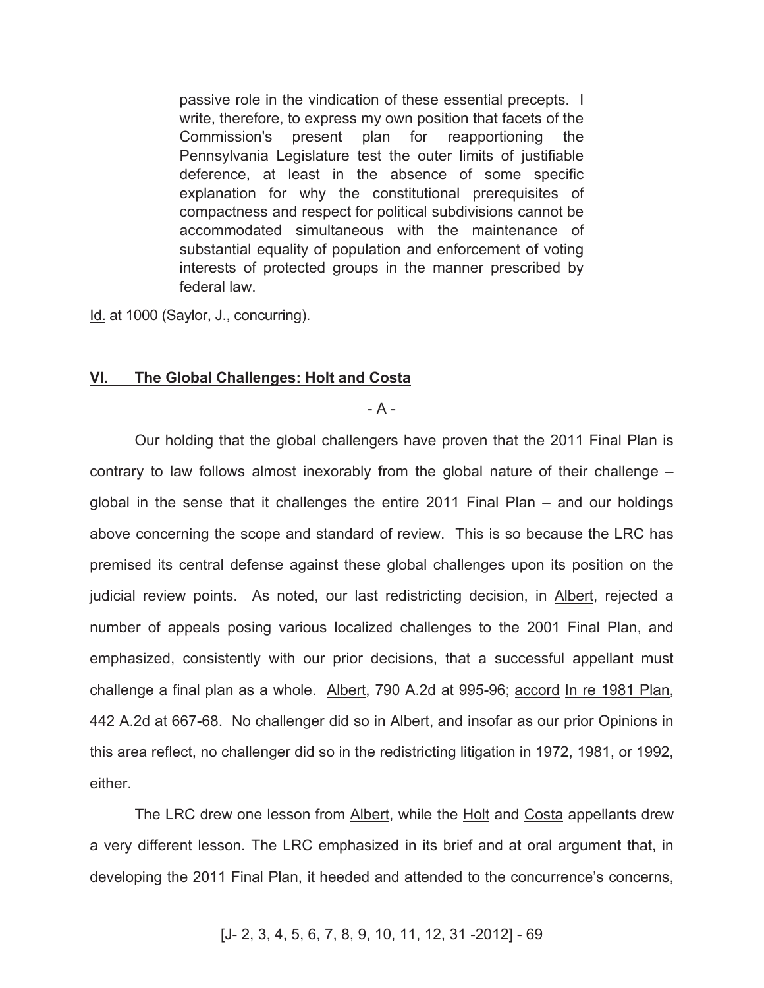passive role in the vindication of these essential precepts. I write, therefore, to express my own position that facets of the Commission's present plan for reapportioning the Pennsylvania Legislature test the outer limits of justifiable deference, at least in the absence of some specific explanation for why the constitutional prerequisites of compactness and respect for political subdivisions cannot be accommodated simultaneous with the maintenance of substantial equality of population and enforcement of voting interests of protected groups in the manner prescribed by federal law.

Id. at 1000 (Saylor, J., concurring).

#### **VI. The Global Challenges: Holt and Costa**

- A -

Our holding that the global challengers have proven that the 2011 Final Plan is contrary to law follows almost inexorably from the global nature of their challenge – global in the sense that it challenges the entire 2011 Final Plan – and our holdings above concerning the scope and standard of review. This is so because the LRC has premised its central defense against these global challenges upon its position on the judicial review points. As noted, our last redistricting decision, in Albert, rejected a number of appeals posing various localized challenges to the 2001 Final Plan, and emphasized, consistently with our prior decisions, that a successful appellant must challenge a final plan as a whole. Albert, 790 A.2d at 995-96; accord In re 1981 Plan, 442 A.2d at 667-68. No challenger did so in Albert, and insofar as our prior Opinions in this area reflect, no challenger did so in the redistricting litigation in 1972, 1981, or 1992, either.

The LRC drew one lesson from Albert, while the Holt and Costa appellants drew a very different lesson. The LRC emphasized in its brief and at oral argument that, in developing the 2011 Final Plan, it heeded and attended to the concurrence's concerns,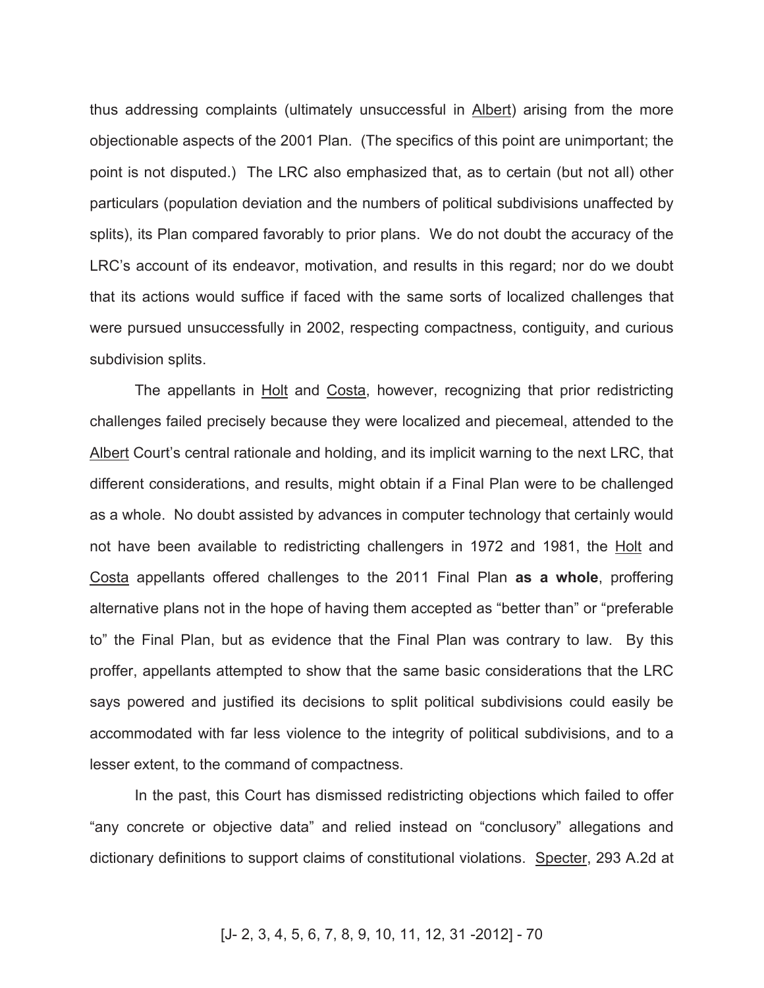thus addressing complaints (ultimately unsuccessful in Albert) arising from the more objectionable aspects of the 2001 Plan. (The specifics of this point are unimportant; the point is not disputed.) The LRC also emphasized that, as to certain (but not all) other particulars (population deviation and the numbers of political subdivisions unaffected by splits), its Plan compared favorably to prior plans. We do not doubt the accuracy of the LRC's account of its endeavor, motivation, and results in this regard; nor do we doubt that its actions would suffice if faced with the same sorts of localized challenges that were pursued unsuccessfully in 2002, respecting compactness, contiguity, and curious subdivision splits.

The appellants in Holt and Costa, however, recognizing that prior redistricting challenges failed precisely because they were localized and piecemeal, attended to the Albert Court's central rationale and holding, and its implicit warning to the next LRC, that different considerations, and results, might obtain if a Final Plan were to be challenged as a whole. No doubt assisted by advances in computer technology that certainly would not have been available to redistricting challengers in 1972 and 1981, the Holt and Costa appellants offered challenges to the 2011 Final Plan **as a whole**, proffering alternative plans not in the hope of having them accepted as "better than" or "preferable to" the Final Plan, but as evidence that the Final Plan was contrary to law. By this proffer, appellants attempted to show that the same basic considerations that the LRC says powered and justified its decisions to split political subdivisions could easily be accommodated with far less violence to the integrity of political subdivisions, and to a lesser extent, to the command of compactness.

In the past, this Court has dismissed redistricting objections which failed to offer "any concrete or objective data" and relied instead on "conclusory" allegations and dictionary definitions to support claims of constitutional violations. Specter, 293 A.2d at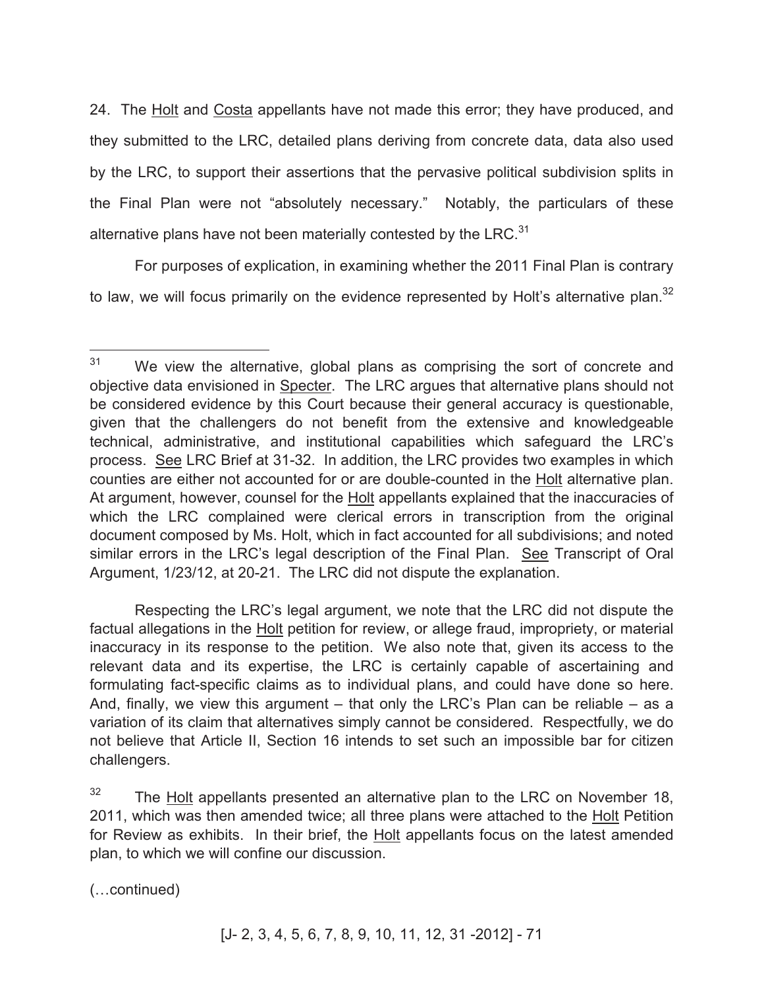24. The Holt and Costa appellants have not made this error; they have produced, and they submitted to the LRC, detailed plans deriving from concrete data, data also used by the LRC, to support their assertions that the pervasive political subdivision splits in the Final Plan were not "absolutely necessary." Notably, the particulars of these alternative plans have not been materially contested by the LRC. $31$ 

For purposes of explication, in examining whether the 2011 Final Plan is contrary to law, we will focus primarily on the evidence represented by Holt's alternative plan.<sup>32</sup>

Respecting the LRC's legal argument, we note that the LRC did not dispute the factual allegations in the **Holt** petition for review, or allege fraud, impropriety, or material inaccuracy in its response to the petition. We also note that, given its access to the relevant data and its expertise, the LRC is certainly capable of ascertaining and formulating fact-specific claims as to individual plans, and could have done so here. And, finally, we view this argument  $-$  that only the LRC's Plan can be reliable  $-$  as a variation of its claim that alternatives simply cannot be considered. Respectfully, we do not believe that Article II, Section 16 intends to set such an impossible bar for citizen challengers.

(…continued)

 $\overline{a}$ 

 $31$  We view the alternative, global plans as comprising the sort of concrete and objective data envisioned in Specter. The LRC argues that alternative plans should not be considered evidence by this Court because their general accuracy is questionable, given that the challengers do not benefit from the extensive and knowledgeable technical, administrative, and institutional capabilities which safeguard the LRC's process. See LRC Brief at 31-32. In addition, the LRC provides two examples in which counties are either not accounted for or are double-counted in the Holt alternative plan. At argument, however, counsel for the **Holt** appellants explained that the inaccuracies of which the LRC complained were clerical errors in transcription from the original document composed by Ms. Holt, which in fact accounted for all subdivisions; and noted similar errors in the LRC's legal description of the Final Plan. See Transcript of Oral Argument, 1/23/12, at 20-21. The LRC did not dispute the explanation.

 $32$  The Holt appellants presented an alternative plan to the LRC on November 18, 2011, which was then amended twice; all three plans were attached to the Holt Petition for Review as exhibits. In their brief, the Holt appellants focus on the latest amended plan, to which we will confine our discussion.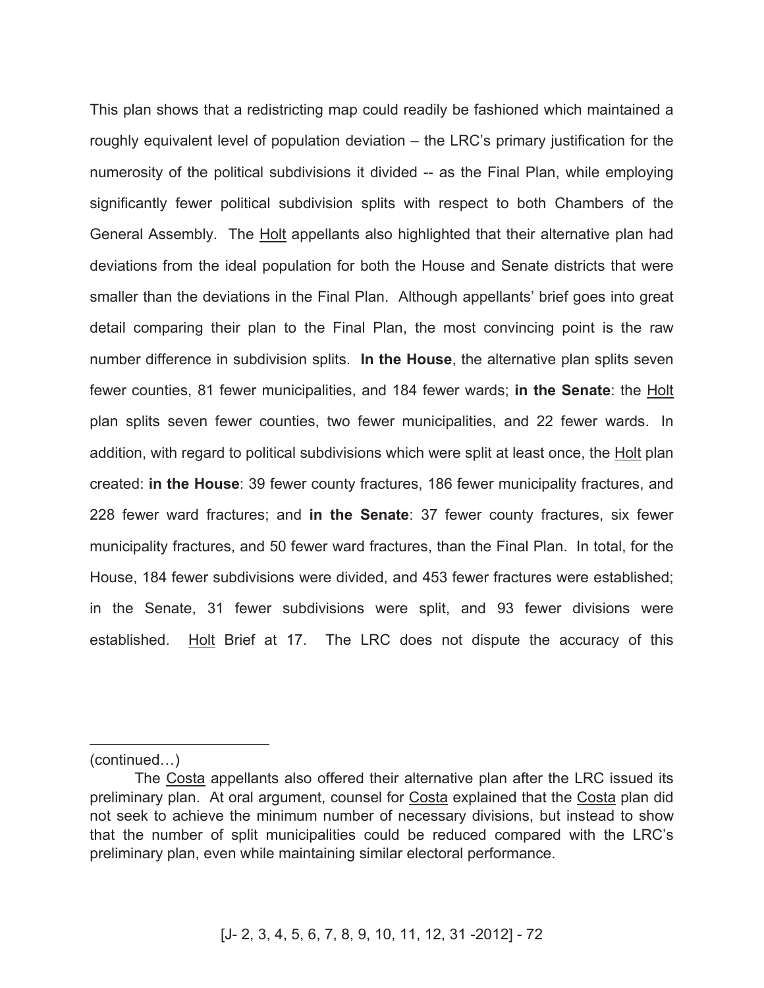This plan shows that a redistricting map could readily be fashioned which maintained a roughly equivalent level of population deviation – the LRC's primary justification for the numerosity of the political subdivisions it divided -- as the Final Plan, while employing significantly fewer political subdivision splits with respect to both Chambers of the General Assembly. The Holt appellants also highlighted that their alternative plan had deviations from the ideal population for both the House and Senate districts that were smaller than the deviations in the Final Plan. Although appellants' brief goes into great detail comparing their plan to the Final Plan, the most convincing point is the raw number difference in subdivision splits. **In the House**, the alternative plan splits seven fewer counties, 81 fewer municipalities, and 184 fewer wards; **in the Senate**: the Holt plan splits seven fewer counties, two fewer municipalities, and 22 fewer wards. In addition, with regard to political subdivisions which were split at least once, the Holt plan created: **in the House**: 39 fewer county fractures, 186 fewer municipality fractures, and 228 fewer ward fractures; and **in the Senate**: 37 fewer county fractures, six fewer municipality fractures, and 50 fewer ward fractures, than the Final Plan. In total, for the House, 184 fewer subdivisions were divided, and 453 fewer fractures were established; in the Senate, 31 fewer subdivisions were split, and 93 fewer divisions were established. Holt Brief at 17. The LRC does not dispute the accuracy of this

(continued…)

 $\overline{a}$ 

The Costa appellants also offered their alternative plan after the LRC issued its preliminary plan. At oral argument, counsel for Costa explained that the Costa plan did not seek to achieve the minimum number of necessary divisions, but instead to show that the number of split municipalities could be reduced compared with the LRC's preliminary plan, even while maintaining similar electoral performance.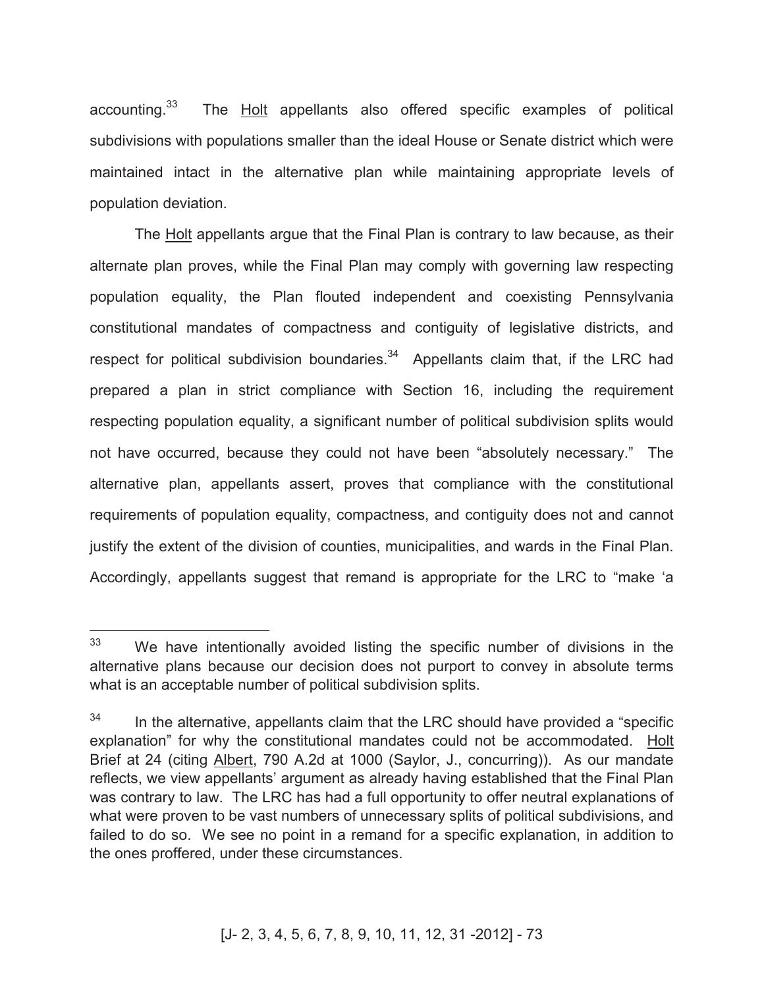accounting.<sup>33</sup> The Holt appellants also offered specific examples of political subdivisions with populations smaller than the ideal House or Senate district which were maintained intact in the alternative plan while maintaining appropriate levels of population deviation.

The Holt appellants argue that the Final Plan is contrary to law because, as their alternate plan proves, while the Final Plan may comply with governing law respecting population equality, the Plan flouted independent and coexisting Pennsylvania constitutional mandates of compactness and contiguity of legislative districts, and respect for political subdivision boundaries. $34$  Appellants claim that, if the LRC had prepared a plan in strict compliance with Section 16, including the requirement respecting population equality, a significant number of political subdivision splits would not have occurred, because they could not have been "absolutely necessary." The alternative plan, appellants assert, proves that compliance with the constitutional requirements of population equality, compactness, and contiguity does not and cannot justify the extent of the division of counties, municipalities, and wards in the Final Plan. Accordingly, appellants suggest that remand is appropriate for the LRC to "make 'a

 $\overline{a}$ 

 $33$  We have intentionally avoided listing the specific number of divisions in the alternative plans because our decision does not purport to convey in absolute terms what is an acceptable number of political subdivision splits.

 $34$  In the alternative, appellants claim that the LRC should have provided a "specific explanation" for why the constitutional mandates could not be accommodated. Holt Brief at 24 (citing Albert, 790 A.2d at 1000 (Saylor, J., concurring)). As our mandate reflects, we view appellants' argument as already having established that the Final Plan was contrary to law. The LRC has had a full opportunity to offer neutral explanations of what were proven to be vast numbers of unnecessary splits of political subdivisions, and failed to do so. We see no point in a remand for a specific explanation, in addition to the ones proffered, under these circumstances.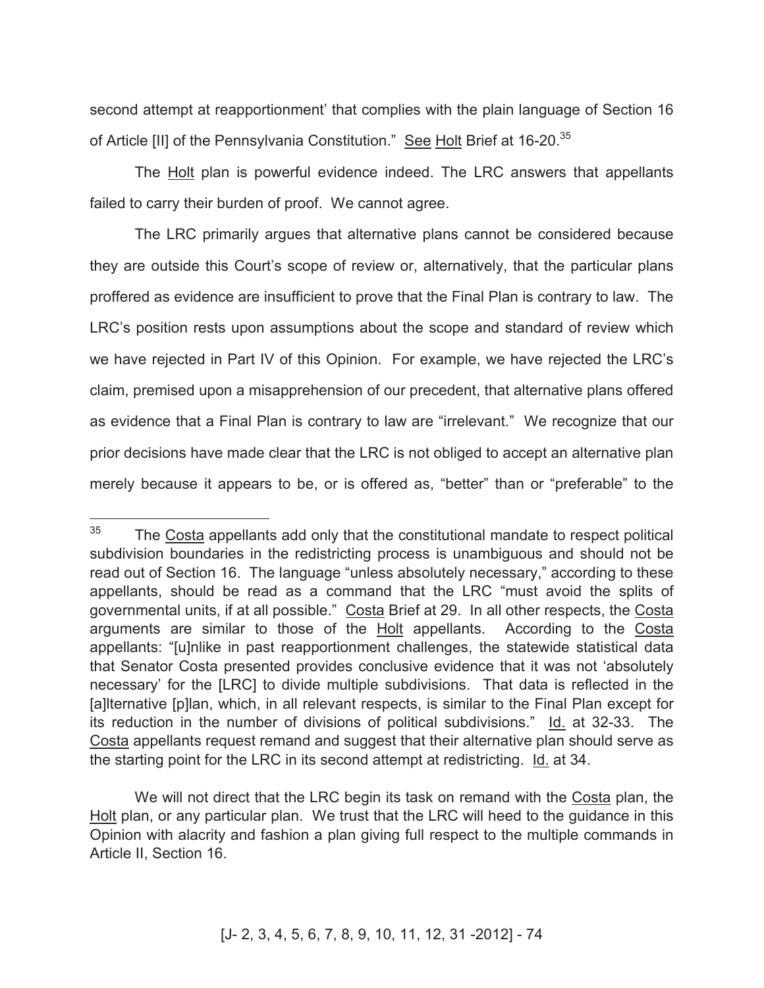second attempt at reapportionment' that complies with the plain language of Section 16 of Article [II] of the Pennsylvania Constitution." See Holt Brief at 16-20.<sup>35</sup>

The Holt plan is powerful evidence indeed. The LRC answers that appellants failed to carry their burden of proof. We cannot agree.

The LRC primarily argues that alternative plans cannot be considered because they are outside this Court's scope of review or, alternatively, that the particular plans proffered as evidence are insufficient to prove that the Final Plan is contrary to law. The LRC's position rests upon assumptions about the scope and standard of review which we have rejected in Part IV of this Opinion. For example, we have rejected the LRC's claim, premised upon a misapprehension of our precedent, that alternative plans offered as evidence that a Final Plan is contrary to law are "irrelevant." We recognize that our prior decisions have made clear that the LRC is not obliged to accept an alternative plan merely because it appears to be, or is offered as, "better" than or "preferable" to the

<sup>35</sup> The Costa appellants add only that the constitutional mandate to respect political subdivision boundaries in the redistricting process is unambiguous and should not be read out of Section 16. The language "unless absolutely necessary," according to these appellants, should be read as a command that the LRC "must avoid the splits of governmental units, if at all possible." Costa Brief at 29. In all other respects, the Costa arguments are similar to those of the Holt appellants. According to the Costa appellants: "[u]nlike in past reapportionment challenges, the statewide statistical data that Senator Costa presented provides conclusive evidence that it was not 'absolutely necessary' for the [LRC] to divide multiple subdivisions. That data is reflected in the [a] ternative [p] lan, which, in all relevant respects, is similar to the Final Plan except for its reduction in the number of divisions of political subdivisions." Id. at 32-33. The Costa appellants request remand and suggest that their alternative plan should serve as the starting point for the LRC in its second attempt at redistricting. Id. at 34.

We will not direct that the LRC begin its task on remand with the Costa plan, the Holt plan, or any particular plan. We trust that the LRC will heed to the guidance in this Opinion with alacrity and fashion a plan giving full respect to the multiple commands in Article II, Section 16.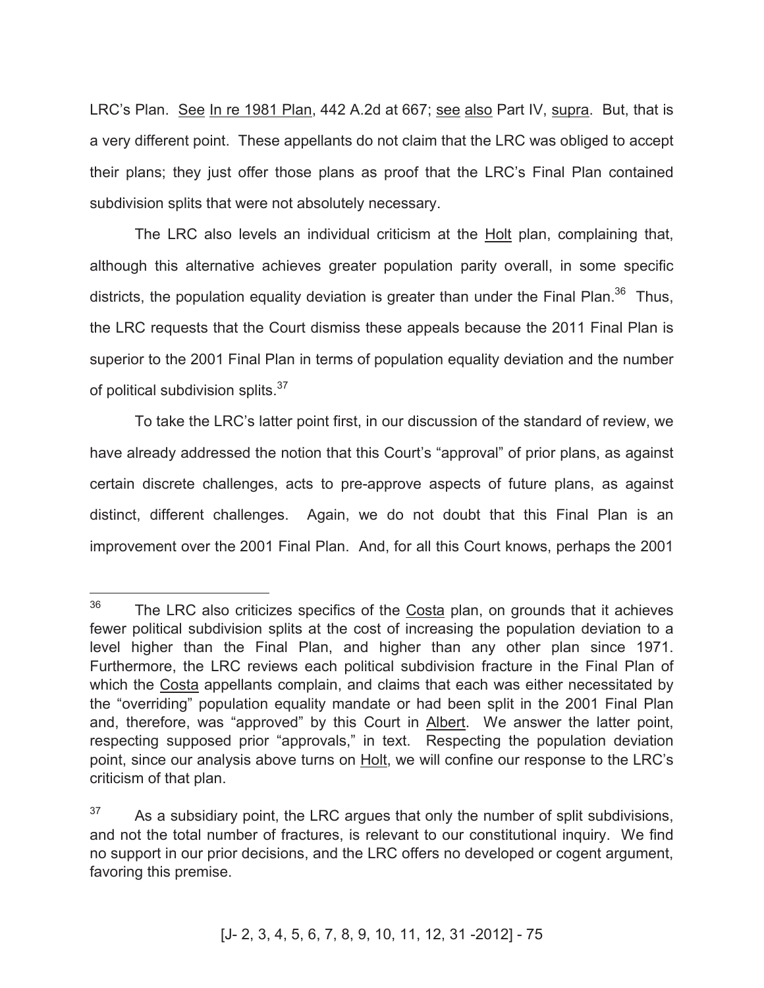LRC's Plan. See In re 1981 Plan, 442 A.2d at 667; see also Part IV, supra. But, that is a very different point. These appellants do not claim that the LRC was obliged to accept their plans; they just offer those plans as proof that the LRC's Final Plan contained subdivision splits that were not absolutely necessary.

The LRC also levels an individual criticism at the Holt plan, complaining that, although this alternative achieves greater population parity overall, in some specific districts, the population equality deviation is greater than under the Final Plan.<sup>36</sup> Thus, the LRC requests that the Court dismiss these appeals because the 2011 Final Plan is superior to the 2001 Final Plan in terms of population equality deviation and the number of political subdivision splits.<sup>37</sup>

To take the LRC's latter point first, in our discussion of the standard of review, we have already addressed the notion that this Court's "approval" of prior plans, as against certain discrete challenges, acts to pre-approve aspects of future plans, as against distinct, different challenges. Again, we do not doubt that this Final Plan is an improvement over the 2001 Final Plan. And, for all this Court knows, perhaps the 2001

<sup>36</sup> The LRC also criticizes specifics of the Costa plan, on grounds that it achieves fewer political subdivision splits at the cost of increasing the population deviation to a level higher than the Final Plan, and higher than any other plan since 1971. Furthermore, the LRC reviews each political subdivision fracture in the Final Plan of which the Costa appellants complain, and claims that each was either necessitated by the "overriding" population equality mandate or had been split in the 2001 Final Plan and, therefore, was "approved" by this Court in Albert. We answer the latter point, respecting supposed prior "approvals," in text. Respecting the population deviation point, since our analysis above turns on Holt, we will confine our response to the LRC's criticism of that plan.

 $37$  As a subsidiary point, the LRC argues that only the number of split subdivisions, and not the total number of fractures, is relevant to our constitutional inquiry. We find no support in our prior decisions, and the LRC offers no developed or cogent argument, favoring this premise.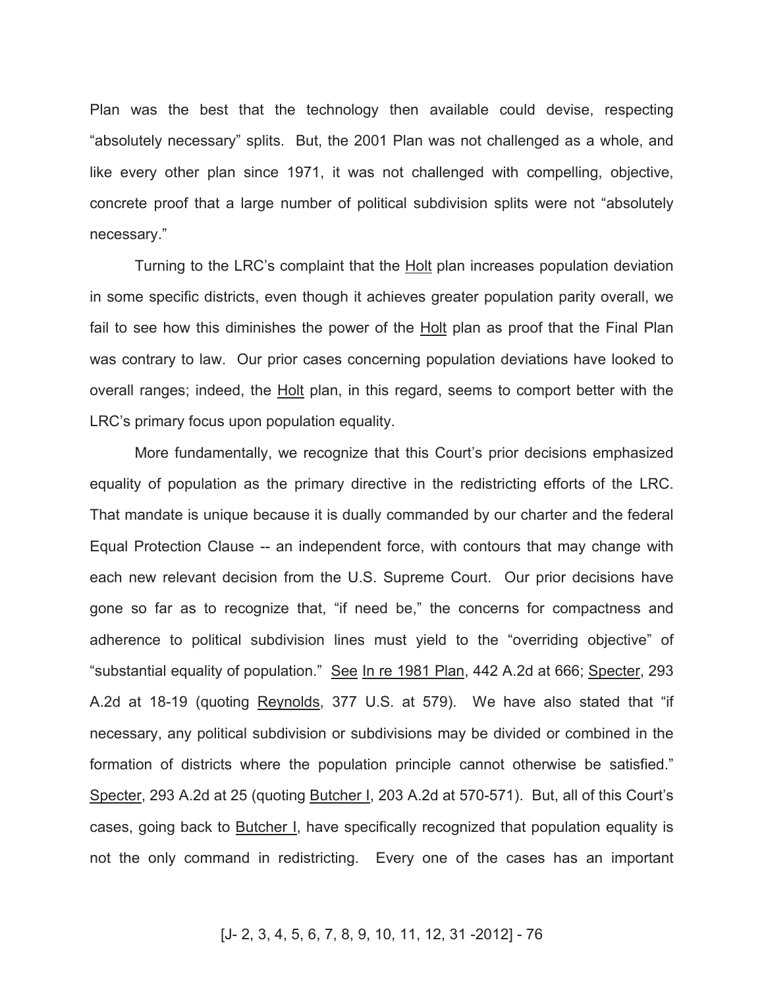Plan was the best that the technology then available could devise, respecting "absolutely necessary" splits. But, the 2001 Plan was not challenged as a whole, and like every other plan since 1971, it was not challenged with compelling, objective, concrete proof that a large number of political subdivision splits were not "absolutely necessary."

Turning to the LRC's complaint that the Holt plan increases population deviation in some specific districts, even though it achieves greater population parity overall, we fail to see how this diminishes the power of the Holt plan as proof that the Final Plan was contrary to law. Our prior cases concerning population deviations have looked to overall ranges; indeed, the Holt plan, in this regard, seems to comport better with the LRC's primary focus upon population equality.

More fundamentally, we recognize that this Court's prior decisions emphasized equality of population as the primary directive in the redistricting efforts of the LRC. That mandate is unique because it is dually commanded by our charter and the federal Equal Protection Clause -- an independent force, with contours that may change with each new relevant decision from the U.S. Supreme Court. Our prior decisions have gone so far as to recognize that, "if need be," the concerns for compactness and adherence to political subdivision lines must yield to the "overriding objective" of "substantial equality of population." See In re 1981 Plan, 442 A.2d at 666; Specter, 293 A.2d at 18-19 (quoting Reynolds, 377 U.S. at 579). We have also stated that "if necessary, any political subdivision or subdivisions may be divided or combined in the formation of districts where the population principle cannot otherwise be satisfied." Specter, 293 A.2d at 25 (quoting Butcher I, 203 A.2d at 570-571). But, all of this Court's cases, going back to Butcher I, have specifically recognized that population equality is not the only command in redistricting. Every one of the cases has an important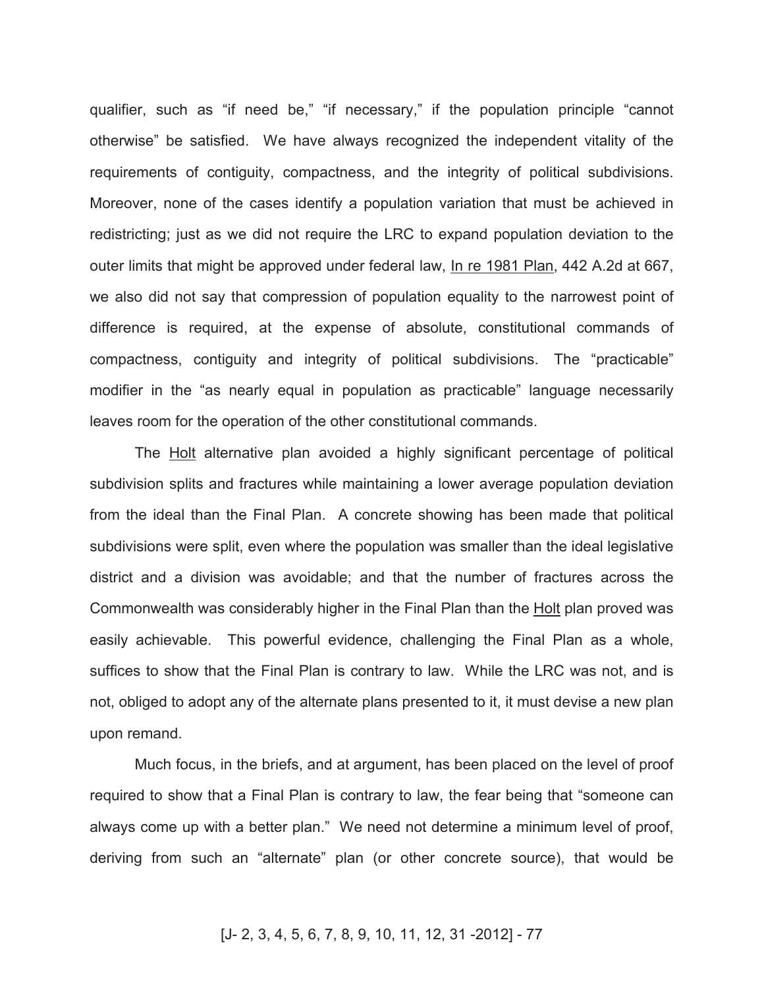qualifier, such as "if need be," "if necessary," if the population principle "cannot otherwise" be satisfied. We have always recognized the independent vitality of the requirements of contiguity, compactness, and the integrity of political subdivisions. Moreover, none of the cases identify a population variation that must be achieved in redistricting; just as we did not require the LRC to expand population deviation to the outer limits that might be approved under federal law, In re 1981 Plan, 442 A.2d at 667, we also did not say that compression of population equality to the narrowest point of difference is required, at the expense of absolute, constitutional commands of compactness, contiguity and integrity of political subdivisions. The "practicable" modifier in the "as nearly equal in population as practicable" language necessarily leaves room for the operation of the other constitutional commands.

The Holt alternative plan avoided a highly significant percentage of political subdivision splits and fractures while maintaining a lower average population deviation from the ideal than the Final Plan. A concrete showing has been made that political subdivisions were split, even where the population was smaller than the ideal legislative district and a division was avoidable; and that the number of fractures across the Commonwealth was considerably higher in the Final Plan than the Holt plan proved was easily achievable. This powerful evidence, challenging the Final Plan as a whole, suffices to show that the Final Plan is contrary to law. While the LRC was not, and is not, obliged to adopt any of the alternate plans presented to it, it must devise a new plan upon remand.

Much focus, in the briefs, and at argument, has been placed on the level of proof required to show that a Final Plan is contrary to law, the fear being that "someone can always come up with a better plan." We need not determine a minimum level of proof, deriving from such an "alternate" plan (or other concrete source), that would be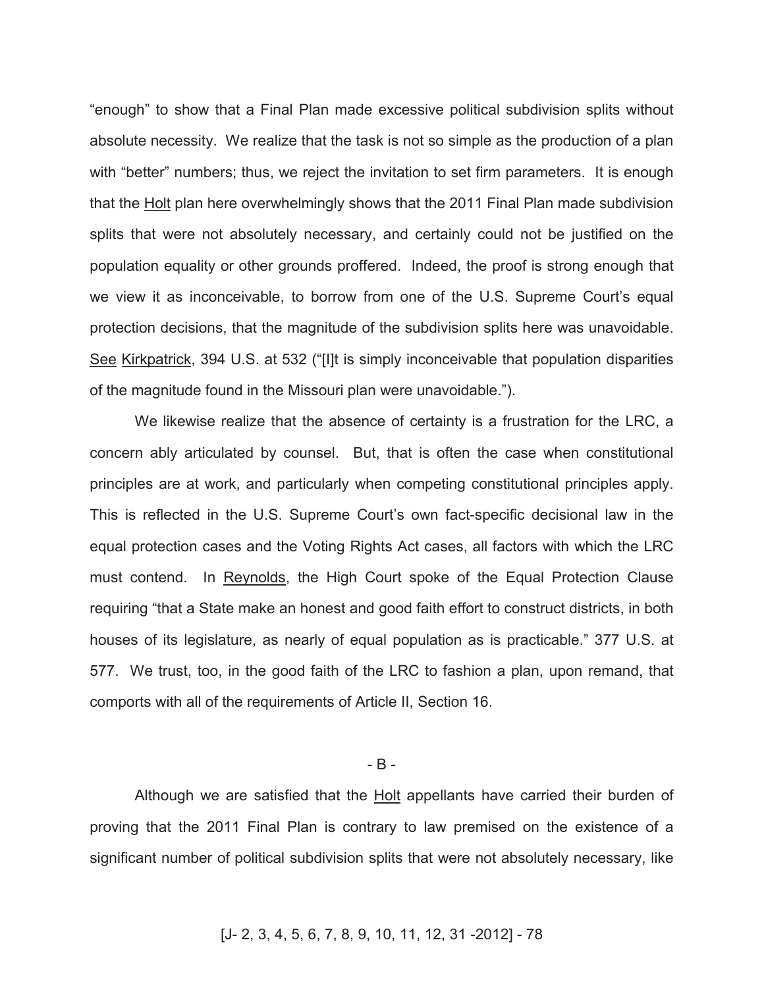"enough" to show that a Final Plan made excessive political subdivision splits without absolute necessity. We realize that the task is not so simple as the production of a plan with "better" numbers; thus, we reject the invitation to set firm parameters. It is enough that the Holt plan here overwhelmingly shows that the 2011 Final Plan made subdivision splits that were not absolutely necessary, and certainly could not be justified on the population equality or other grounds proffered. Indeed, the proof is strong enough that we view it as inconceivable, to borrow from one of the U.S. Supreme Court's equal protection decisions, that the magnitude of the subdivision splits here was unavoidable. See Kirkpatrick, 394 U.S. at 532 ("[I]t is simply inconceivable that population disparities of the magnitude found in the Missouri plan were unavoidable.").

We likewise realize that the absence of certainty is a frustration for the LRC, a concern ably articulated by counsel. But, that is often the case when constitutional principles are at work, and particularly when competing constitutional principles apply. This is reflected in the U.S. Supreme Court's own fact-specific decisional law in the equal protection cases and the Voting Rights Act cases, all factors with which the LRC must contend. In Reynolds, the High Court spoke of the Equal Protection Clause requiring "that a State make an honest and good faith effort to construct districts, in both houses of its legislature, as nearly of equal population as is practicable." 377 U.S. at 577. We trust, too, in the good faith of the LRC to fashion a plan, upon remand, that comports with all of the requirements of Article II, Section 16.

### - B -

Although we are satisfied that the **Holt** appellants have carried their burden of proving that the 2011 Final Plan is contrary to law premised on the existence of a significant number of political subdivision splits that were not absolutely necessary, like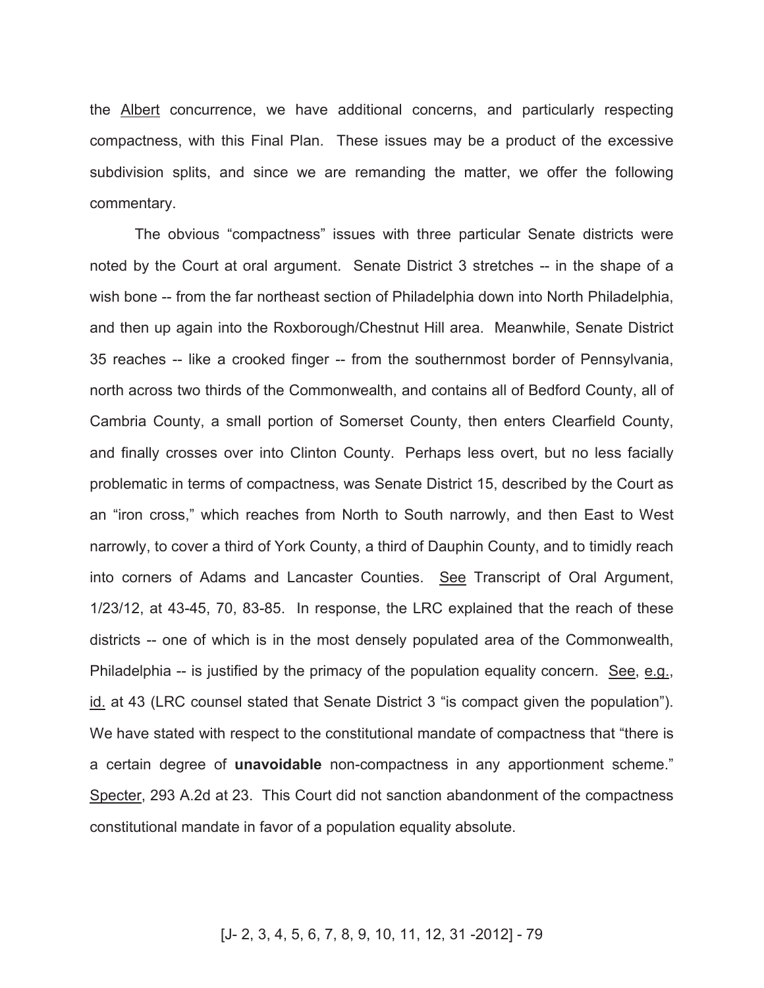the Albert concurrence, we have additional concerns, and particularly respecting compactness, with this Final Plan. These issues may be a product of the excessive subdivision splits, and since we are remanding the matter, we offer the following commentary.

The obvious "compactness" issues with three particular Senate districts were noted by the Court at oral argument. Senate District 3 stretches -- in the shape of a wish bone -- from the far northeast section of Philadelphia down into North Philadelphia, and then up again into the Roxborough/Chestnut Hill area. Meanwhile, Senate District 35 reaches -- like a crooked finger -- from the southernmost border of Pennsylvania, north across two thirds of the Commonwealth, and contains all of Bedford County, all of Cambria County, a small portion of Somerset County, then enters Clearfield County, and finally crosses over into Clinton County. Perhaps less overt, but no less facially problematic in terms of compactness, was Senate District 15, described by the Court as an "iron cross," which reaches from North to South narrowly, and then East to West narrowly, to cover a third of York County, a third of Dauphin County, and to timidly reach into corners of Adams and Lancaster Counties. See Transcript of Oral Argument, 1/23/12, at 43-45, 70, 83-85. In response, the LRC explained that the reach of these districts -- one of which is in the most densely populated area of the Commonwealth, Philadelphia -- is justified by the primacy of the population equality concern. See, e.g., id. at 43 (LRC counsel stated that Senate District 3 "is compact given the population"). We have stated with respect to the constitutional mandate of compactness that "there is a certain degree of **unavoidable** non-compactness in any apportionment scheme." Specter, 293 A.2d at 23. This Court did not sanction abandonment of the compactness constitutional mandate in favor of a population equality absolute.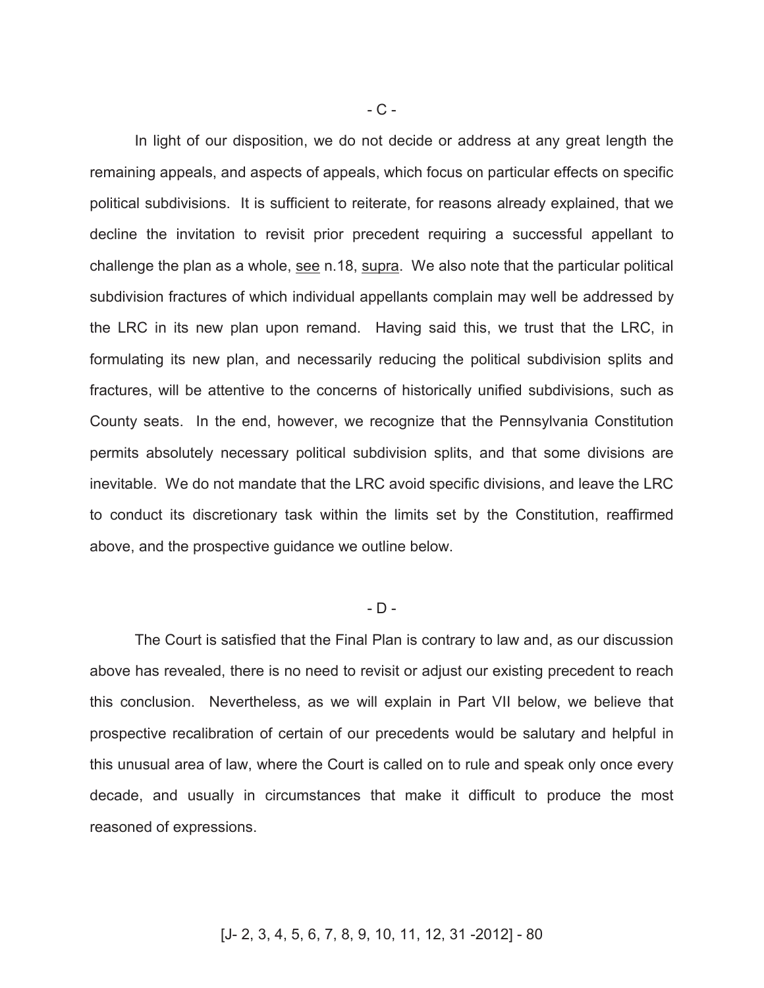In light of our disposition, we do not decide or address at any great length the remaining appeals, and aspects of appeals, which focus on particular effects on specific political subdivisions. It is sufficient to reiterate, for reasons already explained, that we decline the invitation to revisit prior precedent requiring a successful appellant to challenge the plan as a whole, see n.18, supra. We also note that the particular political subdivision fractures of which individual appellants complain may well be addressed by the LRC in its new plan upon remand. Having said this, we trust that the LRC, in formulating its new plan, and necessarily reducing the political subdivision splits and fractures, will be attentive to the concerns of historically unified subdivisions, such as County seats. In the end, however, we recognize that the Pennsylvania Constitution permits absolutely necessary political subdivision splits, and that some divisions are inevitable. We do not mandate that the LRC avoid specific divisions, and leave the LRC to conduct its discretionary task within the limits set by the Constitution, reaffirmed above, and the prospective guidance we outline below.

#### $-D -$

The Court is satisfied that the Final Plan is contrary to law and, as our discussion above has revealed, there is no need to revisit or adjust our existing precedent to reach this conclusion. Nevertheless, as we will explain in Part VII below, we believe that prospective recalibration of certain of our precedents would be salutary and helpful in this unusual area of law, where the Court is called on to rule and speak only once every decade, and usually in circumstances that make it difficult to produce the most reasoned of expressions.

### - C -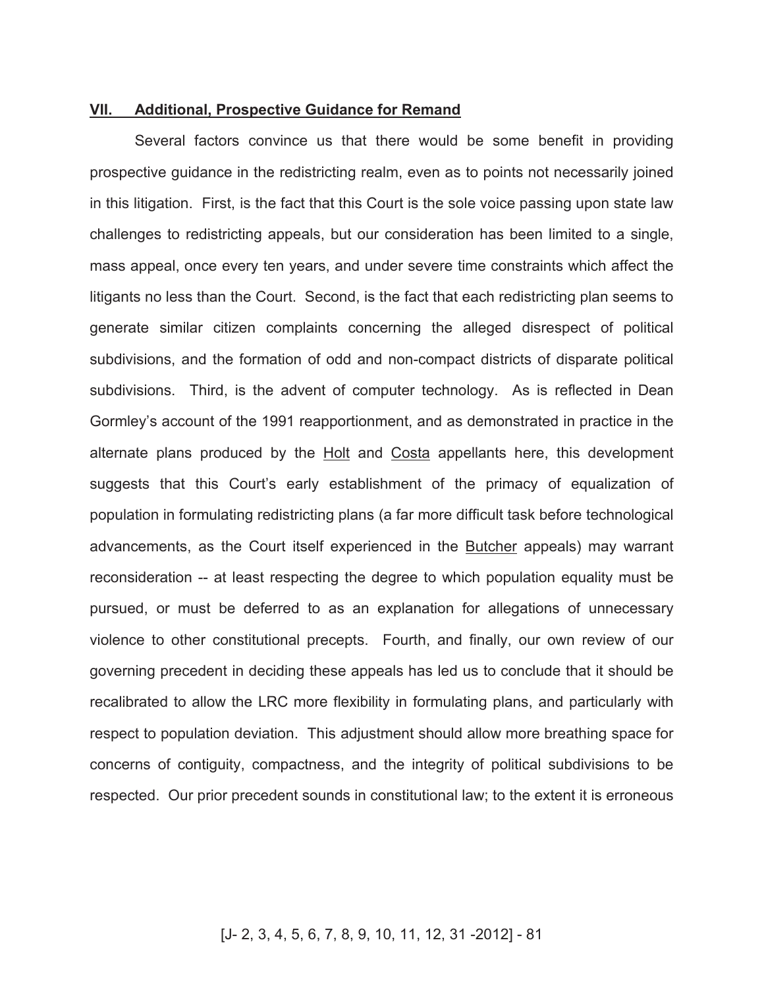## **VII. Additional, Prospective Guidance for Remand**

Several factors convince us that there would be some benefit in providing prospective guidance in the redistricting realm, even as to points not necessarily joined in this litigation. First, is the fact that this Court is the sole voice passing upon state law challenges to redistricting appeals, but our consideration has been limited to a single, mass appeal, once every ten years, and under severe time constraints which affect the litigants no less than the Court. Second, is the fact that each redistricting plan seems to generate similar citizen complaints concerning the alleged disrespect of political subdivisions, and the formation of odd and non-compact districts of disparate political subdivisions. Third, is the advent of computer technology. As is reflected in Dean Gormley's account of the 1991 reapportionment, and as demonstrated in practice in the alternate plans produced by the Holt and Costa appellants here, this development suggests that this Court's early establishment of the primacy of equalization of population in formulating redistricting plans (a far more difficult task before technological advancements, as the Court itself experienced in the Butcher appeals) may warrant reconsideration -- at least respecting the degree to which population equality must be pursued, or must be deferred to as an explanation for allegations of unnecessary violence to other constitutional precepts. Fourth, and finally, our own review of our governing precedent in deciding these appeals has led us to conclude that it should be recalibrated to allow the LRC more flexibility in formulating plans, and particularly with respect to population deviation. This adjustment should allow more breathing space for concerns of contiguity, compactness, and the integrity of political subdivisions to be respected. Our prior precedent sounds in constitutional law; to the extent it is erroneous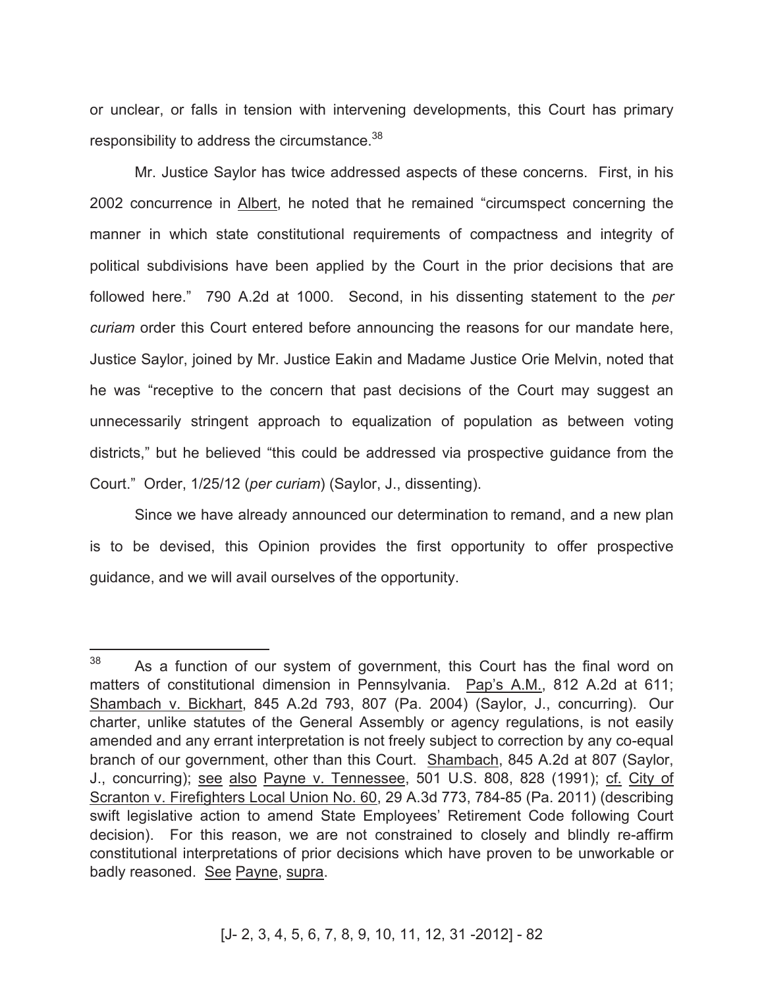or unclear, or falls in tension with intervening developments, this Court has primary responsibility to address the circumstance.<sup>38</sup>

Mr. Justice Saylor has twice addressed aspects of these concerns. First, in his 2002 concurrence in Albert, he noted that he remained "circumspect concerning the manner in which state constitutional requirements of compactness and integrity of political subdivisions have been applied by the Court in the prior decisions that are followed here." 790 A.2d at 1000. Second, in his dissenting statement to the *per curiam* order this Court entered before announcing the reasons for our mandate here, Justice Saylor, joined by Mr. Justice Eakin and Madame Justice Orie Melvin, noted that he was "receptive to the concern that past decisions of the Court may suggest an unnecessarily stringent approach to equalization of population as between voting districts," but he believed "this could be addressed via prospective guidance from the Court." Order, 1/25/12 (*per curiam*) (Saylor, J., dissenting).

Since we have already announced our determination to remand, and a new plan is to be devised, this Opinion provides the first opportunity to offer prospective guidance, and we will avail ourselves of the opportunity.

 $\overline{a}$ 

 $38$  As a function of our system of government, this Court has the final word on matters of constitutional dimension in Pennsylvania. Pap's A.M., 812 A.2d at 611; Shambach v. Bickhart, 845 A.2d 793, 807 (Pa. 2004) (Saylor, J., concurring). Our charter, unlike statutes of the General Assembly or agency regulations, is not easily amended and any errant interpretation is not freely subject to correction by any co-equal branch of our government, other than this Court. Shambach, 845 A.2d at 807 (Saylor, J., concurring); see also Payne v. Tennessee, 501 U.S. 808, 828 (1991); cf. City of Scranton v. Firefighters Local Union No. 60, 29 A.3d 773, 784-85 (Pa. 2011) (describing swift legislative action to amend State Employees' Retirement Code following Court decision). For this reason, we are not constrained to closely and blindly re-affirm constitutional interpretations of prior decisions which have proven to be unworkable or badly reasoned. See Payne, supra.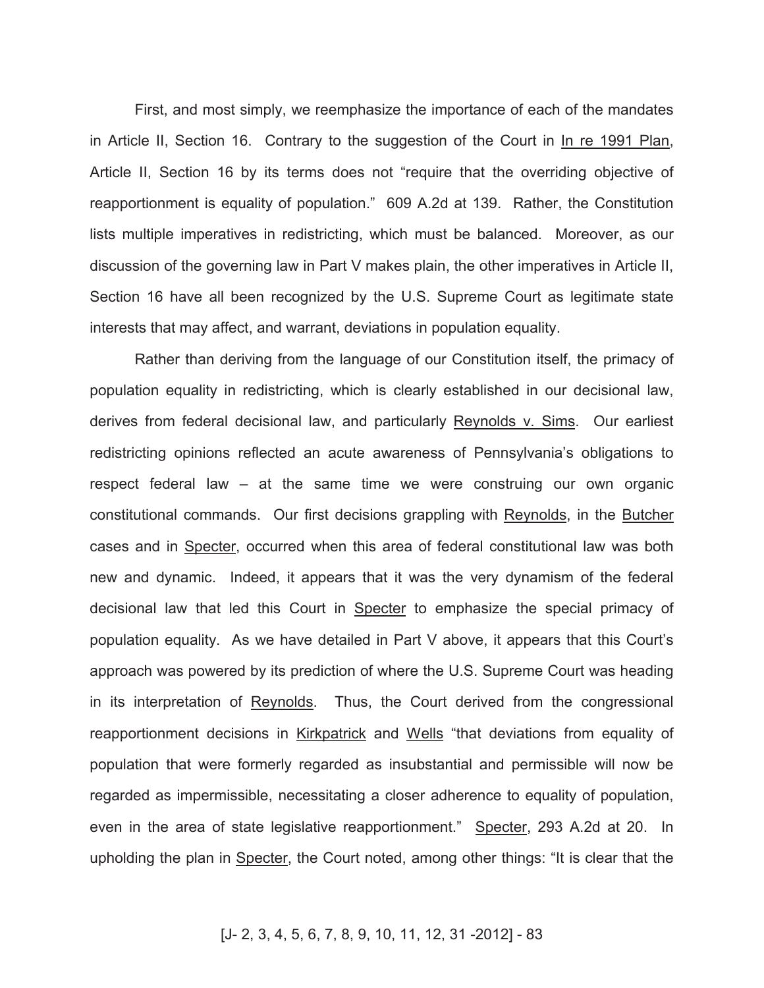First, and most simply, we reemphasize the importance of each of the mandates in Article II, Section 16. Contrary to the suggestion of the Court in In re 1991 Plan, Article II, Section 16 by its terms does not "require that the overriding objective of reapportionment is equality of population." 609 A.2d at 139. Rather, the Constitution lists multiple imperatives in redistricting, which must be balanced. Moreover, as our discussion of the governing law in Part V makes plain, the other imperatives in Article II, Section 16 have all been recognized by the U.S. Supreme Court as legitimate state interests that may affect, and warrant, deviations in population equality.

Rather than deriving from the language of our Constitution itself, the primacy of population equality in redistricting, which is clearly established in our decisional law, derives from federal decisional law, and particularly Reynolds v. Sims. Our earliest redistricting opinions reflected an acute awareness of Pennsylvania's obligations to respect federal law – at the same time we were construing our own organic constitutional commands. Our first decisions grappling with Reynolds, in the Butcher cases and in Specter, occurred when this area of federal constitutional law was both new and dynamic. Indeed, it appears that it was the very dynamism of the federal decisional law that led this Court in Specter to emphasize the special primacy of population equality. As we have detailed in Part V above, it appears that this Court's approach was powered by its prediction of where the U.S. Supreme Court was heading in its interpretation of Reynolds. Thus, the Court derived from the congressional reapportionment decisions in Kirkpatrick and Wells "that deviations from equality of population that were formerly regarded as insubstantial and permissible will now be regarded as impermissible, necessitating a closer adherence to equality of population, even in the area of state legislative reapportionment." Specter, 293 A.2d at 20. In upholding the plan in Specter, the Court noted, among other things: "It is clear that the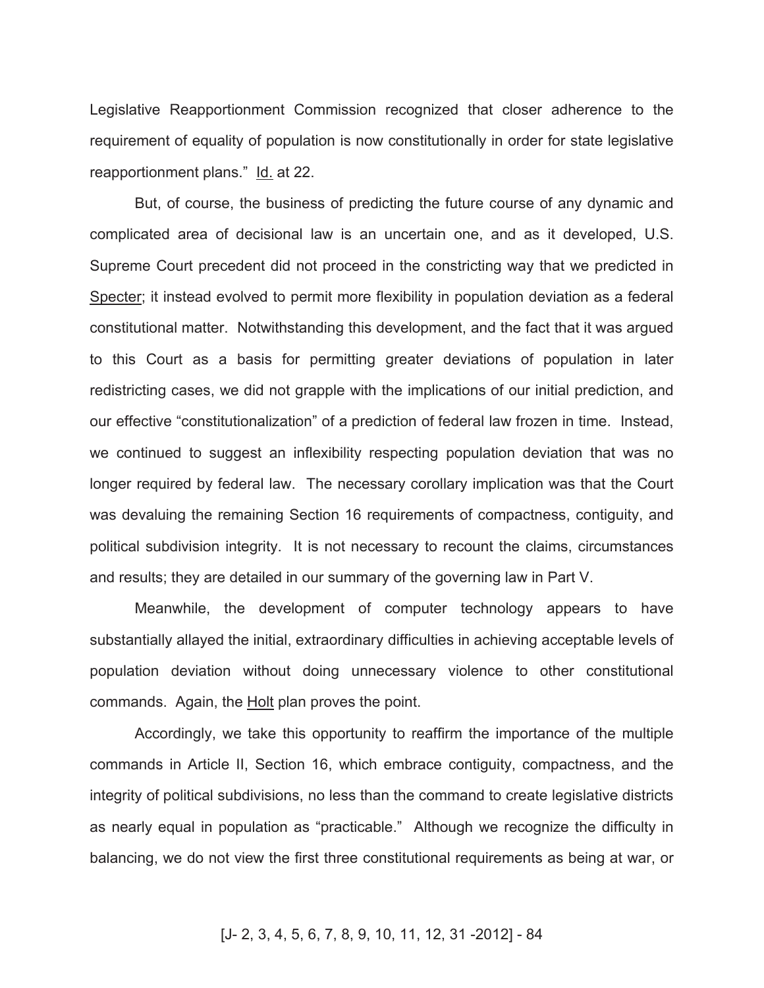Legislative Reapportionment Commission recognized that closer adherence to the requirement of equality of population is now constitutionally in order for state legislative reapportionment plans." Id. at 22.

But, of course, the business of predicting the future course of any dynamic and complicated area of decisional law is an uncertain one, and as it developed, U.S. Supreme Court precedent did not proceed in the constricting way that we predicted in Specter; it instead evolved to permit more flexibility in population deviation as a federal constitutional matter. Notwithstanding this development, and the fact that it was argued to this Court as a basis for permitting greater deviations of population in later redistricting cases, we did not grapple with the implications of our initial prediction, and our effective "constitutionalization" of a prediction of federal law frozen in time. Instead, we continued to suggest an inflexibility respecting population deviation that was no longer required by federal law. The necessary corollary implication was that the Court was devaluing the remaining Section 16 requirements of compactness, contiguity, and political subdivision integrity. It is not necessary to recount the claims, circumstances and results; they are detailed in our summary of the governing law in Part V.

Meanwhile, the development of computer technology appears to have substantially allayed the initial, extraordinary difficulties in achieving acceptable levels of population deviation without doing unnecessary violence to other constitutional commands. Again, the Holt plan proves the point.

Accordingly, we take this opportunity to reaffirm the importance of the multiple commands in Article II, Section 16, which embrace contiguity, compactness, and the integrity of political subdivisions, no less than the command to create legislative districts as nearly equal in population as "practicable." Although we recognize the difficulty in balancing, we do not view the first three constitutional requirements as being at war, or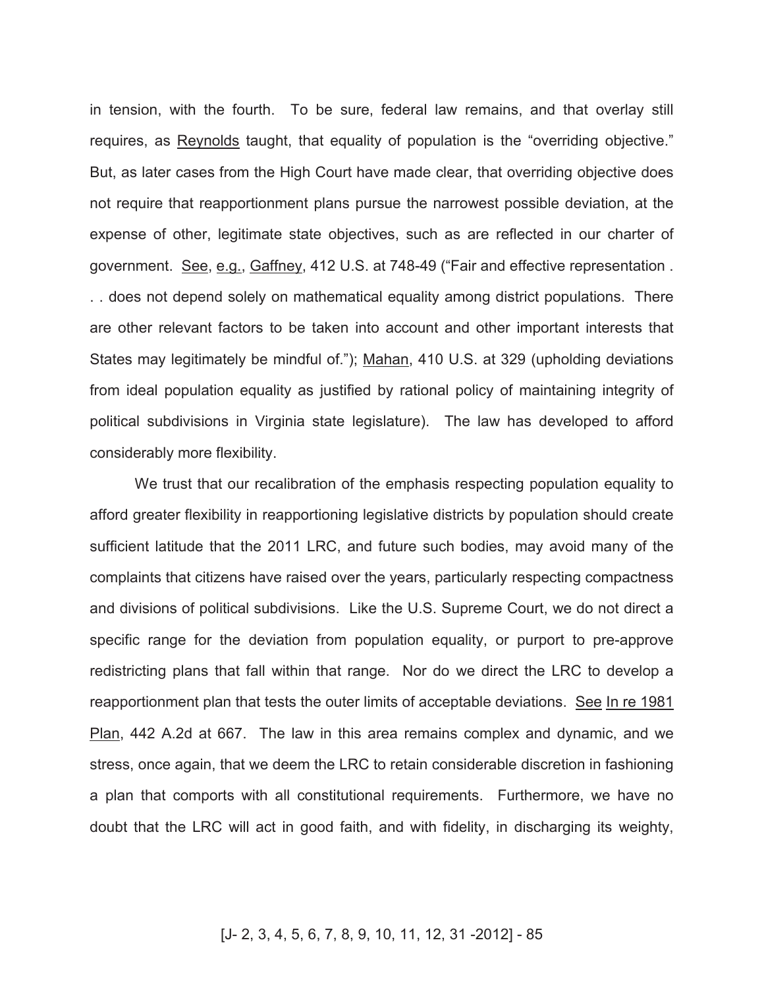in tension, with the fourth. To be sure, federal law remains, and that overlay still requires, as Reynolds taught, that equality of population is the "overriding objective." But, as later cases from the High Court have made clear, that overriding objective does not require that reapportionment plans pursue the narrowest possible deviation, at the expense of other, legitimate state objectives, such as are reflected in our charter of government. See, e.g., Gaffney, 412 U.S. at 748-49 ("Fair and effective representation . . . does not depend solely on mathematical equality among district populations. There are other relevant factors to be taken into account and other important interests that States may legitimately be mindful of."); Mahan, 410 U.S. at 329 (upholding deviations from ideal population equality as justified by rational policy of maintaining integrity of political subdivisions in Virginia state legislature). The law has developed to afford considerably more flexibility.

We trust that our recalibration of the emphasis respecting population equality to afford greater flexibility in reapportioning legislative districts by population should create sufficient latitude that the 2011 LRC, and future such bodies, may avoid many of the complaints that citizens have raised over the years, particularly respecting compactness and divisions of political subdivisions. Like the U.S. Supreme Court, we do not direct a specific range for the deviation from population equality, or purport to pre-approve redistricting plans that fall within that range. Nor do we direct the LRC to develop a reapportionment plan that tests the outer limits of acceptable deviations. See In re 1981 Plan, 442 A.2d at 667. The law in this area remains complex and dynamic, and we stress, once again, that we deem the LRC to retain considerable discretion in fashioning a plan that comports with all constitutional requirements. Furthermore, we have no doubt that the LRC will act in good faith, and with fidelity, in discharging its weighty,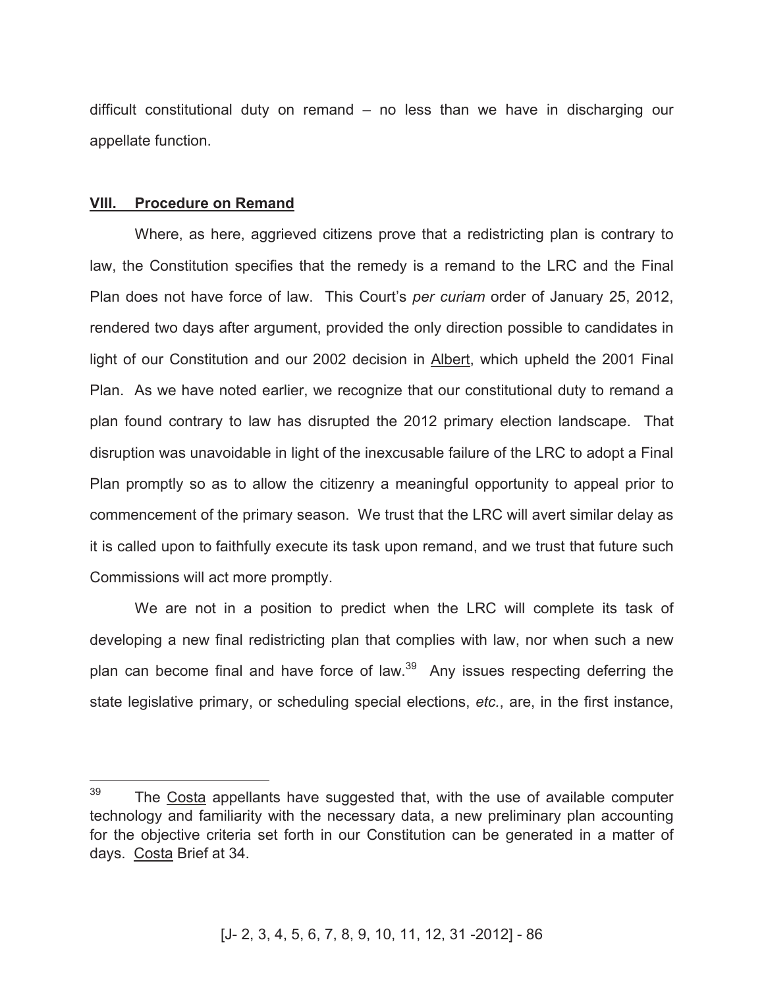difficult constitutional duty on remand – no less than we have in discharging our appellate function.

### **VIII. Procedure on Remand**

 $\overline{a}$ 

Where, as here, aggrieved citizens prove that a redistricting plan is contrary to law, the Constitution specifies that the remedy is a remand to the LRC and the Final Plan does not have force of law. This Court's *per curiam* order of January 25, 2012, rendered two days after argument, provided the only direction possible to candidates in light of our Constitution and our 2002 decision in Albert, which upheld the 2001 Final Plan. As we have noted earlier, we recognize that our constitutional duty to remand a plan found contrary to law has disrupted the 2012 primary election landscape. That disruption was unavoidable in light of the inexcusable failure of the LRC to adopt a Final Plan promptly so as to allow the citizenry a meaningful opportunity to appeal prior to commencement of the primary season. We trust that the LRC will avert similar delay as it is called upon to faithfully execute its task upon remand, and we trust that future such Commissions will act more promptly.

We are not in a position to predict when the LRC will complete its task of developing a new final redistricting plan that complies with law, nor when such a new plan can become final and have force of law.<sup>39</sup> Any issues respecting deferring the state legislative primary, or scheduling special elections, *etc.*, are, in the first instance,

 $39$  The Costa appellants have suggested that, with the use of available computer technology and familiarity with the necessary data, a new preliminary plan accounting for the objective criteria set forth in our Constitution can be generated in a matter of days. Costa Brief at 34.